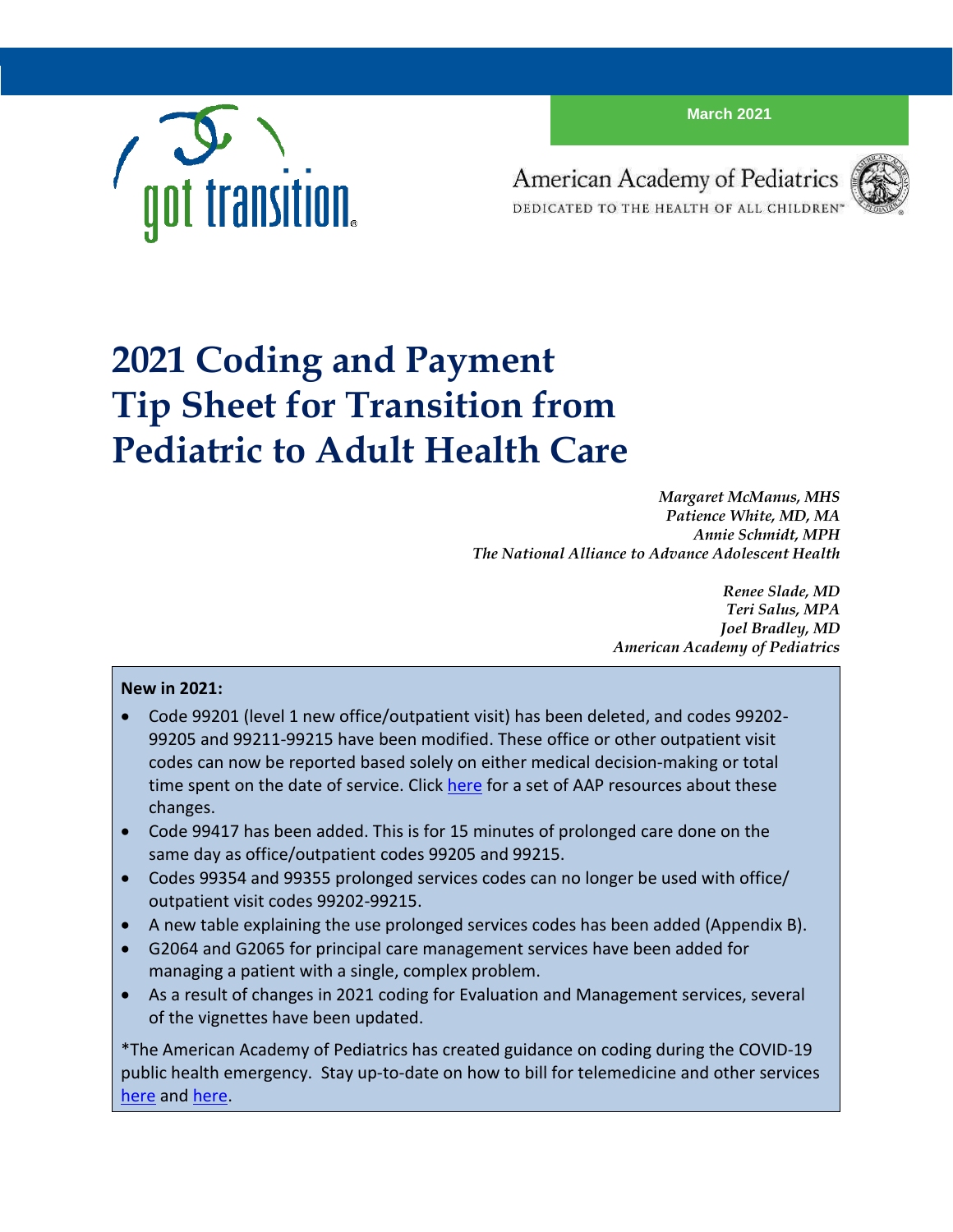**P R A CT I CE R ES OU R C E – N O . 2 March 2021**



**American Academy of Pediatrics** DEDICATED TO THE HEALTH OF ALL CHILDREN'



# **2021 Coding and Payment Tip Sheet for Transition from Pediatric to Adult Health Care**

*Margaret McManus, MHS Patience White, MD, MA Annie Schmidt, MPH The National Alliance to Advance Adolescent Health*

> *Renee Slade, MD Teri Salus, MPA Joel Bradley, MD American Academy of Pediatrics*

### **New in 2021:**

- Code 99201 (level 1 new office/outpatient visit) has been deleted, and codes 99202- 99205 and 99211-99215 have been modified. These office or other outpatient visit codes can now be reported based solely on either medical decision-making or total time spent on the date of service. Click [here](https://services.aap.org/en/practice-management/2021-office-based-em-changes/) for a set of AAP resources about these changes.
- Code 99417 has been added. This is for 15 minutes of prolonged care done on the same day as office/outpatient codes 99205 and 99215.
- Codes 99354 and 99355 prolonged services codes can no longer be used with office/ outpatient visit codes 99202-99215.
- A new table explaining the use prolonged services codes has been added (Appendix B).
- G2064 and G2065 for principal care management services have been added for managing a patient with a single, complex problem.
- As a result of changes in 2021 coding for Evaluation and Management services, several of the vignettes have been updated.

\*The American Academy of Pediatrics has created guidance on coding during the COVID-19 public health emergency. Stay up-to-date on how to bill for telemedicine and other services [here](https://downloads.aap.org/AAP/PDF/COVID%202020.pdf) and [here.](https://www.aap.org/en-us/Documents/coding_factsheet_telemedicine.pdf)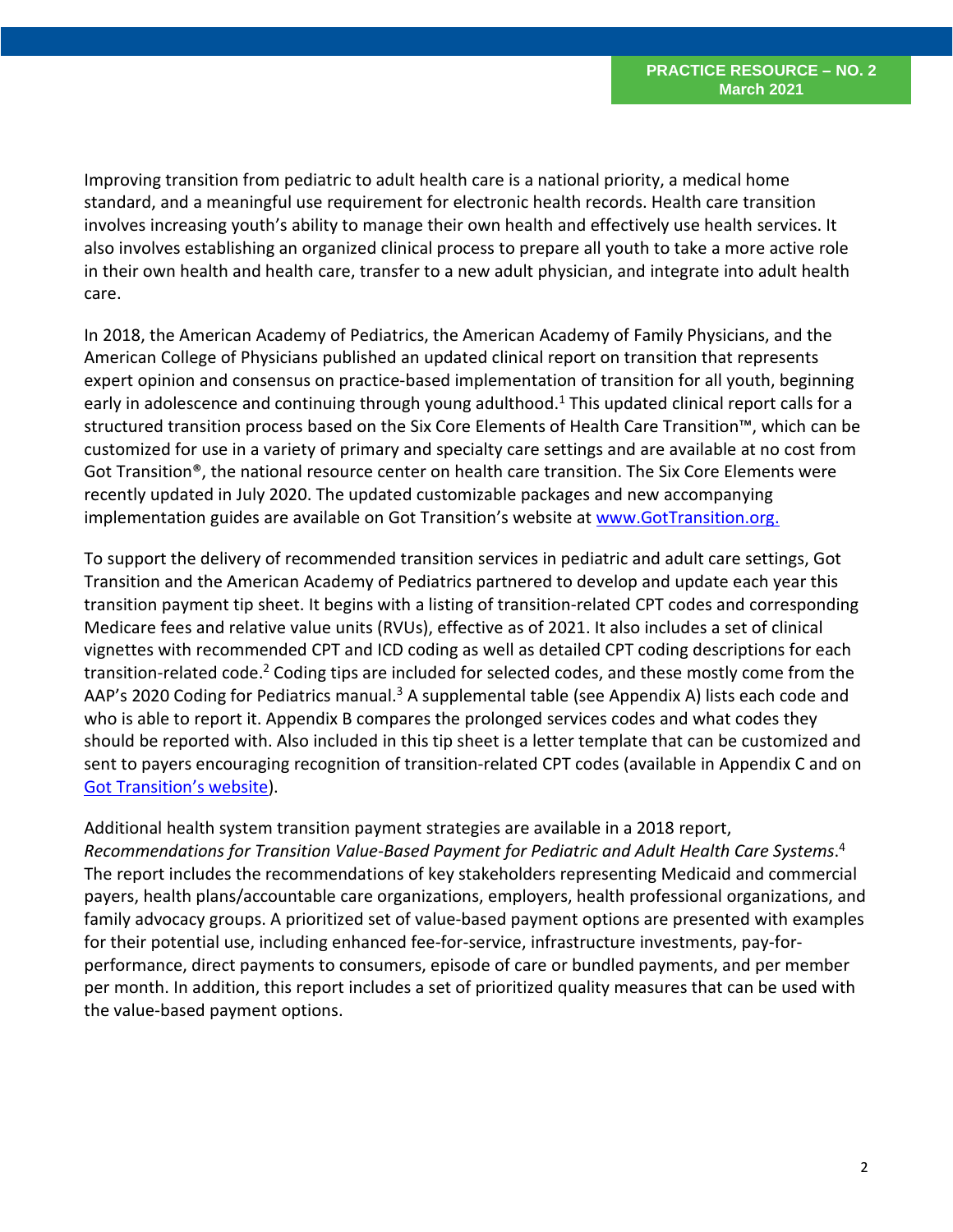Improving transition from pediatric to adult health care is a national priority, a medical home standard, and a meaningful use requirement for electronic health records. Health care transition involves increasing youth's ability to manage their own health and effectively use health services. It also involves establishing an organized clinical process to prepare all youth to take a more active role in their own health and health care, transfer to a new adult physician, and integrate into adult health care.

In 2018, the American Academy of Pediatrics, the American Academy of Family Physicians, and the American College of Physicians published an updated clinical report on transition that represents expert opinion and consensus on practice-based implementation of transition for all youth, beginning early in adolescence and continuing through young adulthood.<sup>1</sup> This updated clinical report calls for a structured transition process based on the Six Core Elements of Health Care Transition™, which can be customized for use in a variety of primary and specialty care settings and are available at no cost from Got Transition®, the national resource center on health care transition. The Six Core Elements were recently updated in July 2020. The updated customizable packages and new accompanying implementation guides are available on Got Transition's website at [www.GotTransition.org.](http://www.gottransition.org/)

To support the delivery of recommended transition services in pediatric and adult care settings, Got Transition and the American Academy of Pediatrics partnered to develop and update each year this transition payment tip sheet. It begins with a listing of transition-related CPT codes and corresponding Medicare fees and relative value units (RVUs), effective as of 2021. It also includes a set of clinical vignettes with recommended CPT and ICD coding as well as detailed CPT coding descriptions for each transition-related code.<sup>2</sup> Coding tips are included for selected codes, and these mostly come from the AAP's 2020 Coding for Pediatrics manual.<sup>3</sup> A supplemental table (see Appendix A) lists each code and who is able to report it. Appendix B compares the prolonged services codes and what codes they should be reported with. Also included in this tip sheet is a letter template that can be customized and sent to payers encouraging recognition of transition-related CPT codes (available in Appendix C and on Got [Transition's](https://www.gottransition.org/resourceGet.cfm?id=451) website).

Additional health system transition payment strategies are available in a 2018 report, *Recommendations for Transition Value-Based Payment for Pediatric and Adult Health Care Systems*. 4 The report includes the recommendations of key stakeholders representing Medicaid and commercial payers, health plans/accountable care organizations, employers, health professional organizations, and family advocacy groups. A prioritized set of value-based payment options are presented with examples for their potential use, including enhanced fee-for-service, infrastructure investments, pay-forperformance, direct payments to consumers, episode of care or bundled payments, and per member per month. In addition, this report includes a set of prioritized quality measures that can be used with the value-based payment options.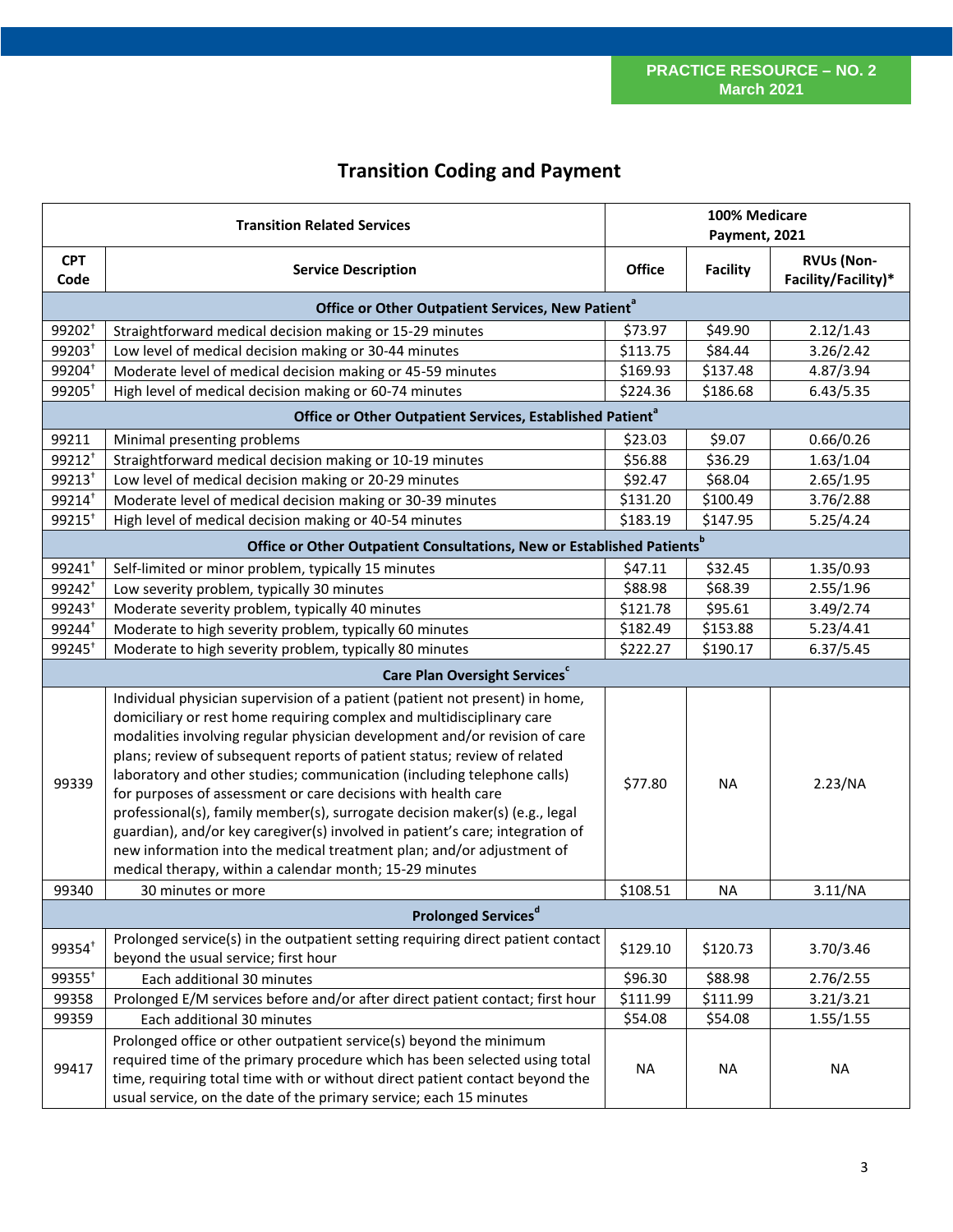| <b>Transition Related Services</b> |                                                                                                                                                                                                                                                                                                                                                                                                                                                                                                                                                                                                                                                                                                                                                                 |               | 100% Medicare<br>Payment, 2021 |                                          |  |  |  |  |  |
|------------------------------------|-----------------------------------------------------------------------------------------------------------------------------------------------------------------------------------------------------------------------------------------------------------------------------------------------------------------------------------------------------------------------------------------------------------------------------------------------------------------------------------------------------------------------------------------------------------------------------------------------------------------------------------------------------------------------------------------------------------------------------------------------------------------|---------------|--------------------------------|------------------------------------------|--|--|--|--|--|
| <b>CPT</b><br>Code                 | <b>Service Description</b>                                                                                                                                                                                                                                                                                                                                                                                                                                                                                                                                                                                                                                                                                                                                      | <b>Office</b> | <b>Facility</b>                | <b>RVUs (Non-</b><br>Facility/Facility)* |  |  |  |  |  |
|                                    | Office or Other Outpatient Services, New Patient <sup>a</sup>                                                                                                                                                                                                                                                                                                                                                                                                                                                                                                                                                                                                                                                                                                   |               |                                |                                          |  |  |  |  |  |
| 99202 <sup>+</sup>                 | Straightforward medical decision making or 15-29 minutes                                                                                                                                                                                                                                                                                                                                                                                                                                                                                                                                                                                                                                                                                                        | \$73.97       | \$49.90                        | 2.12/1.43                                |  |  |  |  |  |
| 99203 <sup>+</sup>                 | Low level of medical decision making or 30-44 minutes                                                                                                                                                                                                                                                                                                                                                                                                                                                                                                                                                                                                                                                                                                           | \$113.75      | \$84.44                        | 3.26/2.42                                |  |  |  |  |  |
| 99204+                             | Moderate level of medical decision making or 45-59 minutes                                                                                                                                                                                                                                                                                                                                                                                                                                                                                                                                                                                                                                                                                                      | \$169.93      | \$137.48                       | 4.87/3.94                                |  |  |  |  |  |
| 99205 <sup>+</sup>                 | High level of medical decision making or 60-74 minutes                                                                                                                                                                                                                                                                                                                                                                                                                                                                                                                                                                                                                                                                                                          | \$224.36      | \$186.68                       | 6.43/5.35                                |  |  |  |  |  |
|                                    | Office or Other Outpatient Services, Established Patient <sup>a</sup>                                                                                                                                                                                                                                                                                                                                                                                                                                                                                                                                                                                                                                                                                           |               |                                |                                          |  |  |  |  |  |
| 99211                              | Minimal presenting problems                                                                                                                                                                                                                                                                                                                                                                                                                                                                                                                                                                                                                                                                                                                                     | \$23.03       | \$9.07                         | 0.66/0.26                                |  |  |  |  |  |
| 99212+                             | Straightforward medical decision making or 10-19 minutes                                                                                                                                                                                                                                                                                                                                                                                                                                                                                                                                                                                                                                                                                                        | \$56.88       | \$36.29                        | 1.63/1.04                                |  |  |  |  |  |
| 99213 <sup>+</sup>                 | Low level of medical decision making or 20-29 minutes                                                                                                                                                                                                                                                                                                                                                                                                                                                                                                                                                                                                                                                                                                           | \$92.47       | \$68.04                        | 2.65/1.95                                |  |  |  |  |  |
| 99214+                             | Moderate level of medical decision making or 30-39 minutes                                                                                                                                                                                                                                                                                                                                                                                                                                                                                                                                                                                                                                                                                                      | \$131.20      | \$100.49                       | 3.76/2.88                                |  |  |  |  |  |
| 99215 <sup>+</sup>                 | High level of medical decision making or 40-54 minutes                                                                                                                                                                                                                                                                                                                                                                                                                                                                                                                                                                                                                                                                                                          | \$183.19      | \$147.95                       | 5.25/4.24                                |  |  |  |  |  |
|                                    | Office or Other Outpatient Consultations, New or Established Patients <sup>b</sup>                                                                                                                                                                                                                                                                                                                                                                                                                                                                                                                                                                                                                                                                              |               |                                |                                          |  |  |  |  |  |
| 99241+                             | Self-limited or minor problem, typically 15 minutes                                                                                                                                                                                                                                                                                                                                                                                                                                                                                                                                                                                                                                                                                                             | \$47.11       | \$32.45                        | 1.35/0.93                                |  |  |  |  |  |
| 99242 <sup>+</sup>                 | Low severity problem, typically 30 minutes                                                                                                                                                                                                                                                                                                                                                                                                                                                                                                                                                                                                                                                                                                                      | \$88.98       | \$68.39                        | 2.55/1.96                                |  |  |  |  |  |
| $99243^+$                          | Moderate severity problem, typically 40 minutes                                                                                                                                                                                                                                                                                                                                                                                                                                                                                                                                                                                                                                                                                                                 | \$121.78      | \$95.61                        | 3.49/2.74                                |  |  |  |  |  |
| 99244+                             | Moderate to high severity problem, typically 60 minutes                                                                                                                                                                                                                                                                                                                                                                                                                                                                                                                                                                                                                                                                                                         | \$182.49      | \$153.88                       | 5.23/4.41                                |  |  |  |  |  |
| 99245 <sup>+</sup>                 | Moderate to high severity problem, typically 80 minutes                                                                                                                                                                                                                                                                                                                                                                                                                                                                                                                                                                                                                                                                                                         | \$222.27      | \$190.17                       | 6.37/5.45                                |  |  |  |  |  |
|                                    | Care Plan Oversight Services <sup>c</sup>                                                                                                                                                                                                                                                                                                                                                                                                                                                                                                                                                                                                                                                                                                                       |               |                                |                                          |  |  |  |  |  |
| 99339                              | Individual physician supervision of a patient (patient not present) in home,<br>domiciliary or rest home requiring complex and multidisciplinary care<br>modalities involving regular physician development and/or revision of care<br>plans; review of subsequent reports of patient status; review of related<br>laboratory and other studies; communication (including telephone calls)<br>for purposes of assessment or care decisions with health care<br>professional(s), family member(s), surrogate decision maker(s) (e.g., legal<br>guardian), and/or key caregiver(s) involved in patient's care; integration of<br>new information into the medical treatment plan; and/or adjustment of<br>medical therapy, within a calendar month; 15-29 minutes | \$77.80       | <b>NA</b>                      | 2.23/NA                                  |  |  |  |  |  |
| 99340                              | 30 minutes or more                                                                                                                                                                                                                                                                                                                                                                                                                                                                                                                                                                                                                                                                                                                                              | \$108.51      | <b>NA</b>                      | 3.11/NA                                  |  |  |  |  |  |
|                                    | <b>Prolonged Services</b> <sup>d</sup>                                                                                                                                                                                                                                                                                                                                                                                                                                                                                                                                                                                                                                                                                                                          |               |                                |                                          |  |  |  |  |  |
| 99354+                             | Prolonged service(s) in the outpatient setting requiring direct patient contact<br>beyond the usual service; first hour                                                                                                                                                                                                                                                                                                                                                                                                                                                                                                                                                                                                                                         | \$129.10      | \$120.73                       | 3.70/3.46                                |  |  |  |  |  |
| 99355+                             | Each additional 30 minutes                                                                                                                                                                                                                                                                                                                                                                                                                                                                                                                                                                                                                                                                                                                                      | \$96.30       | \$88.98                        | 2.76/2.55                                |  |  |  |  |  |
| 99358                              | Prolonged E/M services before and/or after direct patient contact; first hour                                                                                                                                                                                                                                                                                                                                                                                                                                                                                                                                                                                                                                                                                   | \$111.99      | \$111.99                       | 3.21/3.21                                |  |  |  |  |  |
| 99359                              | Each additional 30 minutes                                                                                                                                                                                                                                                                                                                                                                                                                                                                                                                                                                                                                                                                                                                                      | \$54.08       | \$54.08                        | 1.55/1.55                                |  |  |  |  |  |
| 99417                              | Prolonged office or other outpatient service(s) beyond the minimum<br>required time of the primary procedure which has been selected using total<br><b>NA</b><br><b>NA</b><br>time, requiring total time with or without direct patient contact beyond the<br>usual service, on the date of the primary service; each 15 minutes                                                                                                                                                                                                                                                                                                                                                                                                                                |               |                                |                                          |  |  |  |  |  |

## **Transition Coding and Payment**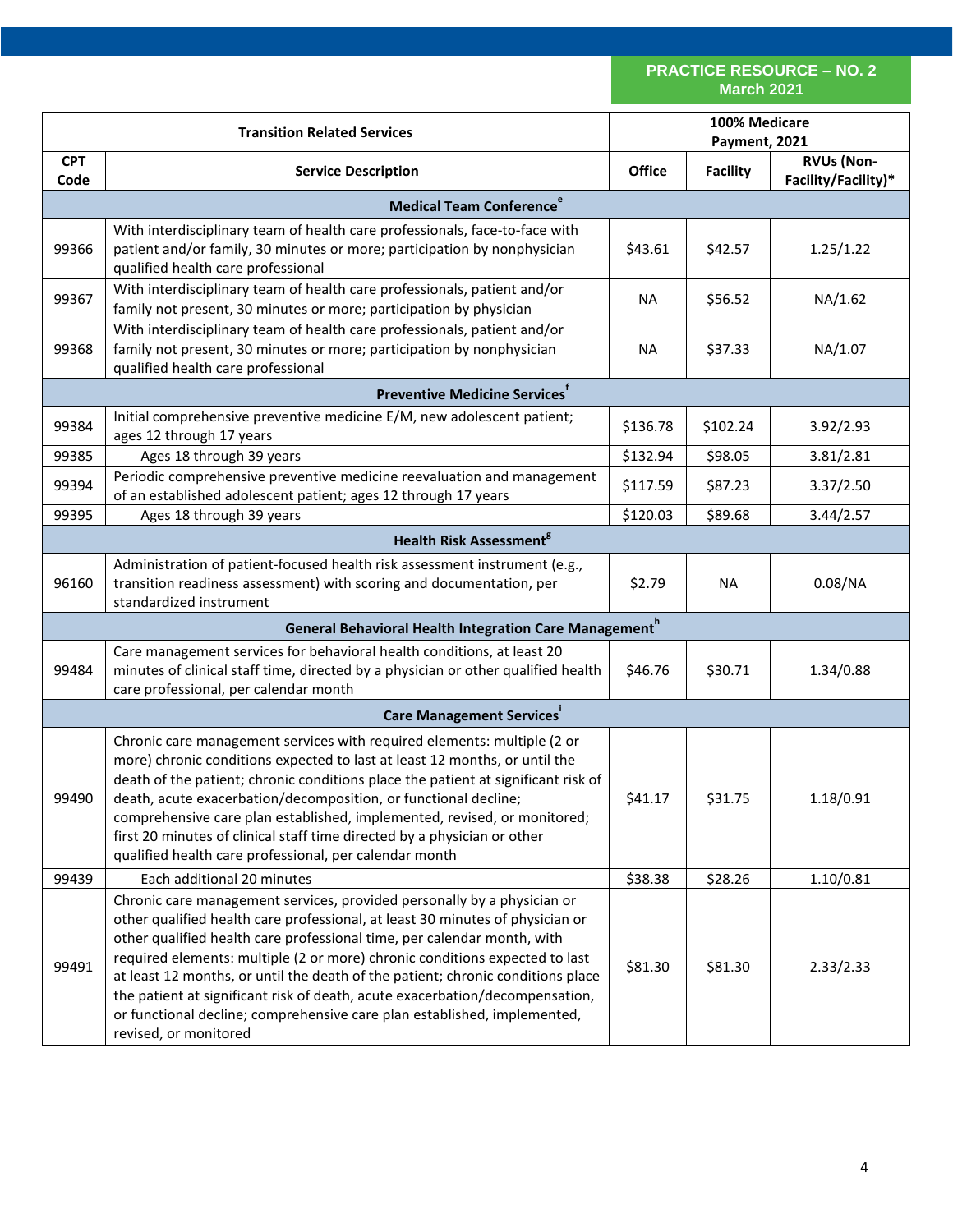| <b>Transition Related Services</b>         |                                                                                                                                                                                                                                                                                                                                                                                                                                                                                                                                                                                            |           | 100% Medicare<br>Payment, 2021 |           |  |  |  |
|--------------------------------------------|--------------------------------------------------------------------------------------------------------------------------------------------------------------------------------------------------------------------------------------------------------------------------------------------------------------------------------------------------------------------------------------------------------------------------------------------------------------------------------------------------------------------------------------------------------------------------------------------|-----------|--------------------------------|-----------|--|--|--|
| <b>CPT</b><br>Code                         | <b>RVUs (Non-</b><br><b>Office</b><br><b>Service Description</b><br><b>Facility</b><br>Facility/Facility)*                                                                                                                                                                                                                                                                                                                                                                                                                                                                                 |           |                                |           |  |  |  |
|                                            | <b>Medical Team Conference</b> <sup>e</sup>                                                                                                                                                                                                                                                                                                                                                                                                                                                                                                                                                |           |                                |           |  |  |  |
| 99366                                      | With interdisciplinary team of health care professionals, face-to-face with<br>patient and/or family, 30 minutes or more; participation by nonphysician<br>qualified health care professional                                                                                                                                                                                                                                                                                                                                                                                              | \$43.61   | \$42.57                        | 1.25/1.22 |  |  |  |
| 99367                                      | With interdisciplinary team of health care professionals, patient and/or<br>family not present, 30 minutes or more; participation by physician                                                                                                                                                                                                                                                                                                                                                                                                                                             | ΝA        | \$56.52                        | NA/1.62   |  |  |  |
| 99368                                      | With interdisciplinary team of health care professionals, patient and/or<br>family not present, 30 minutes or more; participation by nonphysician<br>qualified health care professional                                                                                                                                                                                                                                                                                                                                                                                                    | <b>NA</b> | \$37.33                        | NA/1.07   |  |  |  |
|                                            | <b>Preventive Medicine Services</b>                                                                                                                                                                                                                                                                                                                                                                                                                                                                                                                                                        |           |                                |           |  |  |  |
| 99384                                      | Initial comprehensive preventive medicine E/M, new adolescent patient;<br>ages 12 through 17 years                                                                                                                                                                                                                                                                                                                                                                                                                                                                                         | \$136.78  | \$102.24                       | 3.92/2.93 |  |  |  |
| 99385                                      | Ages 18 through 39 years                                                                                                                                                                                                                                                                                                                                                                                                                                                                                                                                                                   | \$132.94  | \$98.05                        | 3.81/2.81 |  |  |  |
| 99394                                      | Periodic comprehensive preventive medicine reevaluation and management<br>of an established adolescent patient; ages 12 through 17 years                                                                                                                                                                                                                                                                                                                                                                                                                                                   | \$117.59  | \$87.23                        | 3.37/2.50 |  |  |  |
| 99395                                      | \$120.03<br>Ages 18 through 39 years<br>\$89.68<br>3.44/2.57                                                                                                                                                                                                                                                                                                                                                                                                                                                                                                                               |           |                                |           |  |  |  |
| <b>Health Risk Assessment</b> <sup>8</sup> |                                                                                                                                                                                                                                                                                                                                                                                                                                                                                                                                                                                            |           |                                |           |  |  |  |
| 96160                                      | Administration of patient-focused health risk assessment instrument (e.g.,<br>transition readiness assessment) with scoring and documentation, per<br>standardized instrument                                                                                                                                                                                                                                                                                                                                                                                                              | \$2.79    | <b>NA</b>                      | 0.08/NA   |  |  |  |
|                                            | <b>General Behavioral Health Integration Care Management</b> <sup>h</sup>                                                                                                                                                                                                                                                                                                                                                                                                                                                                                                                  |           |                                |           |  |  |  |
| 99484                                      | Care management services for behavioral health conditions, at least 20<br>minutes of clinical staff time, directed by a physician or other qualified health<br>care professional, per calendar month                                                                                                                                                                                                                                                                                                                                                                                       | \$46.76   | \$30.71                        | 1.34/0.88 |  |  |  |
|                                            | <b>Care Management Services</b>                                                                                                                                                                                                                                                                                                                                                                                                                                                                                                                                                            |           |                                |           |  |  |  |
| 99490                                      | Chronic care management services with required elements: multiple (2 or<br>more) chronic conditions expected to last at least 12 months, or until the<br>death of the patient; chronic conditions place the patient at significant risk of<br>death, acute exacerbation/decomposition, or functional decline;<br>comprehensive care plan established, implemented, revised, or monitored;<br>first 20 minutes of clinical staff time directed by a physician or other<br>qualified health care professional, per calendar month                                                            |           | \$31.75                        | 1.18/0.91 |  |  |  |
| 99439                                      | Each additional 20 minutes                                                                                                                                                                                                                                                                                                                                                                                                                                                                                                                                                                 | \$38.38   | \$28.26                        | 1.10/0.81 |  |  |  |
| 99491                                      | Chronic care management services, provided personally by a physician or<br>other qualified health care professional, at least 30 minutes of physician or<br>other qualified health care professional time, per calendar month, with<br>required elements: multiple (2 or more) chronic conditions expected to last<br>at least 12 months, or until the death of the patient; chronic conditions place<br>the patient at significant risk of death, acute exacerbation/decompensation,<br>or functional decline; comprehensive care plan established, implemented,<br>revised, or monitored |           | \$81.30                        | 2.33/2.33 |  |  |  |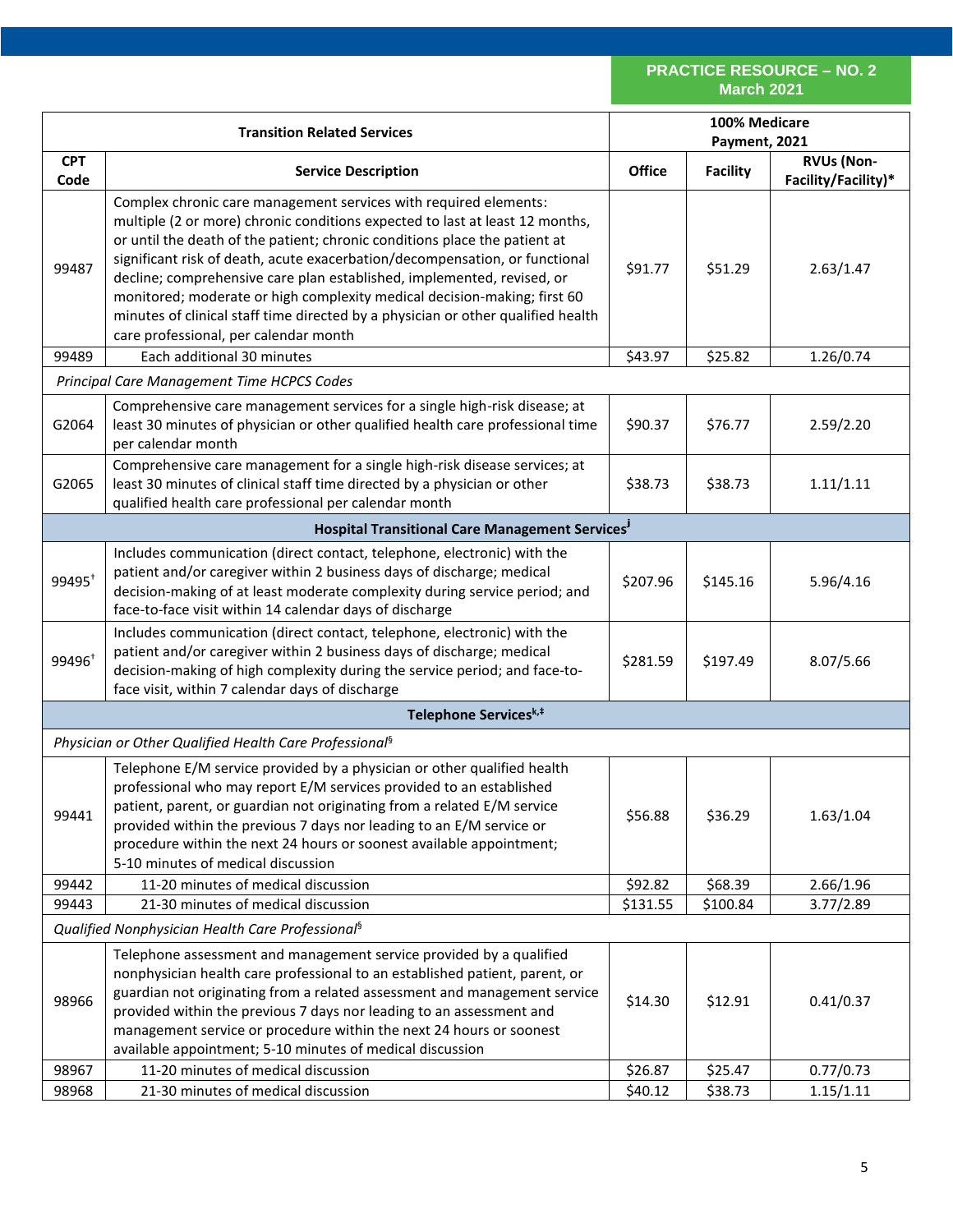| <b>Transition Related Services</b> |                                                                                                                                                                                                                                                                                                                                                                                                                                                                                                                                                                                                  |               | 100% Medicare<br>Payment, 2021 |                                          |  |
|------------------------------------|--------------------------------------------------------------------------------------------------------------------------------------------------------------------------------------------------------------------------------------------------------------------------------------------------------------------------------------------------------------------------------------------------------------------------------------------------------------------------------------------------------------------------------------------------------------------------------------------------|---------------|--------------------------------|------------------------------------------|--|
| <b>CPT</b><br>Code                 | <b>Service Description</b>                                                                                                                                                                                                                                                                                                                                                                                                                                                                                                                                                                       | <b>Office</b> | <b>Facility</b>                | <b>RVUs (Non-</b><br>Facility/Facility)* |  |
| 99487                              | Complex chronic care management services with required elements:<br>multiple (2 or more) chronic conditions expected to last at least 12 months,<br>or until the death of the patient; chronic conditions place the patient at<br>significant risk of death, acute exacerbation/decompensation, or functional<br>decline; comprehensive care plan established, implemented, revised, or<br>monitored; moderate or high complexity medical decision-making; first 60<br>minutes of clinical staff time directed by a physician or other qualified health<br>care professional, per calendar month | \$91.77       | \$51.29                        | 2.63/1.47                                |  |
| 99489                              | Each additional 30 minutes                                                                                                                                                                                                                                                                                                                                                                                                                                                                                                                                                                       | \$43.97       | \$25.82                        | 1.26/0.74                                |  |
|                                    | Principal Care Management Time HCPCS Codes                                                                                                                                                                                                                                                                                                                                                                                                                                                                                                                                                       |               |                                |                                          |  |
| G2064                              | Comprehensive care management services for a single high-risk disease; at<br>least 30 minutes of physician or other qualified health care professional time<br>per calendar month                                                                                                                                                                                                                                                                                                                                                                                                                | \$90.37       | \$76.77                        | 2.59/2.20                                |  |
| G2065                              | Comprehensive care management for a single high-risk disease services; at<br>least 30 minutes of clinical staff time directed by a physician or other<br>qualified health care professional per calendar month                                                                                                                                                                                                                                                                                                                                                                                   | \$38.73       | \$38.73                        | 1.11/1.11                                |  |
|                                    | Hospital Transitional Care Management Services'                                                                                                                                                                                                                                                                                                                                                                                                                                                                                                                                                  |               |                                |                                          |  |
| 99495+                             | Includes communication (direct contact, telephone, electronic) with the<br>patient and/or caregiver within 2 business days of discharge; medical<br>decision-making of at least moderate complexity during service period; and<br>face-to-face visit within 14 calendar days of discharge                                                                                                                                                                                                                                                                                                        | \$207.96      | \$145.16                       | 5.96/4.16                                |  |
| 99496+                             | Includes communication (direct contact, telephone, electronic) with the<br>patient and/or caregiver within 2 business days of discharge; medical<br>decision-making of high complexity during the service period; and face-to-<br>face visit, within 7 calendar days of discharge                                                                                                                                                                                                                                                                                                                | \$281.59      | \$197.49                       | 8.07/5.66                                |  |
|                                    | Telephone Servicesk,#                                                                                                                                                                                                                                                                                                                                                                                                                                                                                                                                                                            |               |                                |                                          |  |
|                                    | Physician or Other Qualified Health Care Professional <sup>§</sup>                                                                                                                                                                                                                                                                                                                                                                                                                                                                                                                               |               |                                |                                          |  |
| 99441                              | Telephone E/M service provided by a physician or other qualified health<br>professional who may report E/M services provided to an established<br>patient, parent, or guardian not originating from a related E/M service<br>\$56.88<br>\$36.29<br>provided within the previous 7 days nor leading to an E/M service or<br>procedure within the next 24 hours or soonest available appointment;<br>5-10 minutes of medical discussion                                                                                                                                                            |               |                                |                                          |  |
| 99442                              | 11-20 minutes of medical discussion                                                                                                                                                                                                                                                                                                                                                                                                                                                                                                                                                              | \$92.82       | \$68.39                        | 2.66/1.96                                |  |
| 99443                              | 21-30 minutes of medical discussion                                                                                                                                                                                                                                                                                                                                                                                                                                                                                                                                                              | \$131.55      | \$100.84                       | 3.77/2.89                                |  |
|                                    | Qualified Nonphysician Health Care Professional <sup>§</sup>                                                                                                                                                                                                                                                                                                                                                                                                                                                                                                                                     |               |                                |                                          |  |
| 98966                              | Telephone assessment and management service provided by a qualified<br>nonphysician health care professional to an established patient, parent, or<br>guardian not originating from a related assessment and management service<br>\$14.30<br>\$12.91<br>0.41/0.37<br>provided within the previous 7 days nor leading to an assessment and<br>management service or procedure within the next 24 hours or soonest<br>available appointment; 5-10 minutes of medical discussion                                                                                                                   |               |                                |                                          |  |
| 98967                              | 11-20 minutes of medical discussion                                                                                                                                                                                                                                                                                                                                                                                                                                                                                                                                                              | \$26.87       | \$25.47                        | 0.77/0.73                                |  |
| 98968                              | 21-30 minutes of medical discussion                                                                                                                                                                                                                                                                                                                                                                                                                                                                                                                                                              | \$40.12       | \$38.73                        | 1.15/1.11                                |  |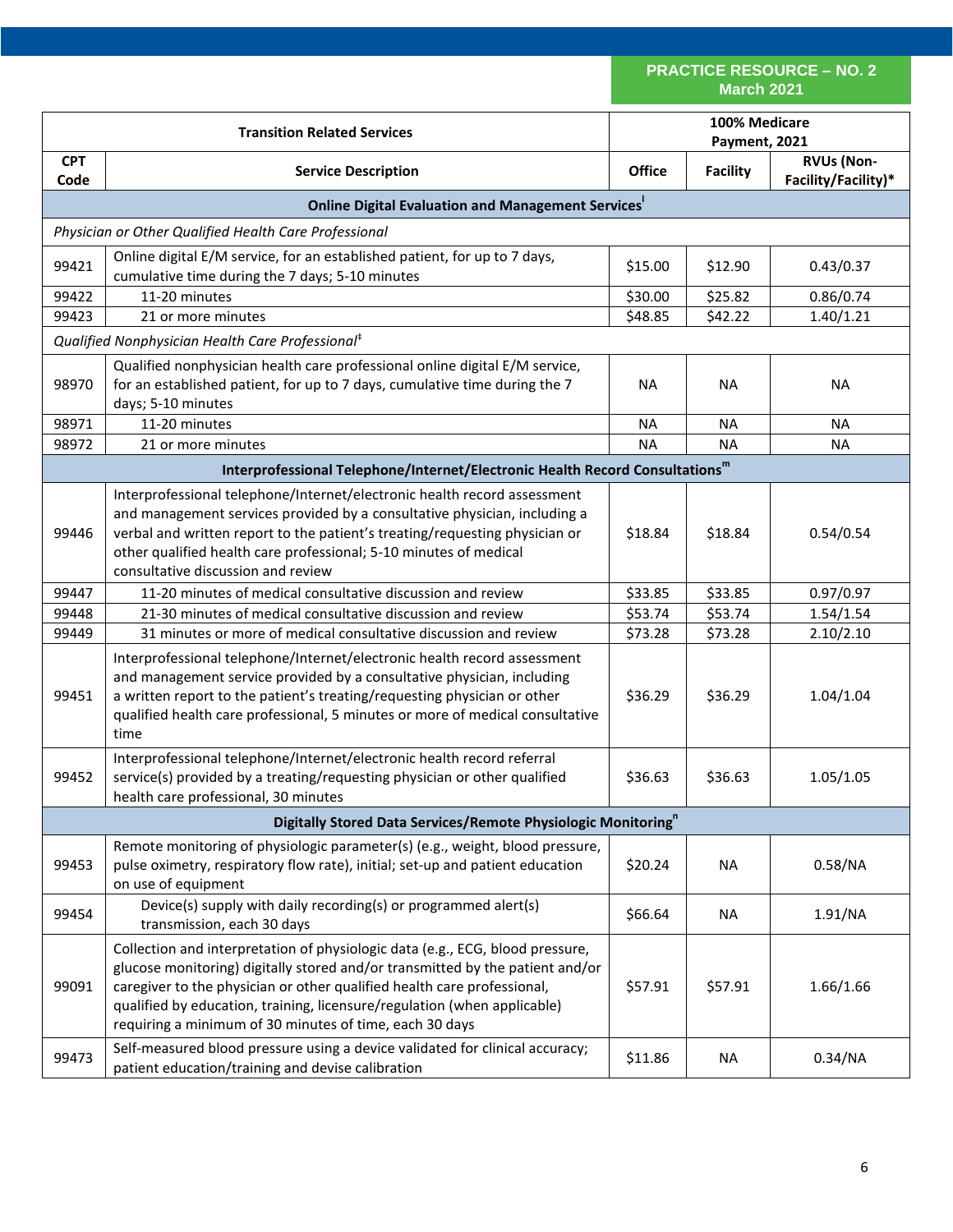| <b>Transition Related Services</b> |                                                                                                                                                                                                                                                                                                                                                                                  |               | 100% Medicare<br>Payment, 2021 |                                          |  |  |  |  |
|------------------------------------|----------------------------------------------------------------------------------------------------------------------------------------------------------------------------------------------------------------------------------------------------------------------------------------------------------------------------------------------------------------------------------|---------------|--------------------------------|------------------------------------------|--|--|--|--|
| <b>CPT</b><br>Code                 | <b>Service Description</b>                                                                                                                                                                                                                                                                                                                                                       | <b>Office</b> | <b>Facility</b>                | <b>RVUs (Non-</b><br>Facility/Facility)* |  |  |  |  |
|                                    | <b>Online Digital Evaluation and Management Services</b>                                                                                                                                                                                                                                                                                                                         |               |                                |                                          |  |  |  |  |
|                                    | Physician or Other Qualified Health Care Professional                                                                                                                                                                                                                                                                                                                            |               |                                |                                          |  |  |  |  |
| 99421                              | Online digital E/M service, for an established patient, for up to 7 days,<br>cumulative time during the 7 days; 5-10 minutes                                                                                                                                                                                                                                                     | \$15.00       | \$12.90                        | 0.43/0.37                                |  |  |  |  |
| 99422                              | 11-20 minutes                                                                                                                                                                                                                                                                                                                                                                    | \$30.00       | \$25.82                        | 0.86/0.74                                |  |  |  |  |
| 99423                              | 21 or more minutes                                                                                                                                                                                                                                                                                                                                                               | \$48.85       | \$42.22                        | 1.40/1.21                                |  |  |  |  |
|                                    | Qualified Nonphysician Health Care Professional <sup>‡</sup>                                                                                                                                                                                                                                                                                                                     |               |                                |                                          |  |  |  |  |
| 98970                              | Qualified nonphysician health care professional online digital E/M service,<br>for an established patient, for up to 7 days, cumulative time during the 7<br>days; 5-10 minutes                                                                                                                                                                                                  | NA            | NA                             | <b>NA</b>                                |  |  |  |  |
| 98971                              | 11-20 minutes                                                                                                                                                                                                                                                                                                                                                                    | <b>NA</b>     | <b>NA</b>                      | <b>NA</b>                                |  |  |  |  |
| 98972                              | 21 or more minutes                                                                                                                                                                                                                                                                                                                                                               | <b>NA</b>     | <b>NA</b>                      | <b>NA</b>                                |  |  |  |  |
|                                    | Interprofessional Telephone/Internet/Electronic Health Record Consultations <sup>m</sup>                                                                                                                                                                                                                                                                                         |               |                                |                                          |  |  |  |  |
| 99446                              | Interprofessional telephone/Internet/electronic health record assessment<br>and management services provided by a consultative physician, including a<br>verbal and written report to the patient's treating/requesting physician or<br>other qualified health care professional; 5-10 minutes of medical<br>consultative discussion and review                                  | \$18.84       | \$18.84                        | 0.54/0.54                                |  |  |  |  |
| 99447                              | 11-20 minutes of medical consultative discussion and review                                                                                                                                                                                                                                                                                                                      | \$33.85       | \$33.85                        | 0.97/0.97                                |  |  |  |  |
| 99448                              | 21-30 minutes of medical consultative discussion and review                                                                                                                                                                                                                                                                                                                      | \$53.74       | \$53.74                        | 1.54/1.54                                |  |  |  |  |
| 99449                              | 31 minutes or more of medical consultative discussion and review                                                                                                                                                                                                                                                                                                                 | \$73.28       | \$73.28                        | 2.10/2.10                                |  |  |  |  |
| 99451                              | Interprofessional telephone/Internet/electronic health record assessment<br>and management service provided by a consultative physician, including<br>a written report to the patient's treating/requesting physician or other<br>qualified health care professional, 5 minutes or more of medical consultative<br>time                                                          |               | \$36.29                        | 1.04/1.04                                |  |  |  |  |
| 99452                              | Interprofessional telephone/Internet/electronic health record referral<br>service(s) provided by a treating/requesting physician or other qualified<br>health care professional, 30 minutes                                                                                                                                                                                      | \$36.63       | \$36.63                        | 1.05/1.05                                |  |  |  |  |
|                                    | Digitally Stored Data Services/Remote Physiologic Monitoring"                                                                                                                                                                                                                                                                                                                    |               |                                |                                          |  |  |  |  |
| 99453                              | Remote monitoring of physiologic parameter(s) (e.g., weight, blood pressure,<br>pulse oximetry, respiratory flow rate), initial; set-up and patient education<br>\$20.24<br><b>NA</b><br>on use of equipment                                                                                                                                                                     |               | 0.58/NA                        |                                          |  |  |  |  |
| 99454                              | Device(s) supply with daily recording(s) or programmed alert(s)<br>transmission, each 30 days                                                                                                                                                                                                                                                                                    |               | ΝA                             | 1.91/NA                                  |  |  |  |  |
| 99091                              | Collection and interpretation of physiologic data (e.g., ECG, blood pressure,<br>glucose monitoring) digitally stored and/or transmitted by the patient and/or<br>caregiver to the physician or other qualified health care professional,<br>qualified by education, training, licensure/regulation (when applicable)<br>requiring a minimum of 30 minutes of time, each 30 days |               | \$57.91                        | 1.66/1.66                                |  |  |  |  |
| 99473                              | Self-measured blood pressure using a device validated for clinical accuracy;<br>patient education/training and devise calibration                                                                                                                                                                                                                                                | \$11.86       | <b>NA</b>                      | 0.34/NA                                  |  |  |  |  |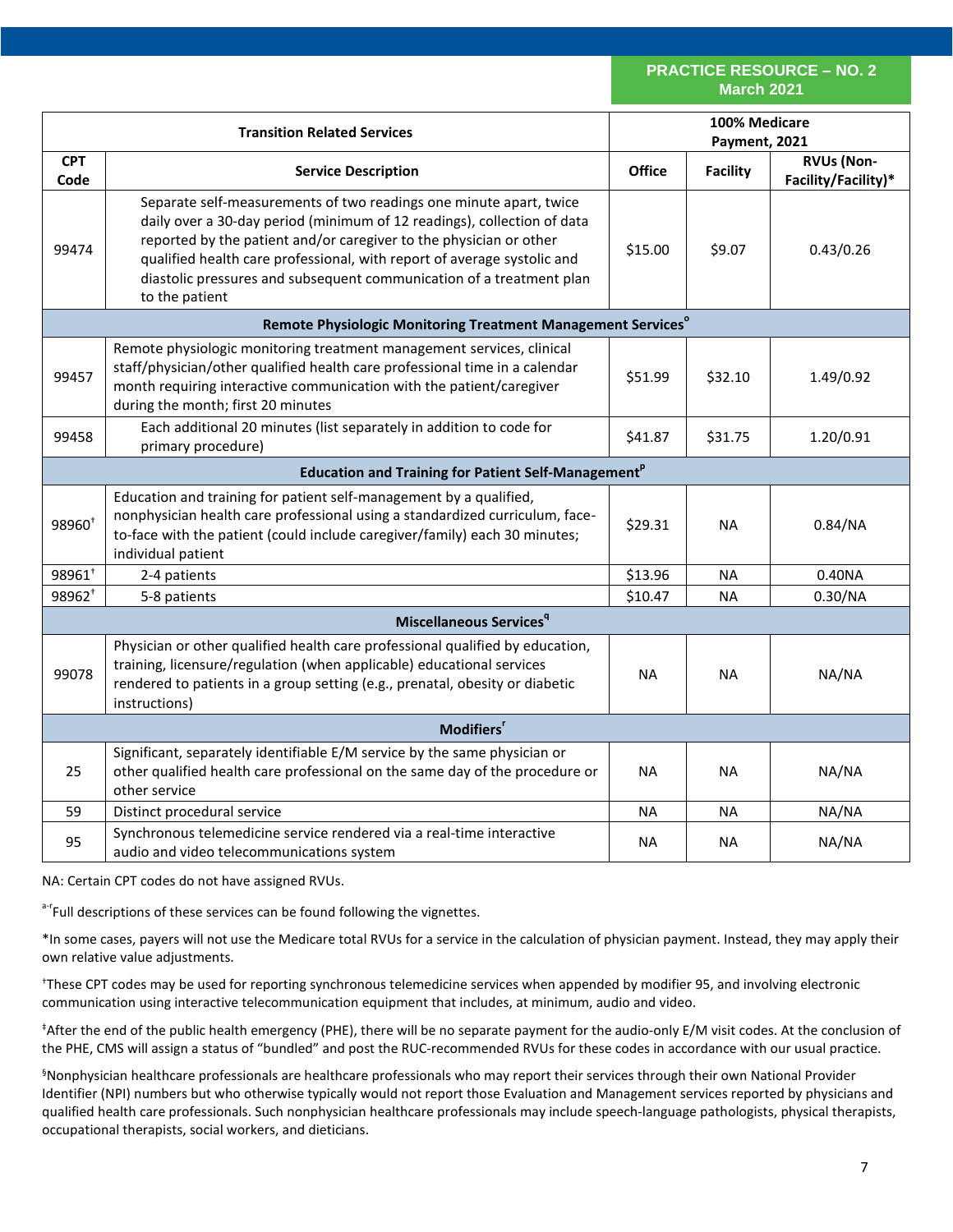| <b>Transition Related Services</b>                                     |                                                                                                                                                                                                                                                                                                                                                                                          |               | 100% Medicare<br>Payment, 2021 |                                          |  |  |
|------------------------------------------------------------------------|------------------------------------------------------------------------------------------------------------------------------------------------------------------------------------------------------------------------------------------------------------------------------------------------------------------------------------------------------------------------------------------|---------------|--------------------------------|------------------------------------------|--|--|
| <b>CPT</b><br>Code                                                     | <b>Service Description</b>                                                                                                                                                                                                                                                                                                                                                               | <b>Office</b> | <b>Facility</b>                | <b>RVUs (Non-</b><br>Facility/Facility)* |  |  |
| 99474                                                                  | Separate self-measurements of two readings one minute apart, twice<br>daily over a 30-day period (minimum of 12 readings), collection of data<br>reported by the patient and/or caregiver to the physician or other<br>qualified health care professional, with report of average systolic and<br>diastolic pressures and subsequent communication of a treatment plan<br>to the patient | \$15.00       | 0.43/0.26                      |                                          |  |  |
|                                                                        | Remote Physiologic Monitoring Treatment Management Services°                                                                                                                                                                                                                                                                                                                             |               |                                |                                          |  |  |
| 99457                                                                  | Remote physiologic monitoring treatment management services, clinical<br>staff/physician/other qualified health care professional time in a calendar<br>\$32.10<br>\$51.99<br>1.49/0.92<br>month requiring interactive communication with the patient/caregiver<br>during the month; first 20 minutes                                                                                    |               |                                |                                          |  |  |
| 99458                                                                  | Each additional 20 minutes (list separately in addition to code for<br>primary procedure)                                                                                                                                                                                                                                                                                                | \$41.87       | \$31.75                        | 1.20/0.91                                |  |  |
| <b>Education and Training for Patient Self-Management</b> <sup>P</sup> |                                                                                                                                                                                                                                                                                                                                                                                          |               |                                |                                          |  |  |
| 98960 <sup>+</sup>                                                     | Education and training for patient self-management by a qualified,<br>nonphysician health care professional using a standardized curriculum, face-<br>to-face with the patient (could include caregiver/family) each 30 minutes;<br>individual patient                                                                                                                                   | \$29.31       | NA                             | 0.84/NA                                  |  |  |
| 98961+                                                                 | 2-4 patients                                                                                                                                                                                                                                                                                                                                                                             | \$13.96       | <b>NA</b>                      | 0.40NA                                   |  |  |
| 98962+                                                                 | 5-8 patients                                                                                                                                                                                                                                                                                                                                                                             | \$10.47       | <b>NA</b>                      | 0.30/NA                                  |  |  |
|                                                                        | <b>Miscellaneous Services<sup>9</sup></b>                                                                                                                                                                                                                                                                                                                                                |               |                                |                                          |  |  |
| 99078                                                                  | Physician or other qualified health care professional qualified by education,<br>training, licensure/regulation (when applicable) educational services<br>rendered to patients in a group setting (e.g., prenatal, obesity or diabetic<br>instructions)                                                                                                                                  | <b>NA</b>     | <b>NA</b>                      | NA/NA                                    |  |  |
|                                                                        | Modifiers <sup>r</sup>                                                                                                                                                                                                                                                                                                                                                                   |               |                                |                                          |  |  |
| 25                                                                     | Significant, separately identifiable E/M service by the same physician or<br>other qualified health care professional on the same day of the procedure or<br><b>NA</b><br><b>NA</b><br>other service                                                                                                                                                                                     |               | NA/NA                          |                                          |  |  |
| 59                                                                     | Distinct procedural service                                                                                                                                                                                                                                                                                                                                                              | <b>NA</b>     | <b>NA</b>                      | NA/NA                                    |  |  |
| 95                                                                     | Synchronous telemedicine service rendered via a real-time interactive<br>NA/NA<br>ΝA<br>ΝA<br>audio and video telecommunications system                                                                                                                                                                                                                                                  |               |                                |                                          |  |  |

NA: Certain CPT codes do not have assigned RVUs.

a<sup>-r</sup>Full descriptions of these services can be found following the vignettes.

\*In some cases, payers will not use the Medicare total RVUs for a service in the calculation of physician payment. Instead, they may apply their own relative value adjustments.

†These CPT codes may be used for reporting synchronous telemedicine services when appended by modifier 95, and involving electronic communication using interactive telecommunication equipment that includes, at minimum, audio and video.

‡After the end of the public health emergency (PHE), there will be no separate payment for the audio-only E/M visit codes. At the conclusion of the PHE, CMS will assign a status of "bundled" and post the RUC-recommended RVUs for these codes in accordance with our usual practice.

§Nonphysician healthcare professionals are healthcare professionals who may report their services through their own National Provider Identifier (NPI) numbers but who otherwise typically would not report those Evaluation and Management services reported by physicians and qualified health care professionals. Such nonphysician healthcare professionals may include speech-language pathologists, physical therapists, occupational therapists, social workers, and dieticians.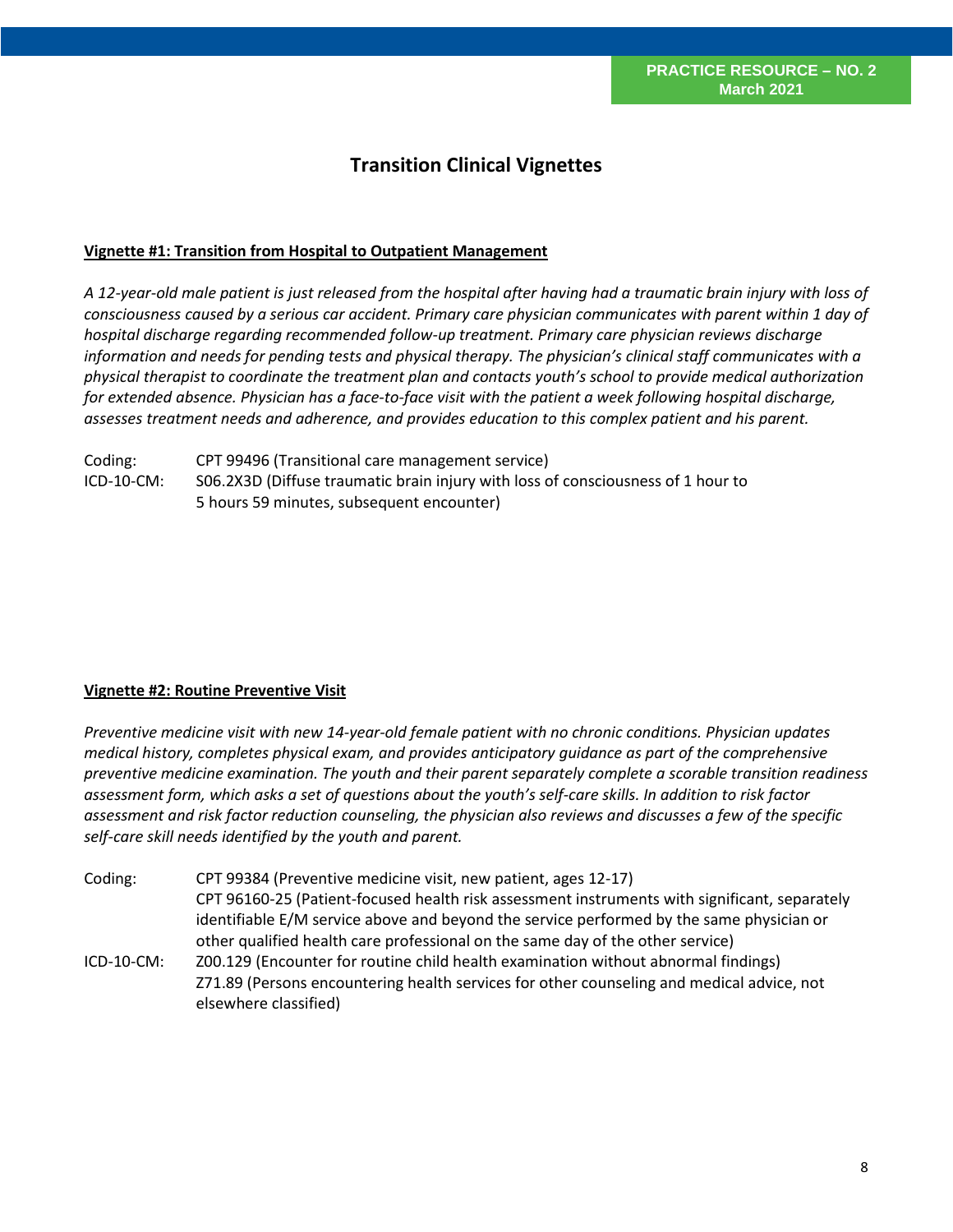## **Transition Clinical Vignettes**

#### **Vignette #1: Transition from Hospital to Outpatient Management**

A 12-year-old male patient is just released from the hospital after having had a traumatic brain injury with loss of consciousness caused by a serious car accident. Primary care physician communicates with parent within 1 day of *hospital discharge regarding recommended follow-up treatment. Primary care physician reviews discharge information and needs for pending tests and physical therapy. The physician's clinical staff communicates with a physical therapist to coordinate the treatment plan and contacts youth's school to provide medical authorization for extended absence. Physician has a face-to-face visit with the patient a week following hospital discharge, assesses treatment needs and adherence, and provides education to this complex patient and his parent.*

Coding: CPT 99496 (Transitional care management service) ICD-10-CM: S06.2X3D (Diffuse traumatic brain injury with loss of consciousness of 1 hour to 5 hours 59 minutes, subsequent encounter)

#### **Vignette #2: Routine Preventive Visit**

*Preventive medicine visit with new 14-year-old female patient with no chronic conditions. Physician updates medical history, completes physical exam, and provides anticipatory guidance as part of the comprehensive preventive medicine examination. The youth and their parent separately complete a scorable transition readiness* assessment form, which asks a set of questions about the youth's self-care skills. In addition to risk factor assessment and risk factor reduction counseling, the physician also reviews and discusses a few of the specific *self-care skill needs identified by the youth and parent.*

- Coding: CPT 99384 (Preventive medicine visit, new patient, ages 12-17) CPT 96160-25 (Patient-focused health risk assessment instruments with significant, separately identifiable E/M service above and beyond the service performed by the same physician or other qualified health care professional on the same day of the other service) ICD-10-CM: Z00.129 (Encounter for routine child health examination without abnormal findings)
- Z71.89 (Persons encountering health services for other counseling and medical advice, not elsewhere classified)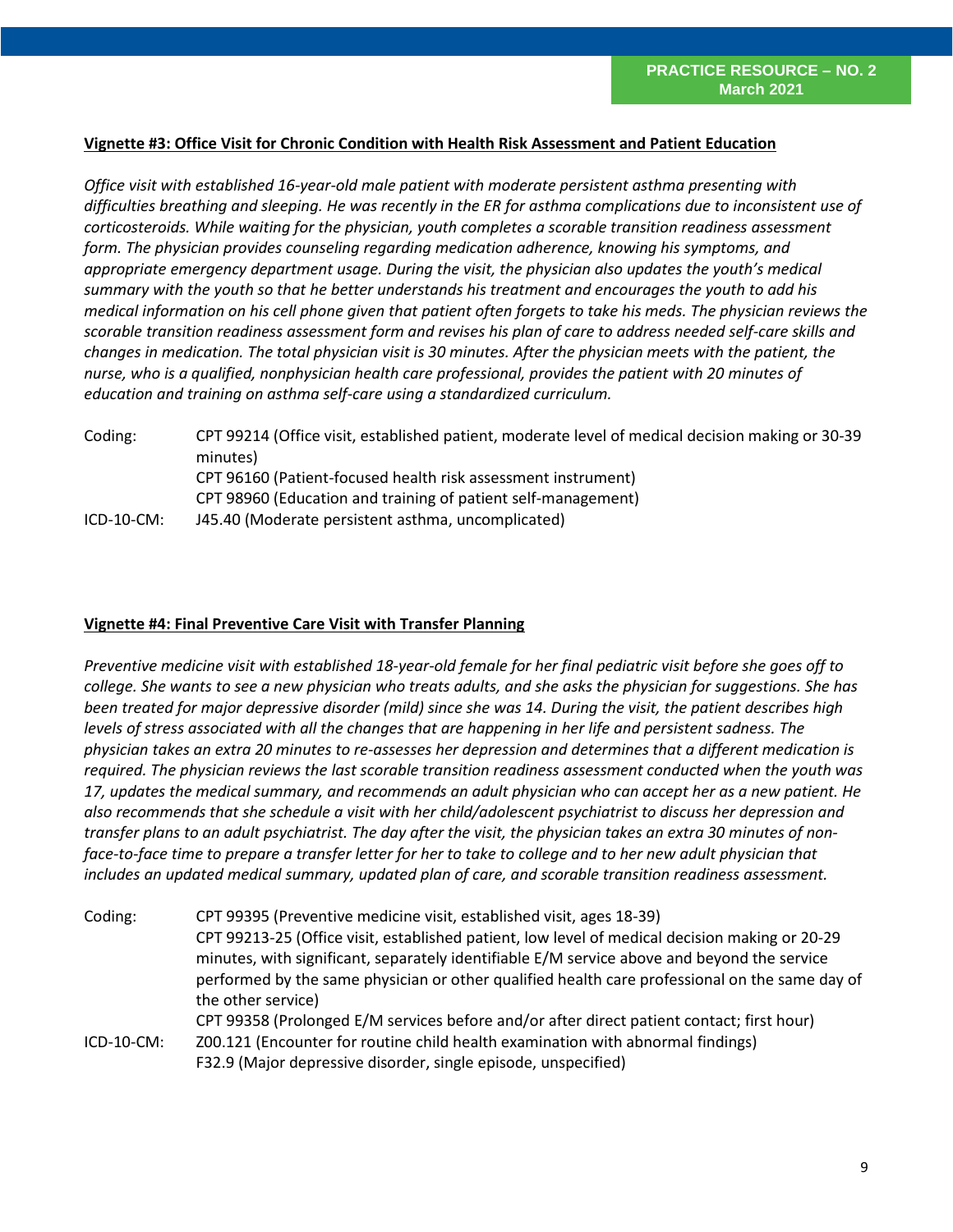#### **Vignette #3: Office Visit for Chronic Condition with Health Risk Assessment and Patient Education**

*Office visit with established 16-year-old male patient with moderate persistent asthma presenting with* difficulties breathing and sleeping. He was recently in the ER for asthma complications due to inconsistent use of *corticosteroids. While waiting for the physician, youth completes a scorable transition readiness assessment form. The physician provides counseling regarding medication adherence, knowing his symptoms, and appropriate emergency department usage. During the visit, the physician also updates the youth's medical* summary with the youth so that he better understands his treatment and encourages the youth to add his medical information on his cell phone given that patient often forgets to take his meds. The physician reviews the scorable transition readiness assessment form and revises his plan of care to address needed self-care skills and changes in medication. The total physician visit is 30 minutes. After the physician meets with the patient, the *nurse, who is a qualified, nonphysician health care professional, provides the patient with 20 minutes of education and training on asthma self-care using a standardized curriculum.*

Coding: CPT 99214 (Office visit, established patient, moderate level of medical decision making or 30-39 minutes) CPT 96160 (Patient-focused health risk assessment instrument) CPT 98960 (Education and training of patient self-management) ICD-10-CM: J45.40 (Moderate persistent asthma, uncomplicated)

#### **Vignette #4: Final Preventive Care Visit with Transfer Planning**

Preventive medicine visit with established 18-year-old female for her final pediatric visit before she goes off to college. She wants to see a new physician who treats adults, and she asks the physician for suggestions. She has been treated for major depressive disorder (mild) since she was 14. During the visit, the patient describes high levels of stress associated with all the changes that are happening in her life and persistent sadness. The physician takes an extra 20 minutes to re-assesses her depression and determines that a different medication is *required. The physician reviews the last scorable transition readiness assessment conducted when the youth was* 17, updates the medical summary, and recommends an adult physician who can accept her as a new patient. He *also recommends that she schedule a visit with her child/adolescent psychiatrist to discuss her depression and* transfer plans to an adult psychiatrist. The day after the visit, the physician takes an extra 30 minutes of nonface-to-face time to prepare a transfer letter for her to take to college and to her new adult physician that *includes an updated medical summary, updated plan of care, and scorable transition readiness assessment.*

Coding: CPT 99395 (Preventive medicine visit, established visit, ages 18-39) CPT 99213-25 (Office visit, established patient, low level of medical decision making or 20-29 minutes, with significant, separately identifiable E/M service above and beyond the service performed by the same physician or other qualified health care professional on the same day of the other service) CPT 99358 (Prolonged E/M services before and/or after direct patient contact; first hour) ICD-10-CM: Z00.121 (Encounter for routine child health examination with abnormal findings) F32.9 (Major depressive disorder, single episode, unspecified)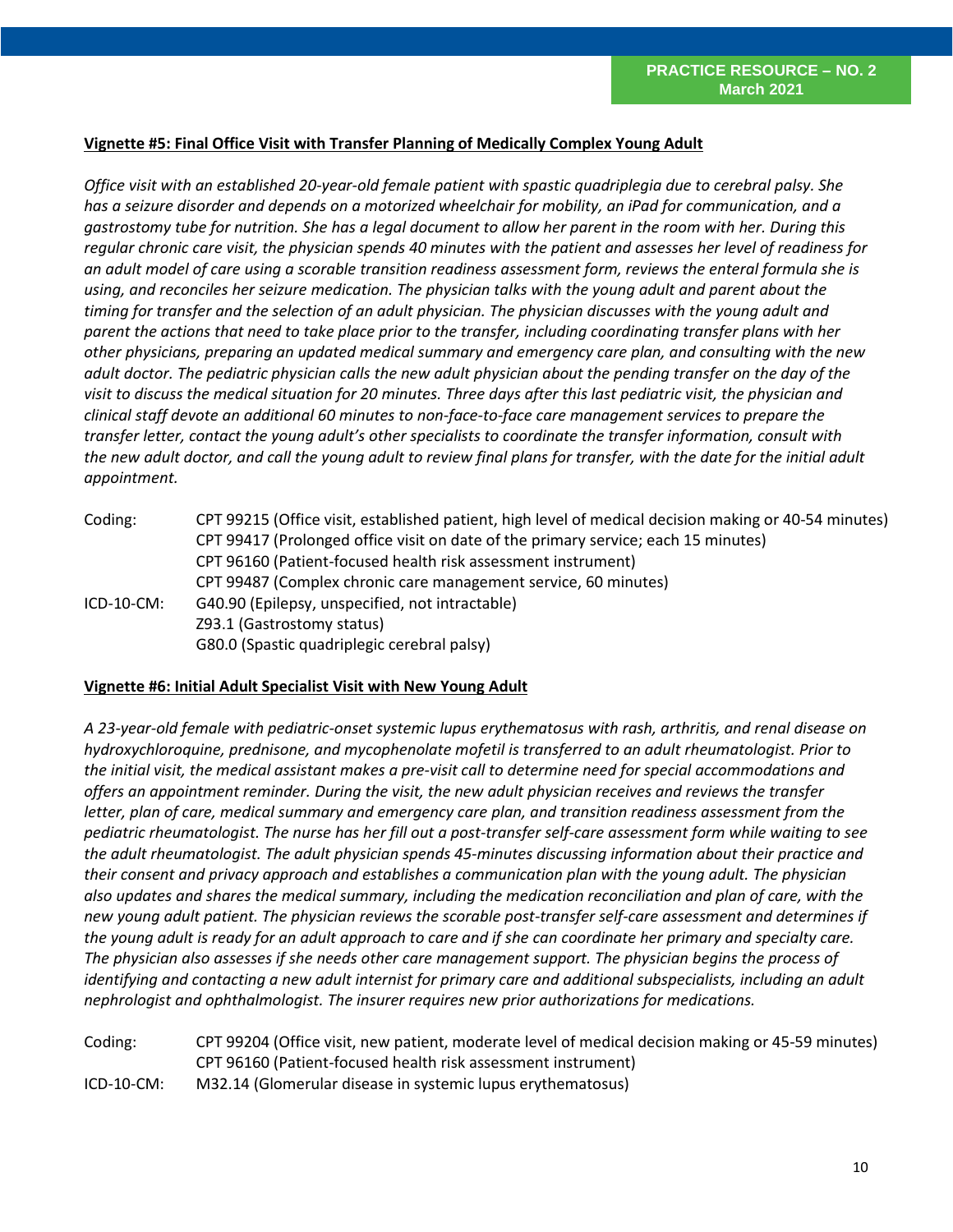#### **Vignette #5: Final Office Visit with Transfer Planning of Medically Complex Young Adult**

*Office visit with an established 20-year-old female patient with spastic quadriplegia due to cerebral palsy. She* has a seizure disorder and depends on a motorized wheelchair for mobility, an iPad for communication, and a gastrostomy tube for nutrition. She has a legal document to allow her parent in the room with her. During this regular chronic care visit, the physician spends 40 minutes with the patient and assesses her level of readiness for an adult model of care using a scorable transition readiness assessment form, reviews the enteral formula she is using, and reconciles her seizure medication. The physician talks with the young adult and parent about the timing for transfer and the selection of an adult physician. The physician discusses with the young adult and parent the actions that need to take place prior to the transfer, including coordinating transfer plans with her *other physicians, preparing an updated medical summary and emergency care plan, and consulting with the new* adult doctor. The pediatric physician calls the new adult physician about the pending transfer on the day of the visit to discuss the medical situation for 20 minutes. Three days after this last pediatric visit, the physician and *clinical staff devote an additional 60 minutes to non-face-to-face care management services to prepare the transfer letter, contact the young adult's other specialists to coordinate the transfer information, consult with* the new adult doctor, and call the young adult to review final plans for transfer, with the date for the initial adult *appointment.*

Coding: CPT 99215 (Office visit, established patient, high level of medical decision making or 40-54 minutes) CPT 99417 (Prolonged office visit on date of the primary service; each 15 minutes) CPT 96160 (Patient-focused health risk assessment instrument) CPT 99487 (Complex chronic care management service, 60 minutes) ICD-10-CM: G40.90 (Epilepsy, unspecified, not intractable) Z93.1 (Gastrostomy status) G80.0 (Spastic quadriplegic cerebral palsy)

#### **Vignette #6: Initial Adult Specialist Visit with New Young Adult**

*A 23-year-old female with pediatric-onset systemic lupus erythematosus with rash, arthritis, and renal disease on hydroxychloroquine, prednisone, and mycophenolate mofetil is transferred to an adult rheumatologist. Prior to* the initial visit, the medical assistant makes a pre-visit call to determine need for special accommodations and *offers an appointment reminder. During the visit, the new adult physician receives and reviews the transfer letter, plan of care, medical summary and emergency care plan, and transition readiness assessment from the* pediatric rheumatologist. The nurse has her fill out a post-transfer self-care assessment form while waiting to see *the adult rheumatologist. The adult physician spends 45-minutes discussing information about their practice and their consent and privacy approach and establishes a communication plan with the young adult. The physician* also updates and shares the medical summary, including the medication reconciliation and plan of care, with the *new young adult patient. The physician reviews the scorable post-transfer self-care assessment and determines if* the young adult is ready for an adult approach to care and if she can coordinate her primary and specialty care. The physician also assesses if she needs other care management support. The physician begins the process of identifying and contacting a new adult internist for primary care and additional subspecialists, including an adult *nephrologist and ophthalmologist. The insurer requires new prior authorizations for medications.*

- Coding: CPT 99204 (Office visit, new patient, moderate level of medical decision making or 45-59 minutes) CPT 96160 (Patient-focused health risk assessment instrument)
- ICD-10-CM: M32.14 (Glomerular disease in systemic lupus erythematosus)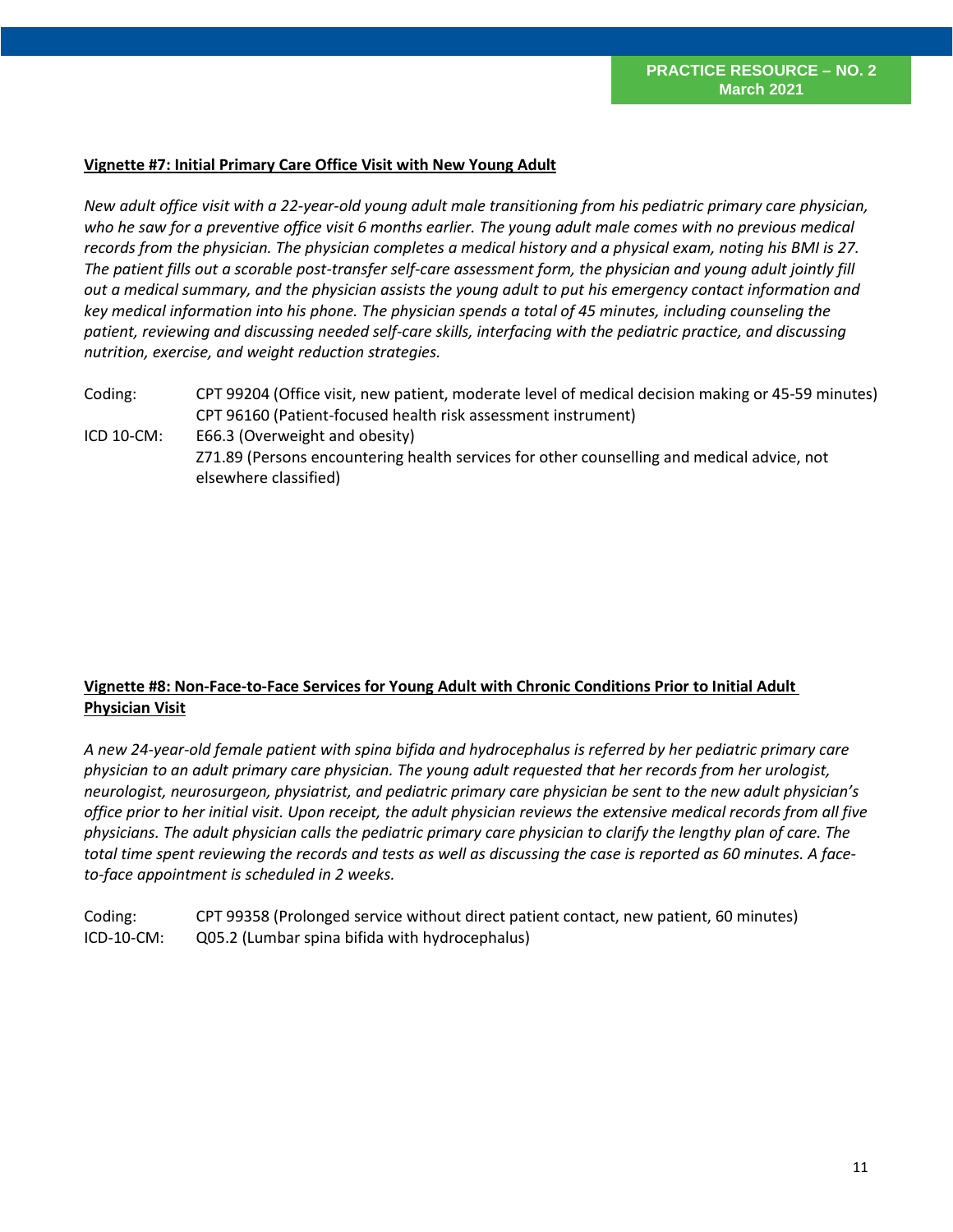#### **Vignette #7: Initial Primary Care Office Visit with New Young Adult**

New adult office visit with a 22-year-old young adult male transitioning from his pediatric primary care physician, who he saw for a preventive office visit 6 months earlier. The young adult male comes with no previous medical records from the physician. The physician completes a medical history and a physical exam, noting his BMI is 27. The patient fills out a scorable post-transfer self-care assessment form, the physician and young adult jointly fill out a medical summary, and the physician assists the young adult to put his emergency contact information and key medical information into his phone. The physician spends a total of 45 minutes, including counseling the *patient, reviewing and discussing needed self-care skills, interfacing with the pediatric practice, and discussing nutrition, exercise, and weight reduction strategies.*

- Coding: CPT 99204 (Office visit, new patient, moderate level of medical decision making or 45-59 minutes) CPT 96160 (Patient-focused health risk assessment instrument)
- ICD 10-CM: E66.3 (Overweight and obesity) Z71.89 (Persons encountering health services for other counselling and medical advice, not elsewhere classified)

#### **Vignette #8: Non-Face-to-Face Services for Young Adult with Chronic Conditions Prior to Initial Adult Physician Visit**

A new 24-year-old female patient with spina bifida and hydrocephalus is referred by her pediatric primary care physician to an adult primary care physician. The young adult requested that her records from her urologist, *neurologist, neurosurgeon, physiatrist, and pediatric primary care physician be sent to the new adult physician's* office prior to her initial visit. Upon receipt, the adult physician reviews the extensive medical records from all five physicians. The adult physician calls the pediatric primary care physician to clarify the lengthy plan of care. The total time spent reviewing the records and tests as well as discussing the case is reported as 60 minutes. A face*to-face appointment is scheduled in 2 weeks.*

Coding: CPT 99358 (Prolonged service without direct patient contact, new patient, 60 minutes) ICD-10-CM: Q05.2 (Lumbar spina bifida with hydrocephalus)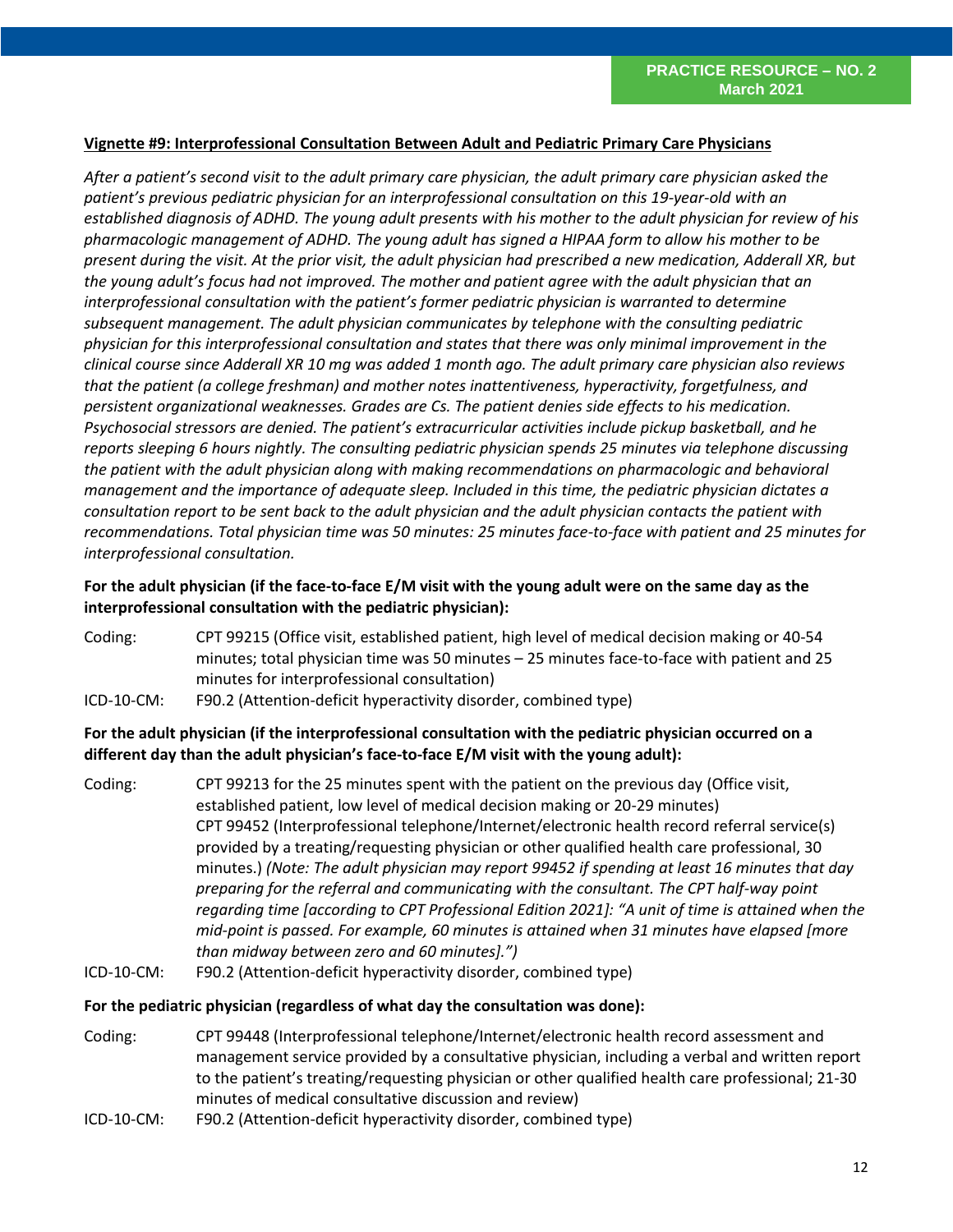#### **Vignette #9: Interprofessional Consultation Between Adult and Pediatric Primary Care Physicians**

After a patient's second visit to the adult primary care physician, the adult primary care physician asked the *patient's previous pediatric physician for an interprofessional consultation on this 19-year-old with an* established diagnosis of ADHD. The young adult presents with his mother to the adult physician for review of his pharmacologic management of ADHD. The young adult has signed a HIPAA form to allow his mother to be present during the visit. At the prior visit, the adult physician had prescribed a new medication, Adderall XR, but the young adult's focus had not improved. The mother and patient agree with the adult physician that an *interprofessional consultation with the patient's former pediatric physician is warranted to determine subsequent management. The adult physician communicates by telephone with the consulting pediatric physician for this interprofessional consultation and states that there was only minimal improvement in the* clinical course since Adderall XR 10 mg was added 1 month ago. The adult primary care physician also reviews *that the patient (a college freshman) and mother notes inattentiveness, hyperactivity, forgetfulness, and persistent organizational weaknesses. Grades are Cs. The patient denies side effects to his medication. Psychosocial stressors are denied. The patient's extracurricular activities include pickup basketball, and he reports sleeping 6 hours nightly. The consulting pediatric physician spends 25 minutes via telephone discussing the patient with the adult physician along with making recommendations on pharmacologic and behavioral management and the importance of adequate sleep. Included in this time, the pediatric physician dictates a* consultation report to be sent back to the adult physician and the adult physician contacts the patient with *recommendations. Total physician time was 50 minutes: 25 minutes face-to-face with patient and 25 minutes for interprofessional consultation.*

#### For the adult physician (if the face-to-face E/M visit with the young adult were on the same day as the **interprofessional consultation with the pediatric physician):**

- Coding: CPT 99215 (Office visit, established patient, high level of medical decision making or 40-54 minutes; total physician time was 50 minutes – 25 minutes face-to-face with patient and 25 minutes for interprofessional consultation)
- ICD-10-CM: F90.2 (Attention-deficit hyperactivity disorder, combined type)

#### **For the adult physician (if the interprofessional consultation with the pediatric physician occurred on a different day than the adult physician's face-to-face E/M visit with the young adult):**

- Coding: CPT 99213 for the 25 minutes spent with the patient on the previous day (Office visit, established patient, low level of medical decision making or 20-29 minutes) CPT 99452 (Interprofessional telephone/Internet/electronic health record referral service(s) provided by a treating/requesting physician or other qualified health care professional, 30 minutes.) *(Note: The adult physician may report 99452 if spending at least 16 minutes that day preparing for the referral and communicating with the consultant. The CPT half-way point regarding time [according to CPT Professional Edition 2021]: "A unit of time is attained when the mid-point is passed. For example, 60 minutes is attained when 31 minutes have elapsed [more than midway between zero and 60 minutes].")*
- ICD-10-CM: F90.2 (Attention-deficit hyperactivity disorder, combined type)

#### **For the pediatric physician (regardless of what day the consultation was done):**

- Coding: CPT 99448 (Interprofessional telephone/Internet/electronic health record assessment and management service provided by a consultative physician, including a verbal and written report to the patient's treating/requesting physician or other qualified health care professional; 21-30 minutes of medical consultative discussion and review)
- ICD-10-CM: F90.2 (Attention-deficit hyperactivity disorder, combined type)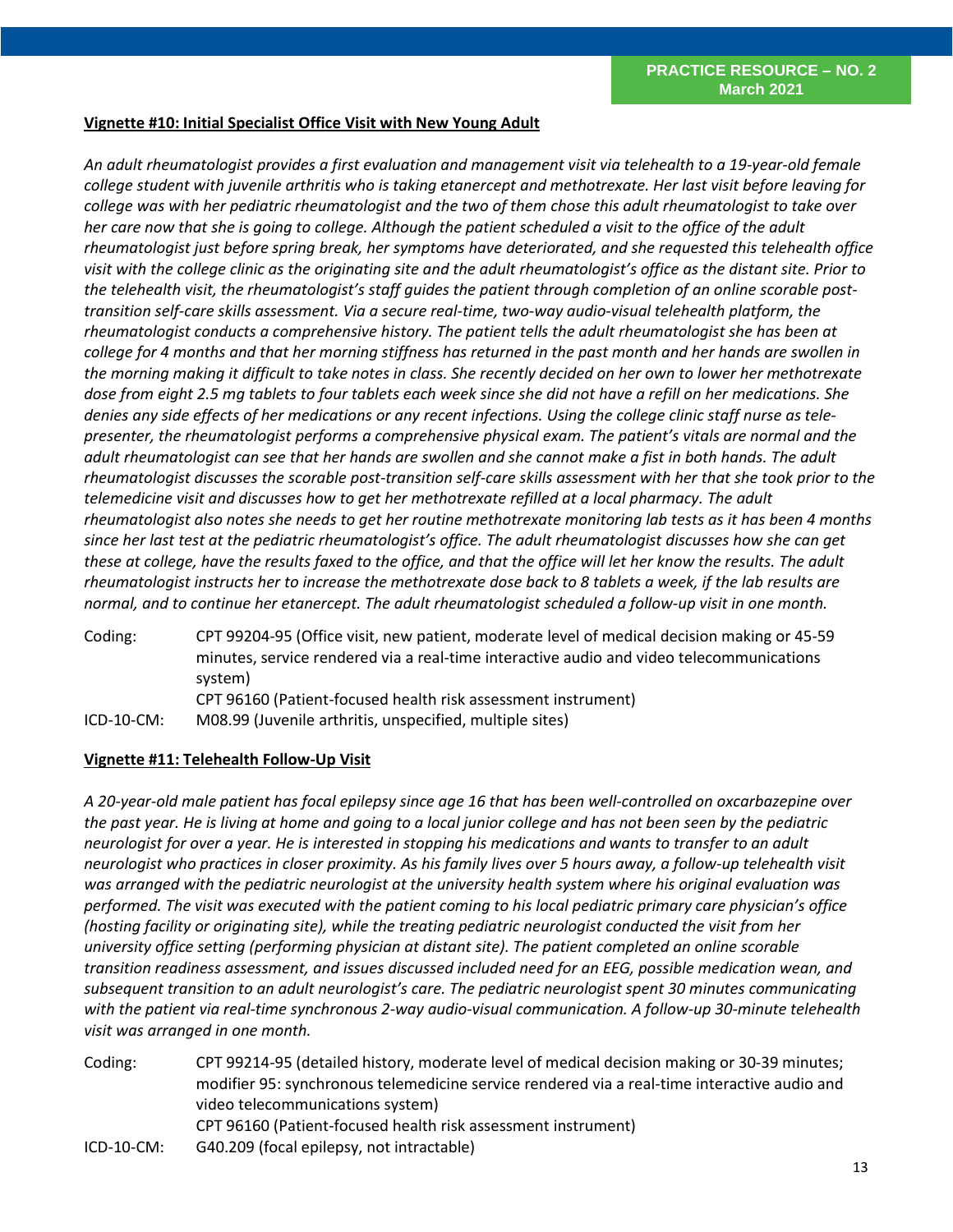#### **Vignette #10: Initial Specialist Office Visit with New Young Adult**

*An adult rheumatologist provides a first evaluation and management visit via telehealth to a 19-year-old female* college student with juvenile arthritis who is taking etanercept and methotrexate. Her last visit before leaving for college was with her pediatric rheumatologist and the two of them chose this adult rheumatologist to take over her care now that she is going to college. Although the patient scheduled a visit to the office of the adult *rheumatologist just before spring break, her symptoms have deteriorated, and she requested this telehealth office* visit with the college clinic as the originating site and the adult rheumatologist's office as the distant site. Prior to the telehealth visit, the rheumatologist's staff guides the patient through completion of an online scorable post*transition self-care skills assessment. Via a secure real-time, two-way audio-visual telehealth platform, the rheumatologist conducts a comprehensive history. The patient tells the adult rheumatologist she has been at* college for 4 months and that her morning stiffness has returned in the past month and her hands are swollen in the morning making it difficult to take notes in class. She recently decided on her own to lower her methotrexate dose from eight 2.5 mg tablets to four tablets each week since she did not have a refill on her medications. She denies any side effects of her medications or any recent infections. Using the college clinic staff nurse as tele*presenter, the rheumatologist performs a comprehensive physical exam. The patient's vitals are normal and the* adult rheumatologist can see that her hands are swollen and she cannot make a fist in both hands. The adult rheumatologist discusses the scorable post-transition self-care skills assessment with her that she took prior to the *telemedicine visit and discusses how to get her methotrexate refilled at a local pharmacy. The adult* rheumatologist also notes she needs to get her routine methotrexate monitoring lab tests as it has been 4 months since her last test at the pediatric rheumatologist's office. The adult rheumatologist discusses how she can get these at college, have the results faxed to the office, and that the office will let her know the results. The adult rheumatologist instructs her to increase the methotrexate dose back to 8 tablets a week, if the lab results are *normal, and to continue her etanercept. The adult rheumatologist scheduled a follow-up visit in one month.*

- Coding: CPT 99204-95 (Office visit, new patient, moderate level of medical decision making or 45-59 minutes, service rendered via a real-time interactive audio and video telecommunications system) CPT 96160 (Patient-focused health risk assessment instrument)
- ICD-10-CM: M08.99 (Juvenile arthritis, unspecified, multiple sites)

#### **Vignette #11: Telehealth Follow-Up Visit**

*A 20-year-old male patient has focal epilepsy since age 16 that has been well-controlled on oxcarbazepine over* the past year. He is living at home and going to a local junior college and has not been seen by the pediatric neurologist for over a year. He is interested in stopping his medications and wants to transfer to an adult neurologist who practices in closer proximity. As his family lives over 5 hours away, a follow-up telehealth visit *was arranged with the pediatric neurologist at the university health system where his original evaluation was* performed. The visit was executed with the patient coming to his local pediatric primary care physician's office *(hosting facility or originating site), while the treating pediatric neurologist conducted the visit from her university office setting (performing physician at distant site). The patient completed an online scorable transition readiness assessment, and issues discussed included need for an EEG, possible medication wean, and subsequent transition to an adult neurologist's care. The pediatric neurologist spent 30 minutes communicating with the patient via real-time synchronous 2-way audio-visual communication. A follow-up 30-minute telehealth visit was arranged in one month.*

Coding: CPT 99214-95 (detailed history, moderate level of medical decision making or 30-39 minutes; modifier 95: synchronous telemedicine service rendered via a real-time interactive audio and video telecommunications system) CPT 96160 (Patient-focused health risk assessment instrument) ICD-10-CM: G40.209 (focal epilepsy, not intractable)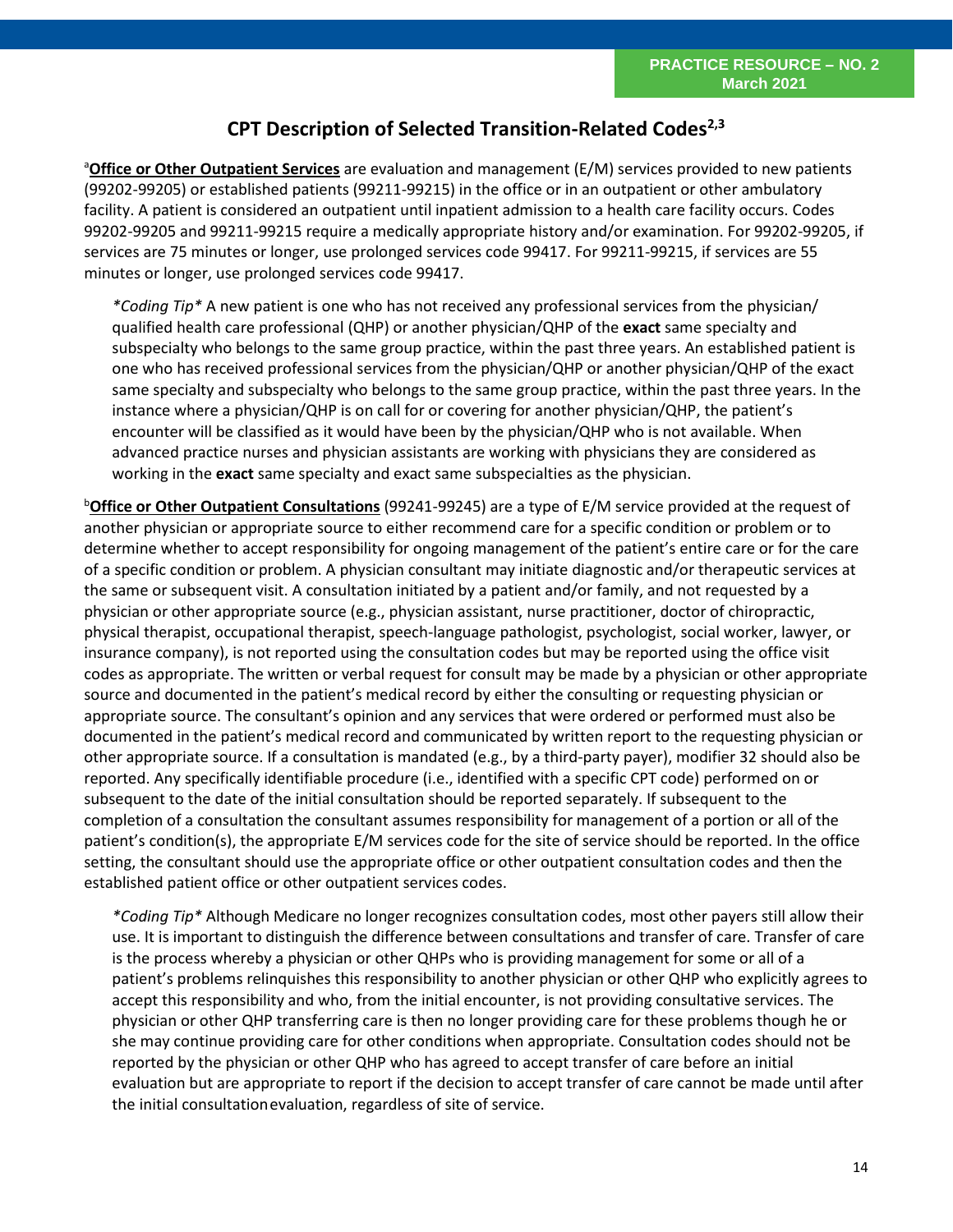## **CPT Description of Selected Transition-Related Codes2,3**

<sup>a</sup>**Office or Other Outpatient Services** are evaluation and management (E/M) services provided to new patients (99202-99205) or established patients (99211-99215) in the office or in an outpatient or other ambulatory facility. A patient is considered an outpatient until inpatient admission to a health care facility occurs. Codes 99202-99205 and 99211-99215 require a medically appropriate history and/or examination. For 99202-99205, if services are 75 minutes or longer, use prolonged services code 99417. For 99211-99215, if services are 55 minutes or longer, use prolonged services code 99417.

*\*Coding Tip\** A new patient is one who has not received any professional services from the physician/ qualified health care professional (QHP) or another physician/QHP of the **exact** same specialty and subspecialty who belongs to the same group practice, within the past three years. An established patient is one who has received professional services from the physician/QHP or another physician/QHP of the exact same specialty and subspecialty who belongs to the same group practice, within the past three years. In the instance where a physician/QHP is on call for or covering for another physician/QHP, the patient's encounter will be classified as it would have been by the physician/QHP who is not available. When advanced practice nurses and physician assistants are working with physicians they are considered as working in the **exact** same specialty and exact same subspecialties as the physician.

<sup>b</sup>**Office or Other Outpatient Consultations** (99241-99245) are a type of E/M service provided at the request of another physician or appropriate source to either recommend care for a specific condition or problem or to determine whether to accept responsibility for ongoing management of the patient's entire care or for the care of a specific condition or problem. A physician consultant may initiate diagnostic and/or therapeutic services at the same or subsequent visit. A consultation initiated by a patient and/or family, and not requested by a physician or other appropriate source (e.g., physician assistant, nurse practitioner, doctor of chiropractic, physical therapist, occupational therapist, speech-language pathologist, psychologist, social worker, lawyer, or insurance company), is not reported using the consultation codes but may be reported using the office visit codes as appropriate. The written or verbal request for consult may be made by a physician or other appropriate source and documented in the patient's medical record by either the consulting or requesting physician or appropriate source. The consultant's opinion and any services that were ordered or performed must also be documented in the patient's medical record and communicated by written report to the requesting physician or other appropriate source. If a consultation is mandated (e.g., by a third-party payer), modifier 32 should also be reported. Any specifically identifiable procedure (i.e., identified with a specific CPT code) performed on or subsequent to the date of the initial consultation should be reported separately. If subsequent to the completion of a consultation the consultant assumes responsibility for management of a portion or all of the patient's condition(s), the appropriate E/M services code for the site of service should be reported. In the office setting, the consultant should use the appropriate office or other outpatient consultation codes and then the established patient office or other outpatient services codes.

*\*Coding Tip\** Although Medicare no longer recognizes consultation codes, most other payers still allow their use. It is important to distinguish the difference between consultations and transfer of care. Transfer of care is the process whereby a physician or other QHPs who is providing management for some or all of a patient's problems relinquishes this responsibility to another physician or other QHP who explicitly agrees to accept this responsibility and who, from the initial encounter, is not providing consultative services. The physician or other QHP transferring care is then no longer providing care for these problems though he or she may continue providing care for other conditions when appropriate. Consultation codes should not be reported by the physician or other QHP who has agreed to accept transfer of care before an initial evaluation but are appropriate to report if the decision to accept transfer of care cannot be made until after the initial consultationevaluation, regardless of site of service.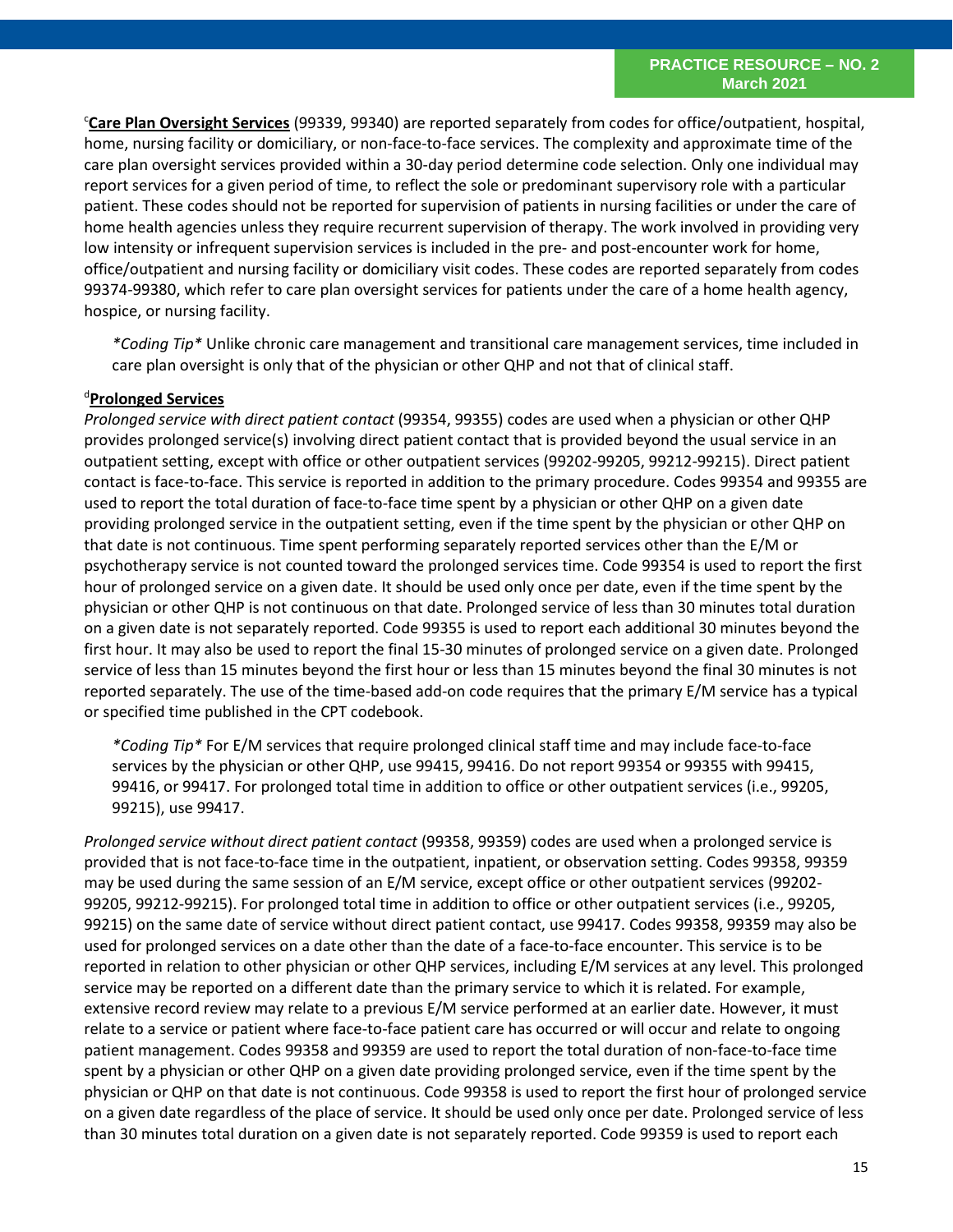<sup>c</sup>**Care Plan Oversight Services** (99339, 99340) are reported separately from codes for office/outpatient, hospital, home, nursing facility or domiciliary, or non-face-to-face services. The complexity and approximate time of the care plan oversight services provided within a 30-day period determine code selection. Only one individual may report services for a given period of time, to reflect the sole or predominant supervisory role with a particular patient. These codes should not be reported for supervision of patients in nursing facilities or under the care of home health agencies unless they require recurrent supervision of therapy. The work involved in providing very low intensity or infrequent supervision services is included in the pre- and post-encounter work for home, office/outpatient and nursing facility or domiciliary visit codes. These codes are reported separately from codes 99374-99380, which refer to care plan oversight services for patients under the care of a home health agency, hospice, or nursing facility.

*\*Coding Tip\** Unlike chronic care management and transitional care management services, time included in care plan oversight is only that of the physician or other QHP and not that of clinical staff.

#### <sup>d</sup>**Prolonged Services**

*Prolonged service with direct patient contact* (99354, 99355) codes are used when a physician or other QHP provides prolonged service(s) involving direct patient contact that is provided beyond the usual service in an outpatient setting, except with office or other outpatient services (99202-99205, 99212-99215). Direct patient contact is face-to-face. This service is reported in addition to the primary procedure. Codes 99354 and 99355 are used to report the total duration of face-to-face time spent by a physician or other QHP on a given date providing prolonged service in the outpatient setting, even if the time spent by the physician or other QHP on that date is not continuous. Time spent performing separately reported services other than the E/M or psychotherapy service is not counted toward the prolonged services time. Code 99354 is used to report the first hour of prolonged service on a given date. It should be used only once per date, even if the time spent by the physician or other QHP is not continuous on that date. Prolonged service of less than 30 minutes total duration on a given date is not separately reported. Code 99355 is used to report each additional 30 minutes beyond the first hour. It may also be used to report the final 15-30 minutes of prolonged service on a given date. Prolonged service of less than 15 minutes beyond the first hour or less than 15 minutes beyond the final 30 minutes is not reported separately. The use of the time-based add-on code requires that the primary E/M service has a typical or specified time published in the CPT codebook.

*\*Coding Tip\** For E/M services that require prolonged clinical staff time and may include face-to-face services by the physician or other QHP, use 99415, 99416. Do not report 99354 or 99355 with 99415, 99416, or 99417. For prolonged total time in addition to office or other outpatient services (i.e., 99205, 99215), use 99417.

*Prolonged service without direct patient contact* (99358, 99359) codes are used when a prolonged service is provided that is not face-to-face time in the outpatient, inpatient, or observation setting. Codes 99358, 99359 may be used during the same session of an E/M service, except office or other outpatient services (99202- 99205, 99212-99215). For prolonged total time in addition to office or other outpatient services (i.e., 99205, 99215) on the same date of service without direct patient contact, use 99417. Codes 99358, 99359 may also be used for prolonged services on a date other than the date of a face-to-face encounter. This service is to be reported in relation to other physician or other QHP services, including E/M services at any level. This prolonged service may be reported on a different date than the primary service to which it is related. For example, extensive record review may relate to a previous E/M service performed at an earlier date. However, it must relate to a service or patient where face-to-face patient care has occurred or will occur and relate to ongoing patient management. Codes 99358 and 99359 are used to report the total duration of non-face-to-face time spent by a physician or other QHP on a given date providing prolonged service, even if the time spent by the physician or QHP on that date is not continuous. Code 99358 is used to report the first hour of prolonged service on a given date regardless of the place of service. It should be used only once per date. Prolonged service of less than 30 minutes total duration on a given date is not separately reported. Code 99359 is used to report each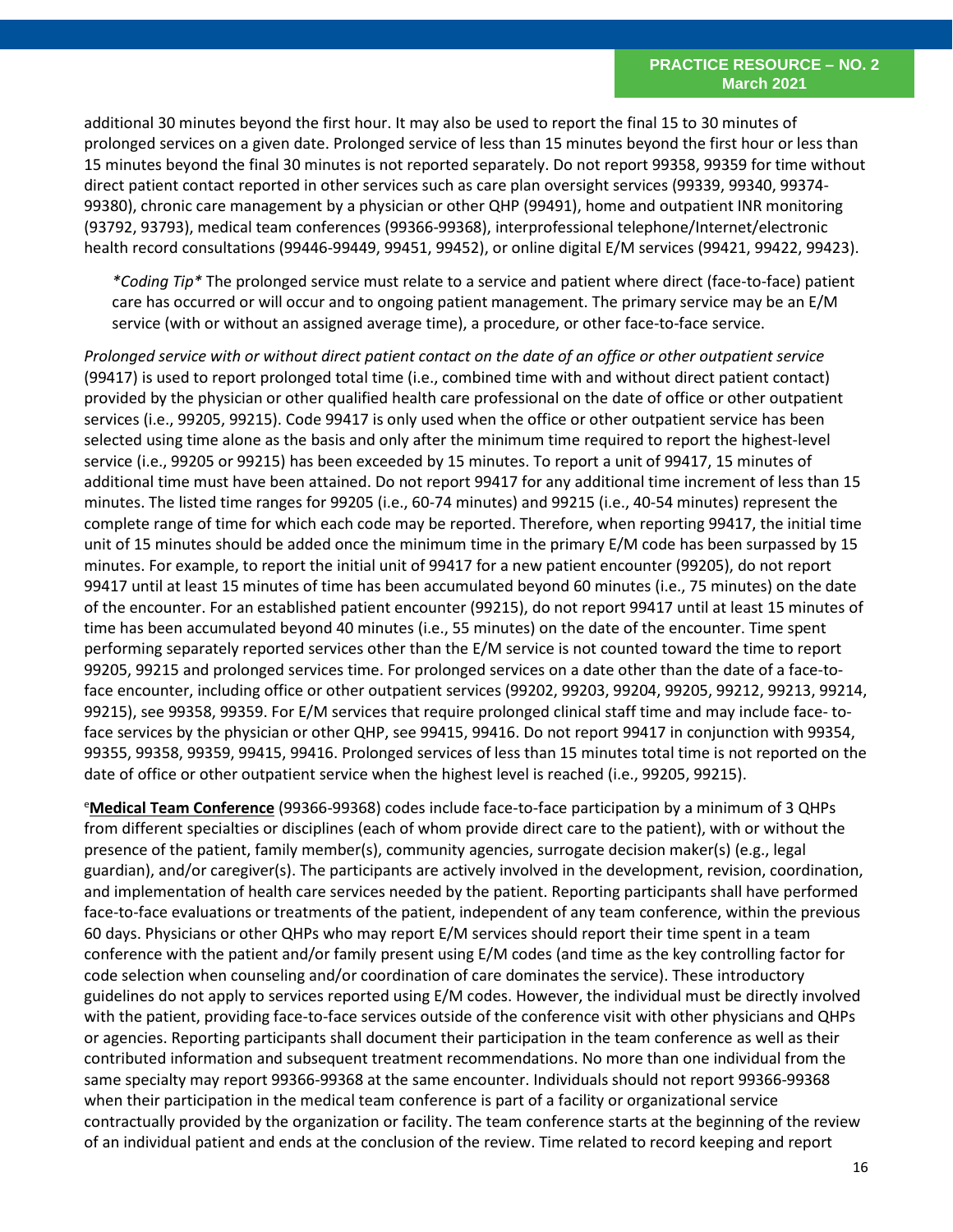additional 30 minutes beyond the first hour. It may also be used to report the final 15 to 30 minutes of prolonged services on a given date. Prolonged service of less than 15 minutes beyond the first hour or less than 15 minutes beyond the final 30 minutes is not reported separately. Do not report 99358, 99359 for time without direct patient contact reported in other services such as care plan oversight services (99339, 99340, 99374- 99380), chronic care management by a physician or other QHP (99491), home and outpatient INR monitoring (93792, 93793), medical team conferences (99366-99368), interprofessional telephone/Internet/electronic health record consultations (99446-99449, 99451, 99452), or online digital E/M services (99421, 99422, 99423).

*\*Coding Tip\** The prolonged service must relate to a service and patient where direct (face-to-face) patient care has occurred or will occur and to ongoing patient management. The primary service may be an E/M service (with or without an assigned average time), a procedure, or other face-to-face service.

Prolonged service with or without direct patient contact on the date of an office or other outpatient service (99417) is used to report prolonged total time (i.e., combined time with and without direct patient contact) provided by the physician or other qualified health care professional on the date of office or other outpatient services (i.e., 99205, 99215). Code 99417 is only used when the office or other outpatient service has been selected using time alone as the basis and only after the minimum time required to report the highest-level service (i.e., 99205 or 99215) has been exceeded by 15 minutes. To report a unit of 99417, 15 minutes of additional time must have been attained. Do not report 99417 for any additional time increment of less than 15 minutes. The listed time ranges for 99205 (i.e., 60-74 minutes) and 99215 (i.e., 40-54 minutes) represent the complete range of time for which each code may be reported. Therefore, when reporting 99417, the initial time unit of 15 minutes should be added once the minimum time in the primary E/M code has been surpassed by 15 minutes. For example, to report the initial unit of 99417 for a new patient encounter (99205), do not report 99417 until at least 15 minutes of time has been accumulated beyond 60 minutes (i.e., 75 minutes) on the date of the encounter. For an established patient encounter (99215), do not report 99417 until at least 15 minutes of time has been accumulated beyond 40 minutes (i.e., 55 minutes) on the date of the encounter. Time spent performing separately reported services other than the E/M service is not counted toward the time to report 99205, 99215 and prolonged services time. For prolonged services on a date other than the date of a face-toface encounter, including office or other outpatient services (99202, 99203, 99204, 99205, 99212, 99213, 99214, 99215), see 99358, 99359. For E/M services that require prolonged clinical staff time and may include face- toface services by the physician or other QHP, see 99415, 99416. Do not report 99417 in conjunction with 99354, 99355, 99358, 99359, 99415, 99416. Prolonged services of less than 15 minutes total time is not reported on the date of office or other outpatient service when the highest level is reached (i.e., 99205, 99215).

<sup>e</sup>**Medical Team Conference** (99366-99368) codes include face-to-face participation by a minimum of 3 QHPs from different specialties or disciplines (each of whom provide direct care to the patient), with or without the presence of the patient, family member(s), community agencies, surrogate decision maker(s) (e.g., legal guardian), and/or caregiver(s). The participants are actively involved in the development, revision, coordination, and implementation of health care services needed by the patient. Reporting participants shall have performed face-to-face evaluations or treatments of the patient, independent of any team conference, within the previous 60 days. Physicians or other QHPs who may report E/M services should report their time spent in a team conference with the patient and/or family present using E/M codes (and time as the key controlling factor for code selection when counseling and/or coordination of care dominates the service). These introductory guidelines do not apply to services reported using E/M codes. However, the individual must be directly involved with the patient, providing face-to-face services outside of the conference visit with other physicians and QHPs or agencies. Reporting participants shall document their participation in the team conference as well as their contributed information and subsequent treatment recommendations. No more than one individual from the same specialty may report 99366-99368 at the same encounter. Individuals should not report 99366-99368 when their participation in the medical team conference is part of a facility or organizational service contractually provided by the organization or facility. The team conference starts at the beginning of the review of an individual patient and ends at the conclusion of the review. Time related to record keeping and report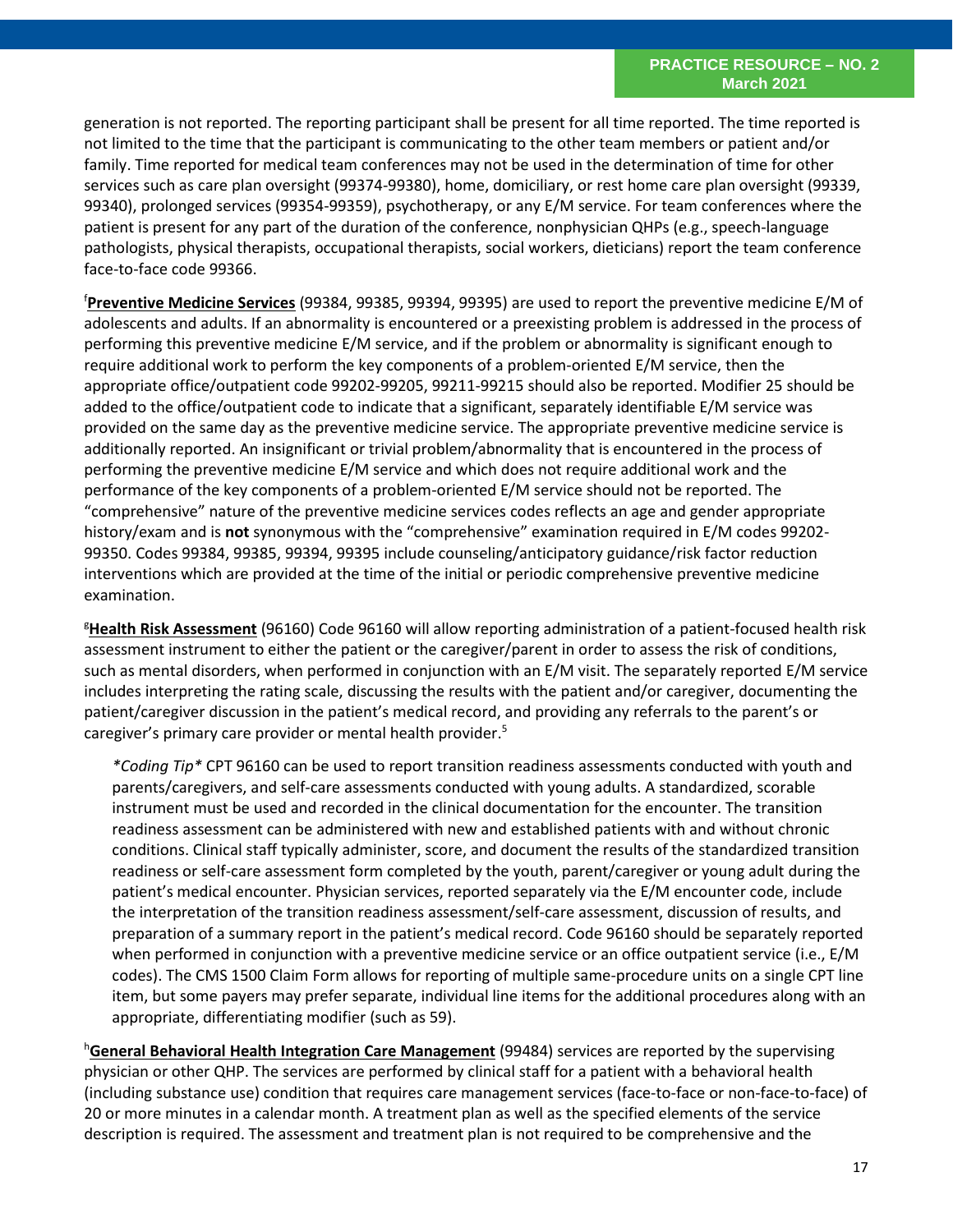generation is not reported. The reporting participant shall be present for all time reported. The time reported is not limited to the time that the participant is communicating to the other team members or patient and/or family. Time reported for medical team conferences may not be used in the determination of time for other services such as care plan oversight (99374-99380), home, domiciliary, or rest home care plan oversight (99339, 99340), prolonged services (99354-99359), psychotherapy, or any E/M service. For team conferences where the patient is present for any part of the duration of the conference, nonphysician QHPs (e.g., speech-language pathologists, physical therapists, occupational therapists, social workers, dieticians) report the team conference face-to-face code 99366.

<sup>f</sup>**Preventive Medicine Services** (99384, 99385, 99394, 99395) are used to report the preventive medicine E/M of adolescents and adults. If an abnormality is encountered or a preexisting problem is addressed in the process of performing this preventive medicine E/M service, and if the problem or abnormality is significant enough to require additional work to perform the key components of a problem-oriented E/M service, then the appropriate office/outpatient code 99202-99205, 99211-99215 should also be reported. Modifier 25 should be added to the office/outpatient code to indicate that a significant, separately identifiable E/M service was provided on the same day as the preventive medicine service. The appropriate preventive medicine service is additionally reported. An insignificant or trivial problem/abnormality that is encountered in the process of performing the preventive medicine E/M service and which does not require additional work and the performance of the key components of a problem-oriented E/M service should not be reported. The "comprehensive" nature of the preventive medicine services codes reflects an age and gender appropriate history/exam and is **not** synonymous with the "comprehensive" examination required in E/M codes 99202- 99350. Codes 99384, 99385, 99394, 99395 include counseling/anticipatory guidance/risk factor reduction interventions which are provided at the time of the initial or periodic comprehensive preventive medicine examination.

<sup>g</sup>**Health Risk Assessment** (96160) Code 96160 will allow reporting administration of a patient-focused health risk assessment instrument to either the patient or the caregiver/parent in order to assess the risk of conditions, such as mental disorders, when performed in conjunction with an E/M visit. The separately reported E/M service includes interpreting the rating scale, discussing the results with the patient and/or caregiver, documenting the patient/caregiver discussion in the patient's medical record, and providing any referrals to the parent's or caregiver's primary care provider or mental health provider.<sup>5</sup>

*\*Coding Tip\** CPT 96160 can be used to report transition readiness assessments conducted with youth and parents/caregivers, and self-care assessments conducted with young adults. A standardized, scorable instrument must be used and recorded in the clinical documentation for the encounter. The transition readiness assessment can be administered with new and established patients with and without chronic conditions. Clinical staff typically administer, score, and document the results of the standardized transition readiness or self-care assessment form completed by the youth, parent/caregiver or young adult during the patient's medical encounter. Physician services, reported separately via the E/M encounter code, include the interpretation of the transition readiness assessment/self-care assessment, discussion of results, and preparation of a summary report in the patient's medical record. Code 96160 should be separately reported when performed in conjunction with a preventive medicine service or an office outpatient service (i.e., E/M codes). The CMS 1500 Claim Form allows for reporting of multiple same-procedure units on a single CPT line item, but some payers may prefer separate, individual line items for the additional procedures along with an appropriate, differentiating modifier (such as 59).

<sup>h</sup>**General Behavioral Health Integration Care Management** (99484) services are reported by the supervising physician or other QHP. The services are performed by clinical staff for a patient with a behavioral health (including substance use) condition that requires care management services (face-to-face or non-face-to-face) of 20 or more minutes in a calendar month. A treatment plan as well as the specified elements of the service description is required. The assessment and treatment plan is not required to be comprehensive and the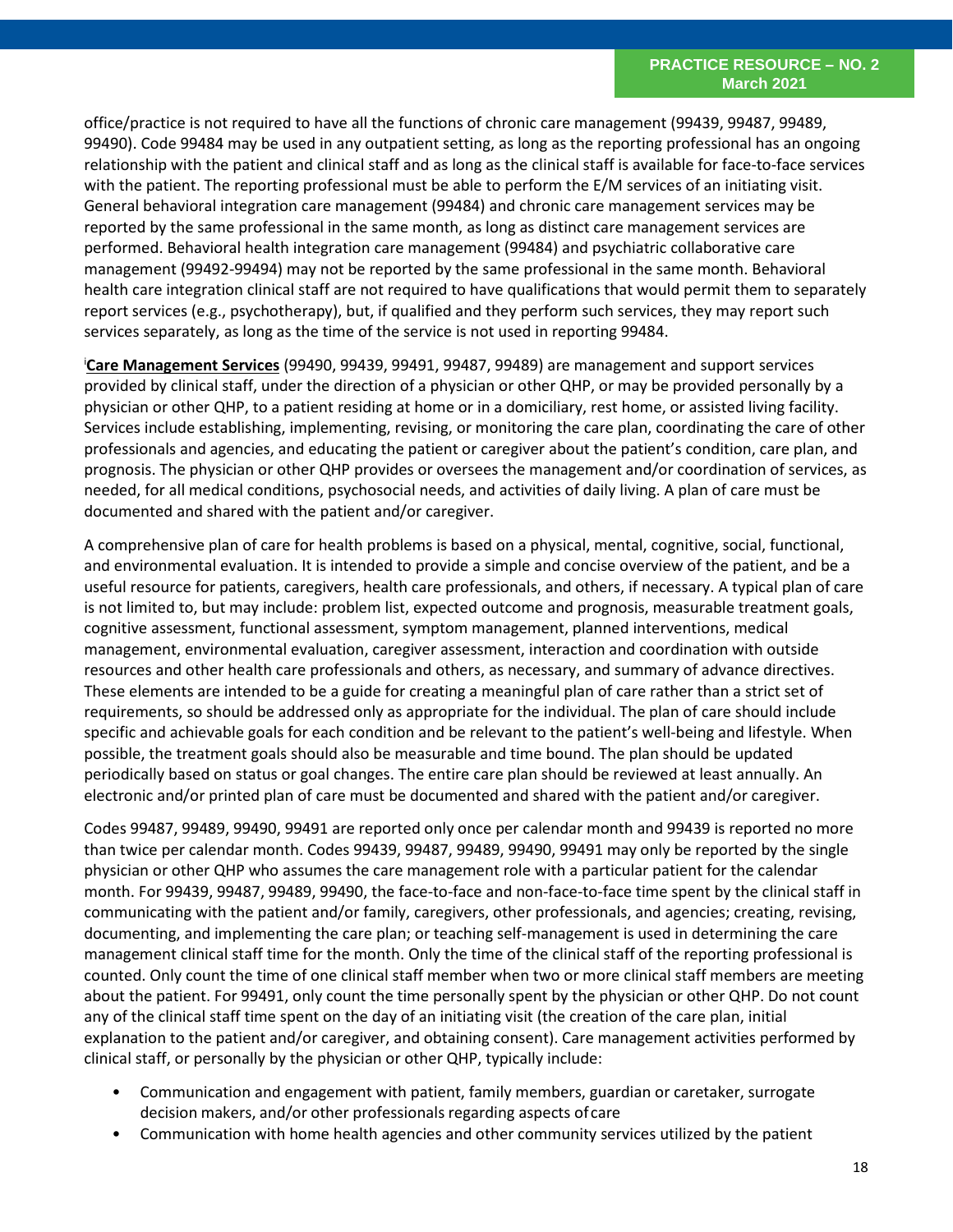office/practice is not required to have all the functions of chronic care management (99439, 99487, 99489, 99490). Code 99484 may be used in any outpatient setting, as long as the reporting professional has an ongoing relationship with the patient and clinical staff and as long as the clinical staff is available for face-to-face services with the patient. The reporting professional must be able to perform the E/M services of an initiating visit. General behavioral integration care management (99484) and chronic care management services may be reported by the same professional in the same month, as long as distinct care management services are performed. Behavioral health integration care management (99484) and psychiatric collaborative care management (99492-99494) may not be reported by the same professional in the same month. Behavioral health care integration clinical staff are not required to have qualifications that would permit them to separately report services (e.g., psychotherapy), but, if qualified and they perform such services, they may report such services separately, as long as the time of the service is not used in reporting 99484.

<sup>i</sup>**Care Management Services** (99490, 99439, 99491, 99487, 99489) are management and support services provided by clinical staff, under the direction of a physician or other QHP, or may be provided personally by a physician or other QHP, to a patient residing at home or in a domiciliary, rest home, or assisted living facility. Services include establishing, implementing, revising, or monitoring the care plan, coordinating the care of other professionals and agencies, and educating the patient or caregiver about the patient's condition, care plan, and prognosis. The physician or other QHP provides or oversees the management and/or coordination of services, as needed, for all medical conditions, psychosocial needs, and activities of daily living. A plan of care must be documented and shared with the patient and/or caregiver.

A comprehensive plan of care for health problems is based on a physical, mental, cognitive, social, functional, and environmental evaluation. It is intended to provide a simple and concise overview of the patient, and be a useful resource for patients, caregivers, health care professionals, and others, if necessary. A typical plan of care is not limited to, but may include: problem list, expected outcome and prognosis, measurable treatment goals, cognitive assessment, functional assessment, symptom management, planned interventions, medical management, environmental evaluation, caregiver assessment, interaction and coordination with outside resources and other health care professionals and others, as necessary, and summary of advance directives. These elements are intended to be a guide for creating a meaningful plan of care rather than a strict set of requirements, so should be addressed only as appropriate for the individual. The plan of care should include specific and achievable goals for each condition and be relevant to the patient's well-being and lifestyle. When possible, the treatment goals should also be measurable and time bound. The plan should be updated periodically based on status or goal changes. The entire care plan should be reviewed at least annually. An electronic and/or printed plan of care must be documented and shared with the patient and/or caregiver.

Codes 99487, 99489, 99490, 99491 are reported only once per calendar month and 99439 is reported no more than twice per calendar month. Codes 99439, 99487, 99489, 99490, 99491 may only be reported by the single physician or other QHP who assumes the care management role with a particular patient for the calendar month. For 99439, 99487, 99489, 99490, the face-to-face and non-face-to-face time spent by the clinical staff in communicating with the patient and/or family, caregivers, other professionals, and agencies; creating, revising, documenting, and implementing the care plan; or teaching self-management is used in determining the care management clinical staff time for the month. Only the time of the clinical staff of the reporting professional is counted. Only count the time of one clinical staff member when two or more clinical staff members are meeting about the patient. For 99491, only count the time personally spent by the physician or other QHP. Do not count any of the clinical staff time spent on the day of an initiating visit (the creation of the care plan, initial explanation to the patient and/or caregiver, and obtaining consent). Care management activities performed by clinical staff, or personally by the physician or other QHP, typically include:

- Communication and engagement with patient, family members, guardian or caretaker, surrogate decision makers, and/or other professionals regarding aspects of care
- Communication with home health agencies and other community services utilized by the patient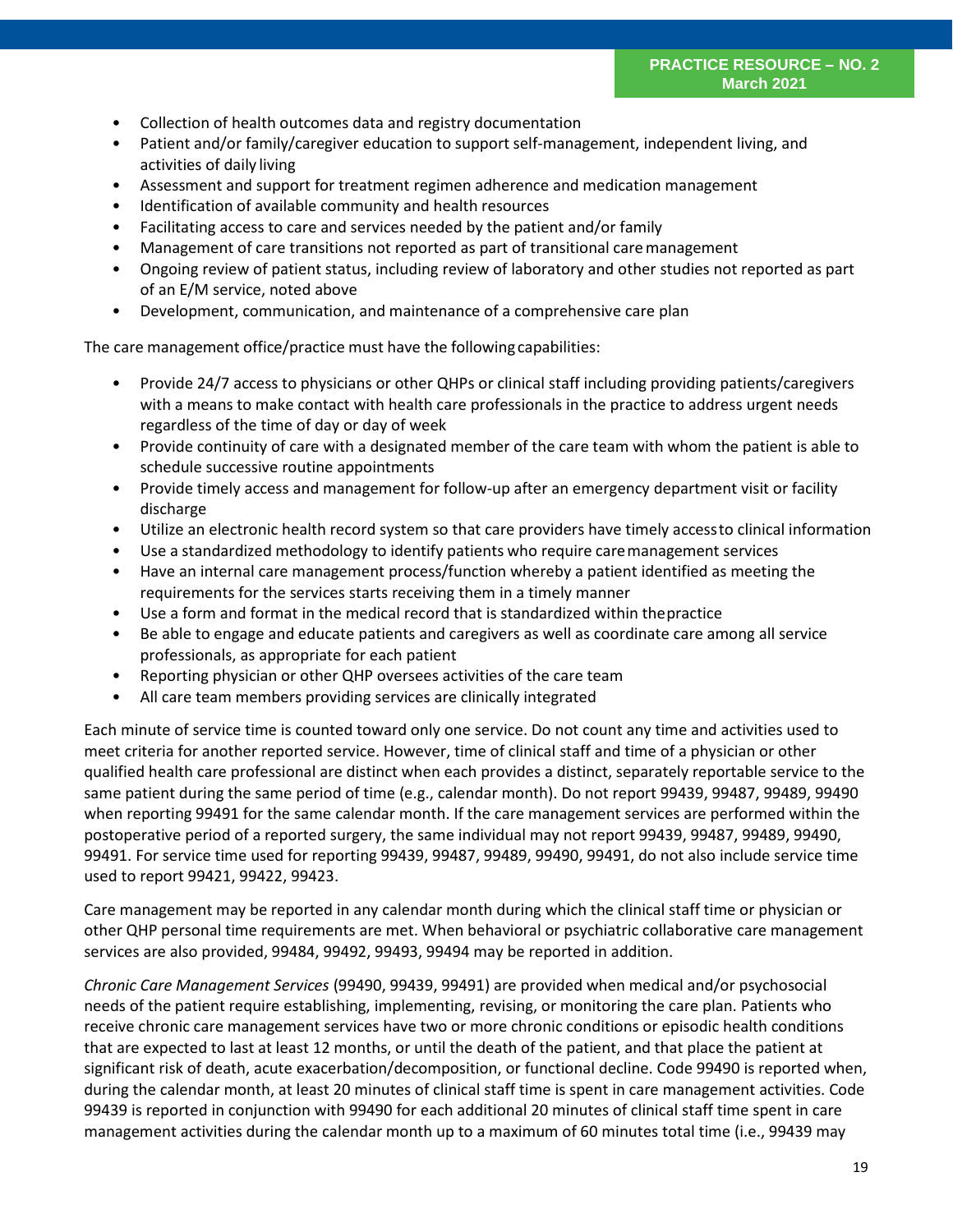- Collection of health outcomes data and registry documentation
- Patient and/or family/caregiver education to support self-management, independent living, and activities of daily living
- Assessment and support for treatment regimen adherence and medication management
- Identification of available community and health resources
- Facilitating access to care and services needed by the patient and/or family
- Management of care transitions not reported as part of transitional caremanagement
- Ongoing review of patient status, including review of laboratory and other studies not reported as part of an E/M service, noted above
- Development, communication, and maintenance of a comprehensive care plan

The care management office/practice must have the followingcapabilities:

- Provide 24/7 access to physicians or other QHPs or clinical staff including providing patients/caregivers with a means to make contact with health care professionals in the practice to address urgent needs regardless of the time of day or day of week
- Provide continuity of care with a designated member of the care team with whom the patient is able to schedule successive routine appointments
- Provide timely access and management for follow-up after an emergency department visit or facility discharge
- Utilize an electronic health record system so that care providers have timely accessto clinical information
- Use a standardized methodology to identify patients who require caremanagement services
- Have an internal care management process/function whereby a patient identified as meeting the requirements for the services starts receiving them in a timely manner
- Use a form and format in the medical record that is standardized within thepractice
- Be able to engage and educate patients and caregivers as well as coordinate care among all service professionals, as appropriate for each patient
- Reporting physician or other QHP oversees activities of the care team
- All care team members providing services are clinically integrated

Each minute of service time is counted toward only one service. Do not count any time and activities used to meet criteria for another reported service. However, time of clinical staff and time of a physician or other qualified health care professional are distinct when each provides a distinct, separately reportable service to the same patient during the same period of time (e.g., calendar month). Do not report 99439, 99487, 99489, 99490 when reporting 99491 for the same calendar month. If the care management services are performed within the postoperative period of a reported surgery, the same individual may not report 99439, 99487, 99489, 99490, 99491. For service time used for reporting 99439, 99487, 99489, 99490, 99491, do not also include service time used to report 99421, 99422, 99423.

Care management may be reported in any calendar month during which the clinical staff time or physician or other QHP personal time requirements are met. When behavioral or psychiatric collaborative care management services are also provided, 99484, 99492, 99493, 99494 may be reported in addition.

*Chronic Care Management Services* (99490, 99439, 99491) are provided when medical and/or psychosocial needs of the patient require establishing, implementing, revising, or monitoring the care plan. Patients who receive chronic care management services have two or more chronic conditions or episodic health conditions that are expected to last at least 12 months, or until the death of the patient, and that place the patient at significant risk of death, acute exacerbation/decomposition, or functional decline. Code 99490 is reported when, during the calendar month, at least 20 minutes of clinical staff time is spent in care management activities. Code 99439 is reported in conjunction with 99490 for each additional 20 minutes of clinical staff time spent in care management activities during the calendar month up to a maximum of 60 minutes total time (i.e., 99439 may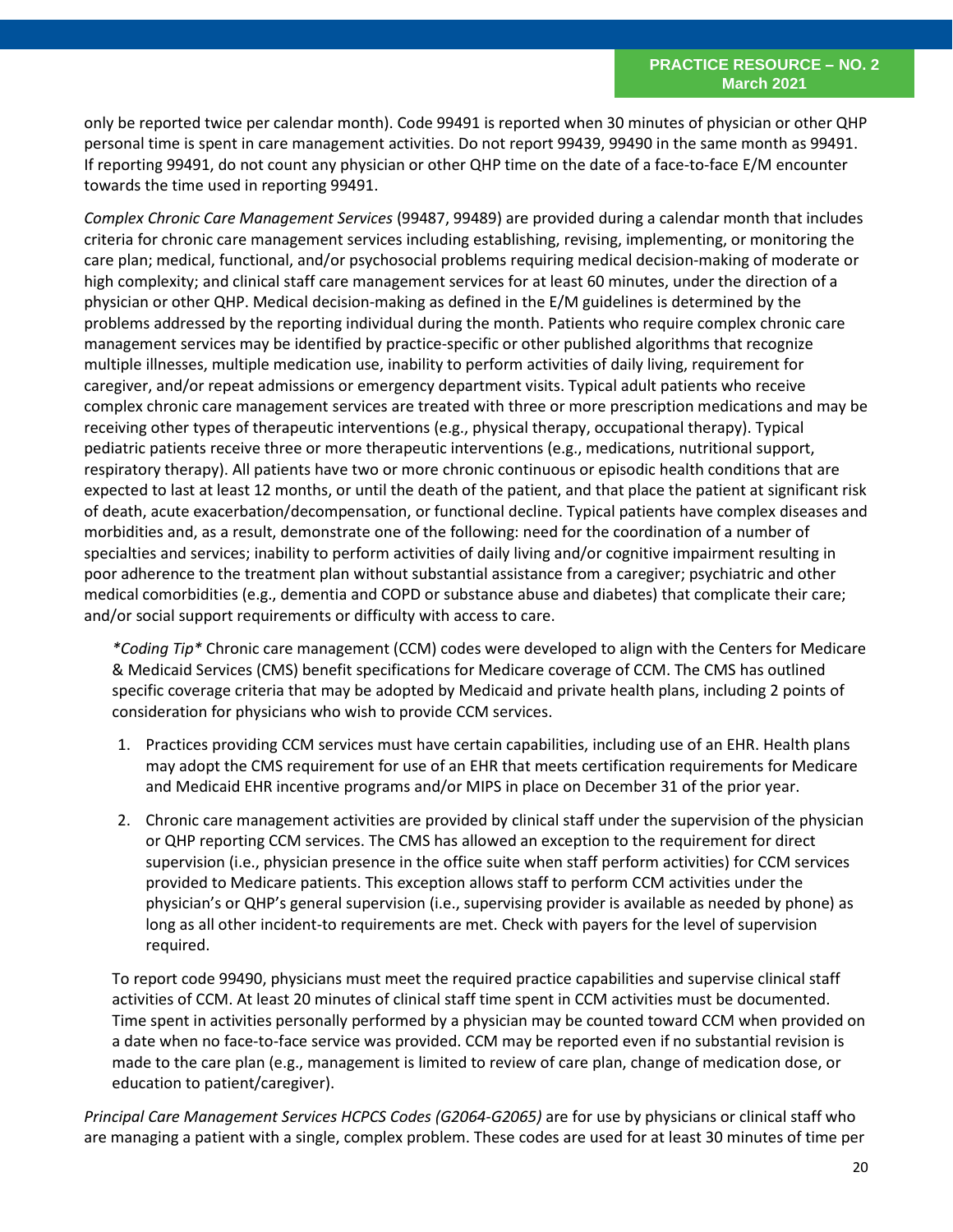only be reported twice per calendar month). Code 99491 is reported when 30 minutes of physician or other QHP personal time is spent in care management activities. Do not report 99439, 99490 in the same month as 99491. If reporting 99491, do not count any physician or other QHP time on the date of a face-to-face E/M encounter towards the time used in reporting 99491.

*Complex Chronic Care Management Services* (99487, 99489) are provided during a calendar month that includes criteria for chronic care management services including establishing, revising, implementing, or monitoring the care plan; medical, functional, and/or psychosocial problems requiring medical decision-making of moderate or high complexity; and clinical staff care management services for at least 60 minutes, under the direction of a physician or other QHP. Medical decision-making as defined in the E/M guidelines is determined by the problems addressed by the reporting individual during the month. Patients who require complex chronic care management services may be identified by practice-specific or other published algorithms that recognize multiple illnesses, multiple medication use, inability to perform activities of daily living, requirement for caregiver, and/or repeat admissions or emergency department visits. Typical adult patients who receive complex chronic care management services are treated with three or more prescription medications and may be receiving other types of therapeutic interventions (e.g., physical therapy, occupational therapy). Typical pediatric patients receive three or more therapeutic interventions (e.g., medications, nutritional support, respiratory therapy). All patients have two or more chronic continuous or episodic health conditions that are expected to last at least 12 months, or until the death of the patient, and that place the patient at significant risk of death, acute exacerbation/decompensation, or functional decline. Typical patients have complex diseases and morbidities and, as a result, demonstrate one of the following: need for the coordination of a number of specialties and services; inability to perform activities of daily living and/or cognitive impairment resulting in poor adherence to the treatment plan without substantial assistance from a caregiver; psychiatric and other medical comorbidities (e.g., dementia and COPD or substance abuse and diabetes) that complicate their care; and/or social support requirements or difficulty with access to care.

*\*Coding Tip\** Chronic care management (CCM) codes were developed to align with the Centers for Medicare & Medicaid Services (CMS) benefit specifications for Medicare coverage of CCM. The CMS has outlined specific coverage criteria that may be adopted by Medicaid and private health plans, including 2 points of consideration for physicians who wish to provide CCM services.

- 1. Practices providing CCM services must have certain capabilities, including use of an EHR. Health plans may adopt the CMS requirement for use of an EHR that meets certification requirements for Medicare and Medicaid EHR incentive programs and/or MIPS in place on December 31 of the prior year.
- 2. Chronic care management activities are provided by clinical staff under the supervision of the physician or QHP reporting CCM services. The CMS has allowed an exception to the requirement for direct supervision (i.e., physician presence in the office suite when staff perform activities) for CCM services provided to Medicare patients. This exception allows staff to perform CCM activities under the physician's or QHP's general supervision (i.e., supervising provider is available as needed by phone) as long as all other incident-to requirements are met. Check with payers for the level of supervision required.

To report code 99490, physicians must meet the required practice capabilities and supervise clinical staff activities of CCM. At least 20 minutes of clinical staff time spent in CCM activities must be documented. Time spent in activities personally performed by a physician may be counted toward CCM when provided on a date when no face-to-face service was provided. CCM may be reported even if no substantial revision is made to the care plan (e.g., management is limited to review of care plan, change of medication dose, or education to patient/caregiver).

*Principal Care Management Services HCPCS Codes (G2064-G2065)* are for use by physicians or clinical staff who are managing a patient with a single, complex problem. These codes are used for at least 30 minutes of time per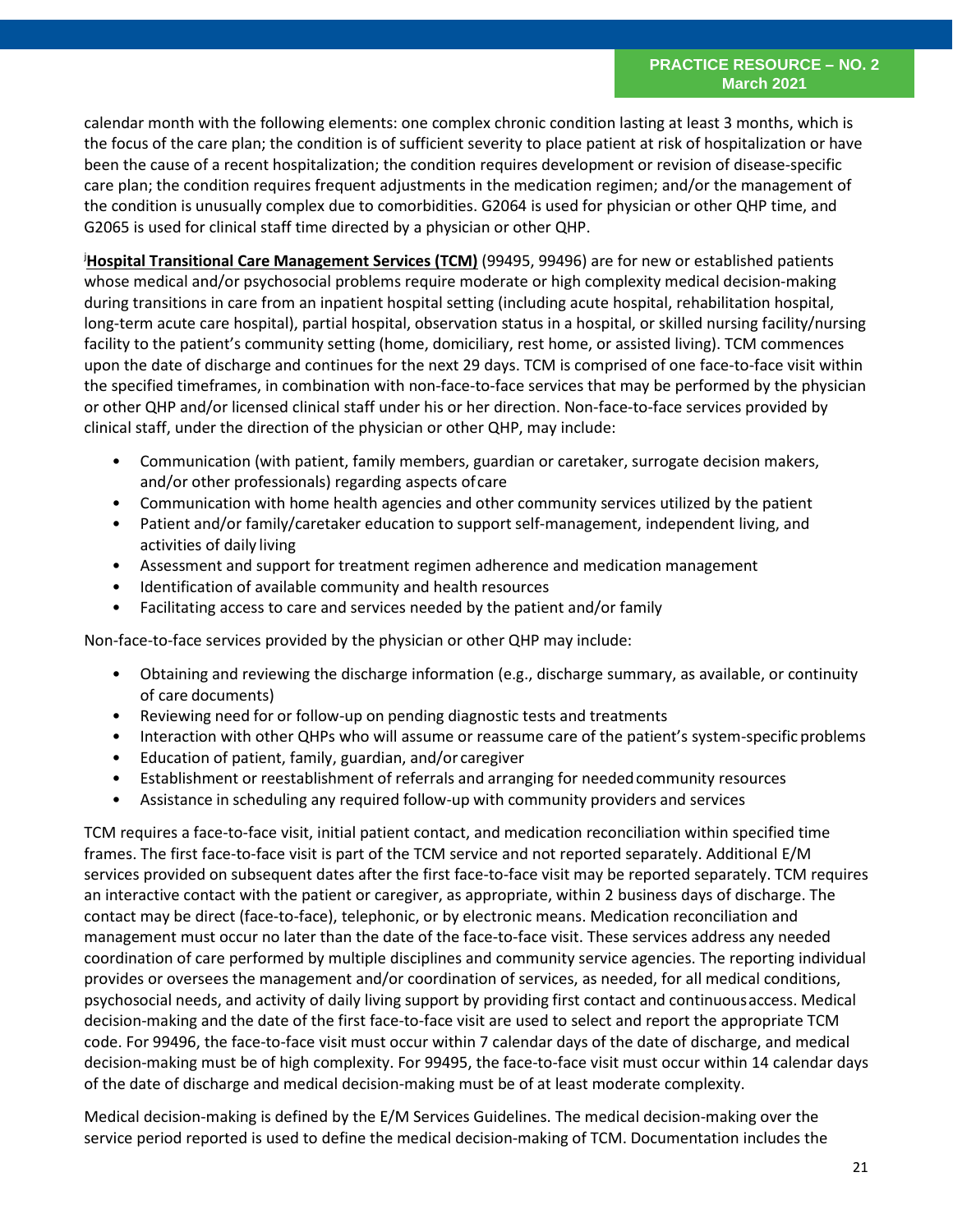calendar month with the following elements: one complex chronic condition lasting at least 3 months, which is the focus of the care plan; the condition is of sufficient severity to place patient at risk of hospitalization or have been the cause of a recent hospitalization; the condition requires development or revision of disease-specific care plan; the condition requires frequent adjustments in the medication regimen; and/or the management of the condition is unusually complex due to comorbidities. G2064 is used for physician or other QHP time, and G2065 is used for clinical staff time directed by a physician or other QHP.

<sup>j</sup>**Hospital Transitional Care Management Services (TCM)** (99495, 99496) are for new or established patients whose medical and/or psychosocial problems require moderate or high complexity medical decision-making during transitions in care from an inpatient hospital setting (including acute hospital, rehabilitation hospital, long-term acute care hospital), partial hospital, observation status in a hospital, or skilled nursing facility/nursing facility to the patient's community setting (home, domiciliary, rest home, or assisted living). TCM commences upon the date of discharge and continues for the next 29 days. TCM is comprised of one face-to-face visit within the specified timeframes, in combination with non-face-to-face services that may be performed by the physician or other QHP and/or licensed clinical staff under his or her direction. Non-face-to-face services provided by clinical staff, under the direction of the physician or other QHP, may include:

- Communication (with patient, family members, guardian or caretaker, surrogate decision makers, and/or other professionals) regarding aspects ofcare
- Communication with home health agencies and other community services utilized by the patient
- Patient and/or family/caretaker education to support self-management, independent living, and activities of daily living
- Assessment and support for treatment regimen adherence and medication management
- Identification of available community and health resources
- Facilitating access to care and services needed by the patient and/or family

Non-face-to-face services provided by the physician or other QHP may include:

- Obtaining and reviewing the discharge information (e.g., discharge summary, as available, or continuity of care documents)
- Reviewing need for or follow-up on pending diagnostic tests and treatments
- Interaction with other QHPs who will assume or reassume care of the patient's system-specific problems
- Education of patient, family, guardian, and/or caregiver
- Establishment or reestablishment of referrals and arranging for neededcommunity resources
- Assistance in scheduling any required follow-up with community providers and services

TCM requires a face-to-face visit, initial patient contact, and medication reconciliation within specified time frames. The first face-to-face visit is part of the TCM service and not reported separately. Additional E/M services provided on subsequent dates after the first face-to-face visit may be reported separately. TCM requires an interactive contact with the patient or caregiver, as appropriate, within 2 business days of discharge. The contact may be direct (face-to-face), telephonic, or by electronic means. Medication reconciliation and management must occur no later than the date of the face-to-face visit. These services address any needed coordination of care performed by multiple disciplines and community service agencies. The reporting individual provides or oversees the management and/or coordination of services, as needed, for all medical conditions, psychosocial needs, and activity of daily living support by providing first contact and continuousaccess. Medical decision-making and the date of the first face-to-face visit are used to select and report the appropriate TCM code. For 99496, the face-to-face visit must occur within 7 calendar days of the date of discharge, and medical decision-making must be of high complexity. For 99495, the face-to-face visit must occur within 14 calendar days of the date of discharge and medical decision-making must be of at least moderate complexity.

Medical decision-making is defined by the E/M Services Guidelines. The medical decision-making over the service period reported is used to define the medical decision-making of TCM. Documentation includes the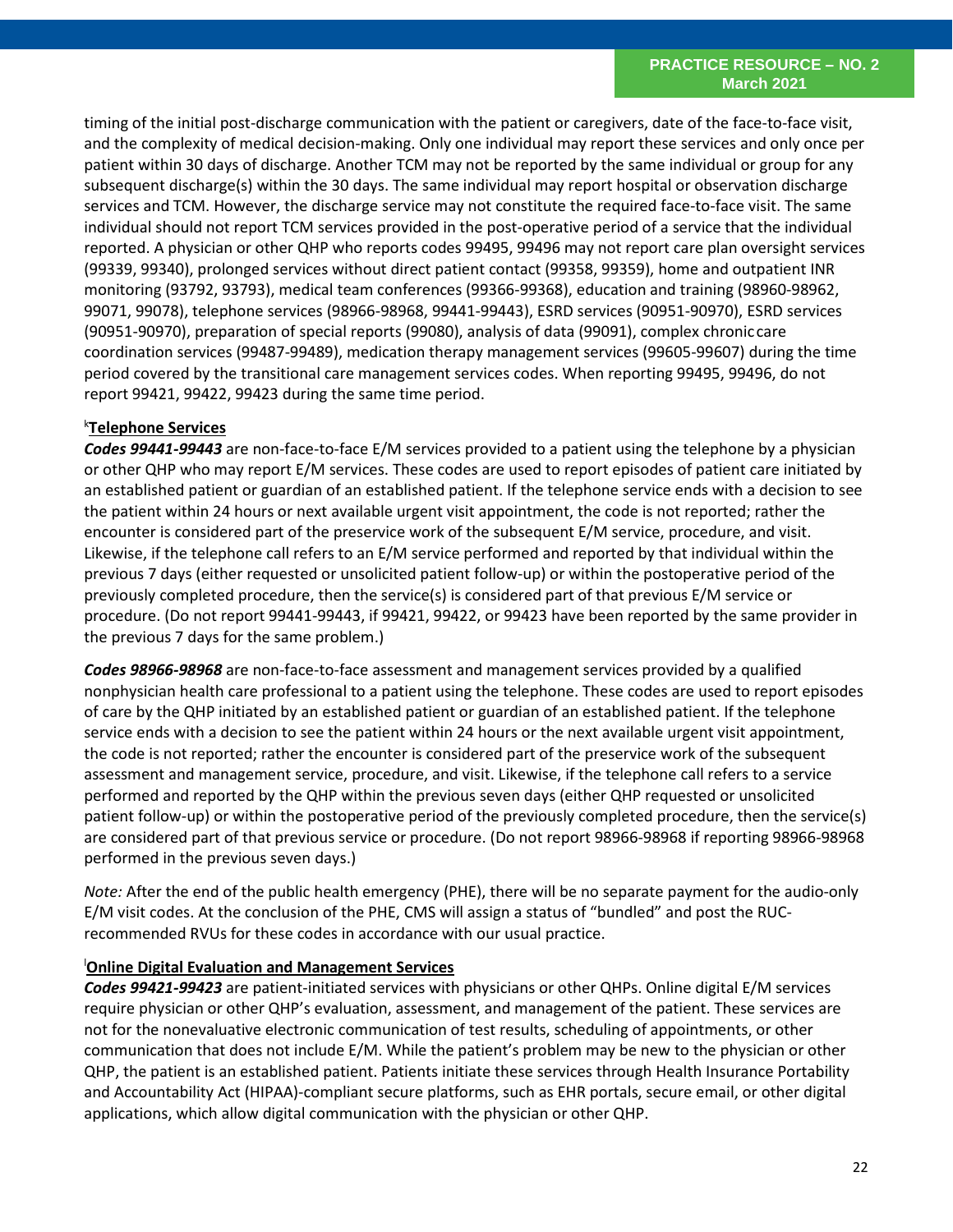timing of the initial post-discharge communication with the patient or caregivers, date of the face-to-face visit, and the complexity of medical decision-making. Only one individual may report these services and only once per patient within 30 days of discharge. Another TCM may not be reported by the same individual or group for any subsequent discharge(s) within the 30 days. The same individual may report hospital or observation discharge services and TCM. However, the discharge service may not constitute the required face-to-face visit. The same individual should not report TCM services provided in the post-operative period of a service that the individual reported. A physician or other QHP who reports codes 99495, 99496 may not report care plan oversight services (99339, 99340), prolonged services without direct patient contact (99358, 99359), home and outpatient INR monitoring (93792, 93793), medical team conferences (99366-99368), education and training (98960-98962, 99071, 99078), telephone services (98966-98968, 99441-99443), ESRD services (90951-90970), ESRD services (90951-90970), preparation of special reports (99080), analysis of data (99091), complex chroniccare coordination services (99487-99489), medication therapy management services (99605-99607) during the time period covered by the transitional care management services codes. When reporting 99495, 99496, do not report 99421, 99422, 99423 during the same time period.

#### <sup>k</sup>**Telephone Services**

*Codes 99441-99443* are non-face-to-face E/M services provided to a patient using the telephone by a physician or other QHP who may report E/M services. These codes are used to report episodes of patient care initiated by an established patient or guardian of an established patient. If the telephone service ends with a decision to see the patient within 24 hours or next available urgent visit appointment, the code is not reported; rather the encounter is considered part of the preservice work of the subsequent E/M service, procedure, and visit. Likewise, if the telephone call refers to an E/M service performed and reported by that individual within the previous 7 days (either requested or unsolicited patient follow-up) or within the postoperative period of the previously completed procedure, then the service(s) is considered part of that previous E/M service or procedure. (Do not report 99441-99443, if 99421, 99422, or 99423 have been reported by the same provider in the previous 7 days for the same problem.)

*Codes 98966-98968* are non-face-to-face assessment and management services provided by a qualified nonphysician health care professional to a patient using the telephone. These codes are used to report episodes of care by the QHP initiated by an established patient or guardian of an established patient. If the telephone service ends with a decision to see the patient within 24 hours or the next available urgent visit appointment, the code is not reported; rather the encounter is considered part of the preservice work of the subsequent assessment and management service, procedure, and visit. Likewise, if the telephone call refers to a service performed and reported by the QHP within the previous seven days (either QHP requested or unsolicited patient follow-up) or within the postoperative period of the previously completed procedure, then the service(s) are considered part of that previous service or procedure. (Do not report 98966-98968 if reporting 98966-98968 performed in the previous seven days.)

*Note:* After the end of the public health emergency (PHE), there will be no separate payment for the audio-only E/M visit codes. At the conclusion of the PHE, CMS will assign a status of "bundled" and post the RUCrecommended RVUs for these codes in accordance with our usual practice.

#### <sup>l</sup>**Online Digital Evaluation and Management Services**

*Codes 99421-99423* are patient-initiated services with physicians or other QHPs. Online digital E/M services require physician or other QHP's evaluation, assessment, and management of the patient. These services are not for the nonevaluative electronic communication of test results, scheduling of appointments, or other communication that does not include E/M. While the patient's problem may be new to the physician or other QHP, the patient is an established patient. Patients initiate these services through Health Insurance Portability and Accountability Act (HIPAA)-compliant secure platforms, such as EHR portals, secure email, or other digital applications, which allow digital communication with the physician or other QHP.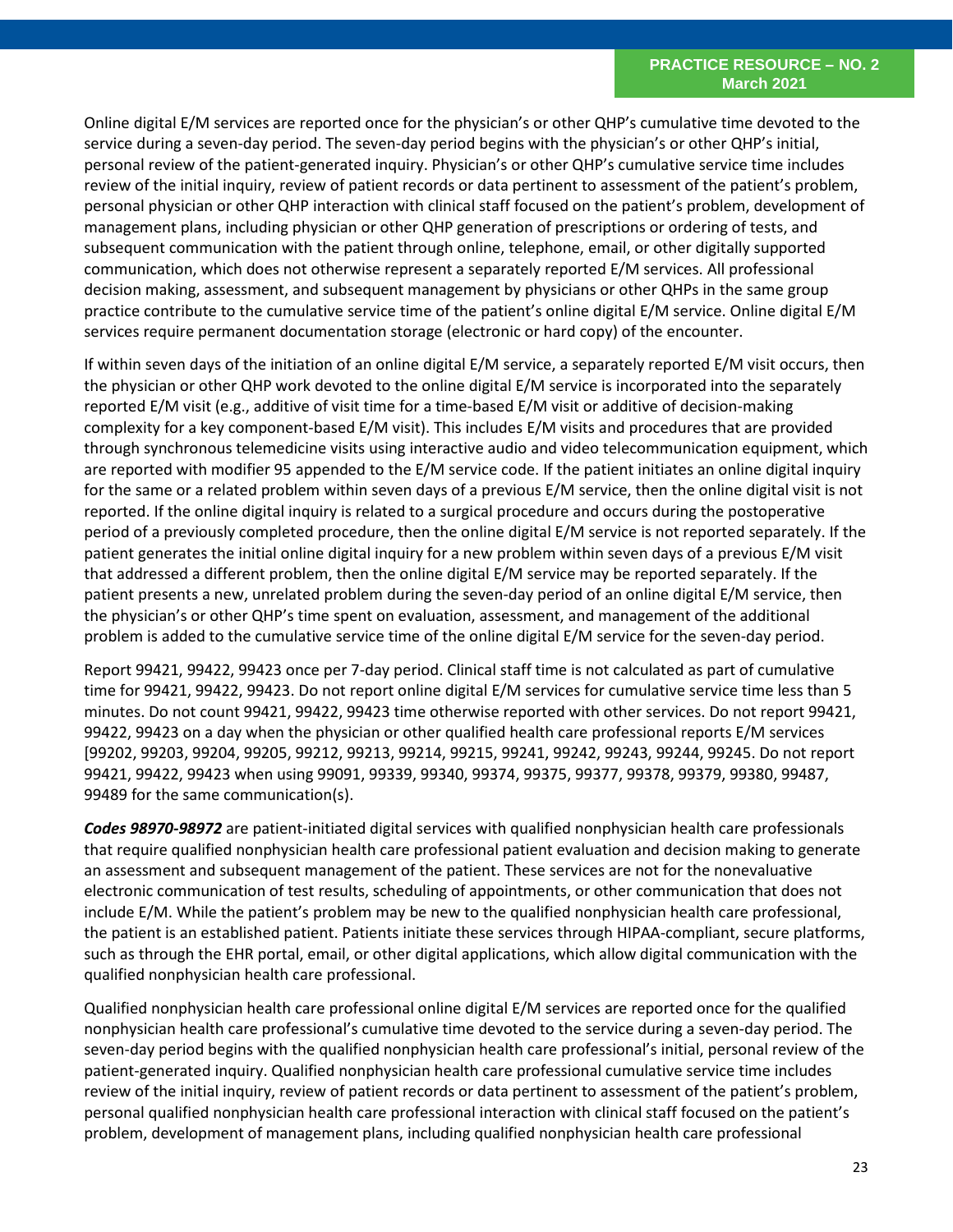Online digital E/M services are reported once for the physician's or other QHP's cumulative time devoted to the service during a seven-day period. The seven-day period begins with the physician's or other QHP's initial, personal review of the patient-generated inquiry. Physician's or other QHP's cumulative service time includes review of the initial inquiry, review of patient records or data pertinent to assessment of the patient's problem, personal physician or other QHP interaction with clinical staff focused on the patient's problem, development of management plans, including physician or other QHP generation of prescriptions or ordering of tests, and subsequent communication with the patient through online, telephone, email, or other digitally supported communication, which does not otherwise represent a separately reported E/M services. All professional decision making, assessment, and subsequent management by physicians or other QHPs in the same group practice contribute to the cumulative service time of the patient's online digital E/M service. Online digital E/M services require permanent documentation storage (electronic or hard copy) of the encounter.

If within seven days of the initiation of an online digital E/M service, a separately reported E/M visit occurs, then the physician or other QHP work devoted to the online digital E/M service is incorporated into the separately reported E/M visit (e.g., additive of visit time for a time-based E/M visit or additive of decision-making complexity for a key component-based E/M visit). This includes E/M visits and procedures that are provided through synchronous telemedicine visits using interactive audio and video telecommunication equipment, which are reported with modifier 95 appended to the E/M service code. If the patient initiates an online digital inquiry for the same or a related problem within seven days of a previous E/M service, then the online digital visit is not reported. If the online digital inquiry is related to a surgical procedure and occurs during the postoperative period of a previously completed procedure, then the online digital E/M service is not reported separately. If the patient generates the initial online digital inquiry for a new problem within seven days of a previous E/M visit that addressed a different problem, then the online digital E/M service may be reported separately. If the patient presents a new, unrelated problem during the seven-day period of an online digital E/M service, then the physician's or other QHP's time spent on evaluation, assessment, and management of the additional problem is added to the cumulative service time of the online digital E/M service for the seven-day period.

Report 99421, 99422, 99423 once per 7-day period. Clinical staff time is not calculated as part of cumulative time for 99421, 99422, 99423. Do not report online digital E/M services for cumulative service time less than 5 minutes. Do not count 99421, 99422, 99423 time otherwise reported with other services. Do not report 99421, 99422, 99423 on a day when the physician or other qualified health care professional reports E/M services [99202, 99203, 99204, 99205, 99212, 99213, 99214, 99215, 99241, 99242, 99243, 99244, 99245. Do not report 99421, 99422, 99423 when using 99091, 99339, 99340, 99374, 99375, 99377, 99378, 99379, 99380, 99487, 99489 for the same communication(s).

*Codes 98970-98972* are patient-initiated digital services with qualified nonphysician health care professionals that require qualified nonphysician health care professional patient evaluation and decision making to generate an assessment and subsequent management of the patient. These services are not for the nonevaluative electronic communication of test results, scheduling of appointments, or other communication that does not include E/M. While the patient's problem may be new to the qualified nonphysician health care professional, the patient is an established patient. Patients initiate these services through HIPAA-compliant, secure platforms, such as through the EHR portal, email, or other digital applications, which allow digital communication with the qualified nonphysician health care professional.

Qualified nonphysician health care professional online digital E/M services are reported once for the qualified nonphysician health care professional's cumulative time devoted to the service during a seven-day period. The seven-day period begins with the qualified nonphysician health care professional's initial, personal review of the patient-generated inquiry. Qualified nonphysician health care professional cumulative service time includes review of the initial inquiry, review of patient records or data pertinent to assessment of the patient's problem, personal qualified nonphysician health care professional interaction with clinical staff focused on the patient's problem, development of management plans, including qualified nonphysician health care professional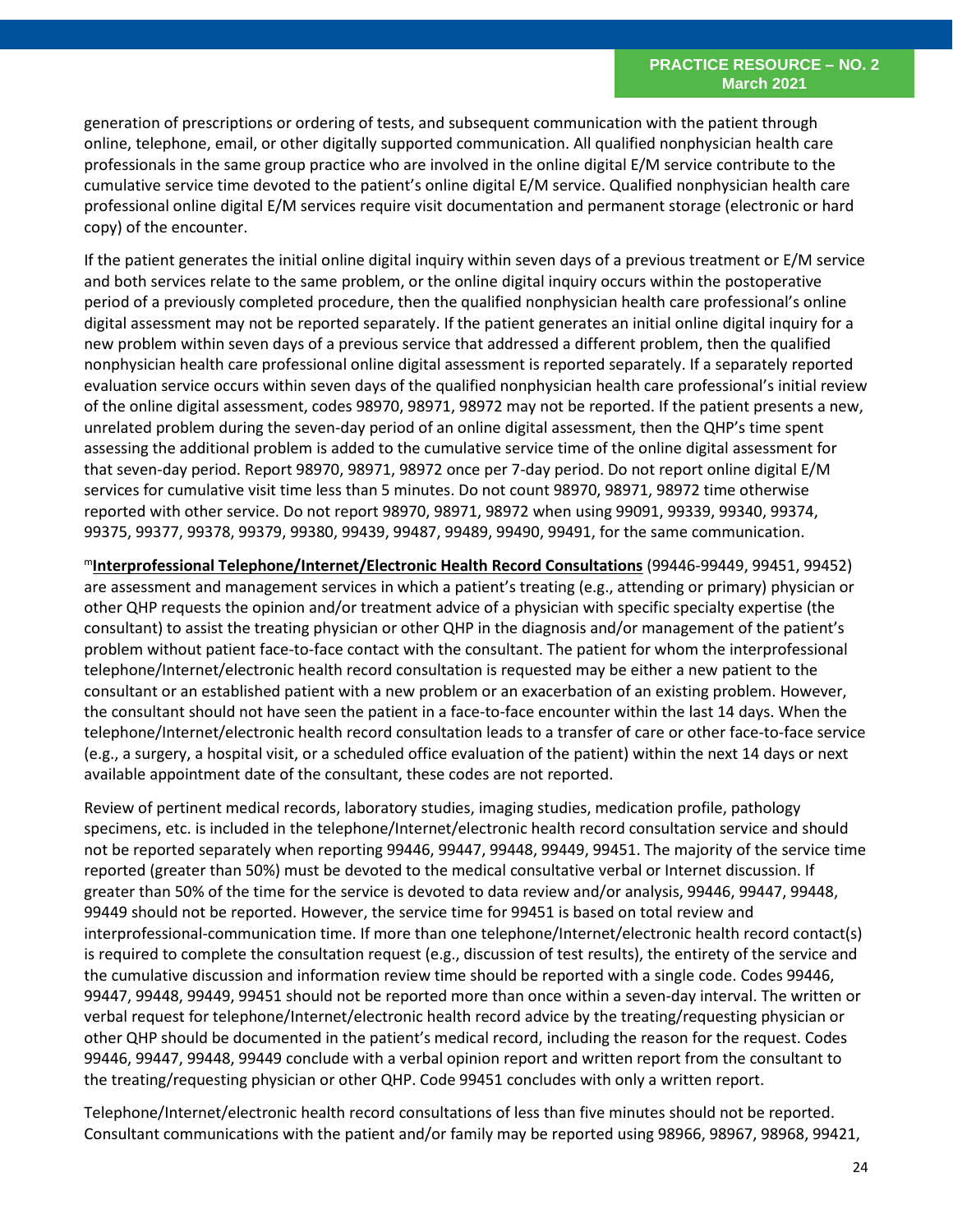generation of prescriptions or ordering of tests, and subsequent communication with the patient through online, telephone, email, or other digitally supported communication. All qualified nonphysician health care professionals in the same group practice who are involved in the online digital E/M service contribute to the cumulative service time devoted to the patient's online digital E/M service. Qualified nonphysician health care professional online digital E/M services require visit documentation and permanent storage (electronic or hard copy) of the encounter.

If the patient generates the initial online digital inquiry within seven days of a previous treatment or E/M service and both services relate to the same problem, or the online digital inquiry occurs within the postoperative period of a previously completed procedure, then the qualified nonphysician health care professional's online digital assessment may not be reported separately. If the patient generates an initial online digital inquiry for a new problem within seven days of a previous service that addressed a different problem, then the qualified nonphysician health care professional online digital assessment is reported separately. If a separately reported evaluation service occurs within seven days of the qualified nonphysician health care professional's initial review of the online digital assessment, codes 98970, 98971, 98972 may not be reported. If the patient presents a new, unrelated problem during the seven-day period of an online digital assessment, then the QHP's time spent assessing the additional problem is added to the cumulative service time of the online digital assessment for that seven-day period. Report 98970, 98971, 98972 once per 7-day period. Do not report online digital E/M services for cumulative visit time less than 5 minutes. Do not count 98970, 98971, 98972 time otherwise reported with other service. Do not report 98970, 98971, 98972 when using 99091, 99339, 99340, 99374, 99375, 99377, 99378, 99379, 99380, 99439, 99487, 99489, 99490, 99491, for the same communication.

<sup>m</sup>**Interprofessional Telephone/Internet/Electronic Health Record Consultations** (99446-99449, 99451, 99452) are assessment and management services in which a patient's treating (e.g., attending or primary) physician or other QHP requests the opinion and/or treatment advice of a physician with specific specialty expertise (the consultant) to assist the treating physician or other QHP in the diagnosis and/or management of the patient's problem without patient face-to-face contact with the consultant. The patient for whom the interprofessional telephone/Internet/electronic health record consultation is requested may be either a new patient to the consultant or an established patient with a new problem or an exacerbation of an existing problem. However, the consultant should not have seen the patient in a face-to-face encounter within the last 14 days. When the telephone/Internet/electronic health record consultation leads to a transfer of care or other face-to-face service (e.g., a surgery, a hospital visit, or a scheduled office evaluation of the patient) within the next 14 days or next available appointment date of the consultant, these codes are not reported.

Review of pertinent medical records, laboratory studies, imaging studies, medication profile, pathology specimens, etc. is included in the telephone/Internet/electronic health record consultation service and should not be reported separately when reporting 99446, 99447, 99448, 99449, 99451. The majority of the service time reported (greater than 50%) must be devoted to the medical consultative verbal or Internet discussion. If greater than 50% of the time for the service is devoted to data review and/or analysis, 99446, 99447, 99448, 99449 should not be reported. However, the service time for 99451 is based on total review and interprofessional-communication time. If more than one telephone/Internet/electronic health record contact(s) is required to complete the consultation request (e.g., discussion of test results), the entirety of the service and the cumulative discussion and information review time should be reported with a single code. Codes 99446, 99447, 99448, 99449, 99451 should not be reported more than once within a seven-day interval. The written or verbal request for telephone/Internet/electronic health record advice by the treating/requesting physician or other QHP should be documented in the patient's medical record, including the reason for the request. Codes 99446, 99447, 99448, 99449 conclude with a verbal opinion report and written report from the consultant to the treating/requesting physician or other QHP. Code 99451 concludes with only a written report.

Telephone/Internet/electronic health record consultations of less than five minutes should not be reported. Consultant communications with the patient and/or family may be reported using 98966, 98967, 98968, 99421,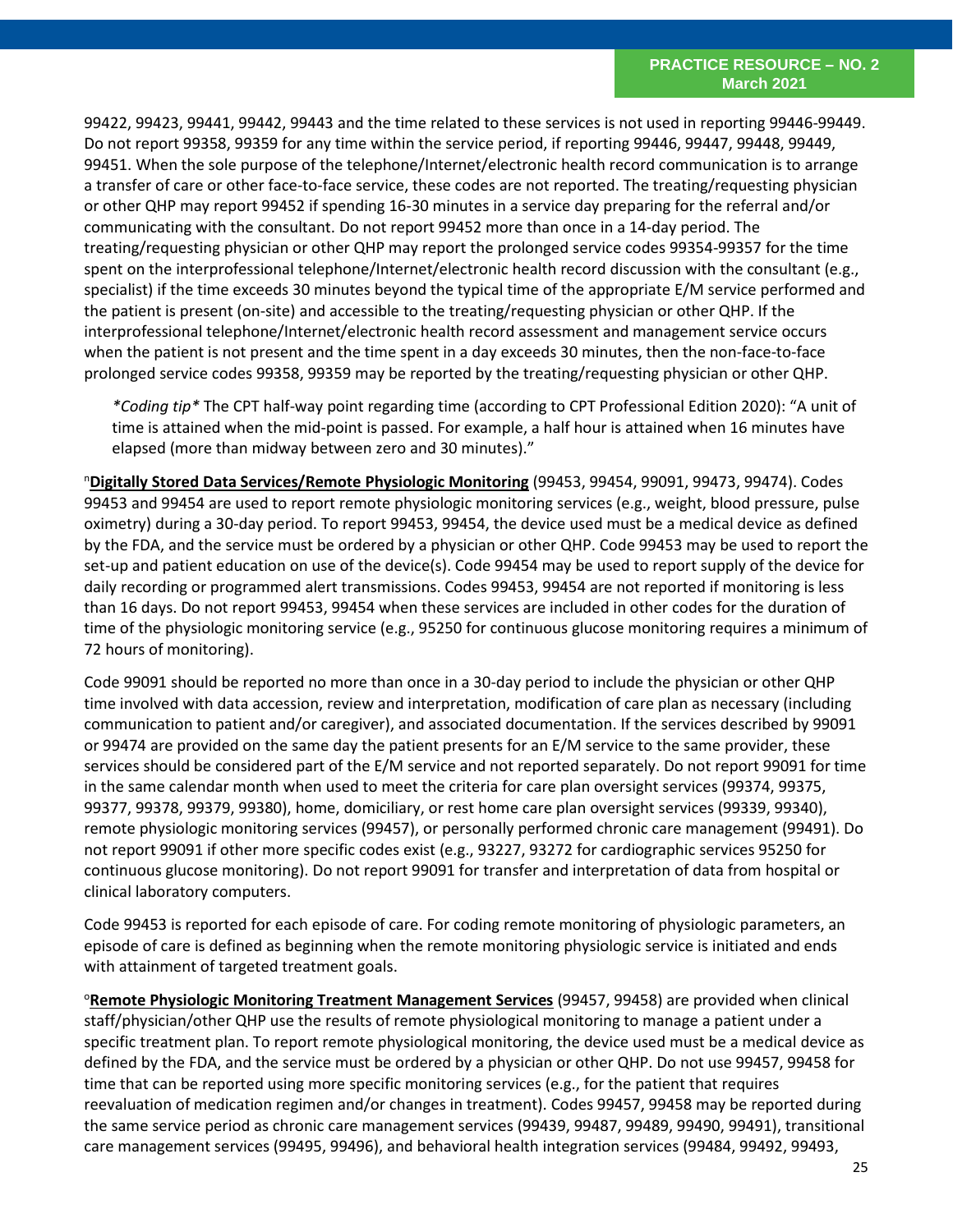99422, 99423, 99441, 99442, 99443 and the time related to these services is not used in reporting 99446-99449. Do not report 99358, 99359 for any time within the service period, if reporting 99446, 99447, 99448, 99449, 99451. When the sole purpose of the telephone/Internet/electronic health record communication is to arrange a transfer of care or other face-to-face service, these codes are not reported. The treating/requesting physician or other QHP may report 99452 if spending 16-30 minutes in a service day preparing for the referral and/or communicating with the consultant. Do not report 99452 more than once in a 14-day period. The treating/requesting physician or other QHP may report the prolonged service codes 99354-99357 for the time spent on the interprofessional telephone/Internet/electronic health record discussion with the consultant (e.g., specialist) if the time exceeds 30 minutes beyond the typical time of the appropriate E/M service performed and the patient is present (on-site) and accessible to the treating/requesting physician or other QHP. If the interprofessional telephone/Internet/electronic health record assessment and management service occurs when the patient is not present and the time spent in a day exceeds 30 minutes, then the non-face-to-face prolonged service codes 99358, 99359 may be reported by the treating/requesting physician or other QHP.

*\*Coding tip\** The CPT half-way point regarding time (according to CPT Professional Edition 2020): "A unit of time is attained when the mid-point is passed. For example, a half hour is attained when 16 minutes have elapsed (more than midway between zero and 30 minutes)."

<sup>n</sup>**Digitally Stored Data Services/Remote Physiologic Monitoring** (99453, 99454, 99091, 99473, 99474). Codes 99453 and 99454 are used to report remote physiologic monitoring services (e.g., weight, blood pressure, pulse oximetry) during a 30-day period. To report 99453, 99454, the device used must be a medical device as defined by the FDA, and the service must be ordered by a physician or other QHP. Code 99453 may be used to report the set-up and patient education on use of the device(s). Code 99454 may be used to report supply of the device for daily recording or programmed alert transmissions. Codes 99453, 99454 are not reported if monitoring is less than 16 days. Do not report 99453, 99454 when these services are included in other codes for the duration of time of the physiologic monitoring service (e.g., 95250 for continuous glucose monitoring requires a minimum of 72 hours of monitoring).

Code 99091 should be reported no more than once in a 30-day period to include the physician or other QHP time involved with data accession, review and interpretation, modification of care plan as necessary (including communication to patient and/or caregiver), and associated documentation. If the services described by 99091 or 99474 are provided on the same day the patient presents for an E/M service to the same provider, these services should be considered part of the E/M service and not reported separately. Do not report 99091 for time in the same calendar month when used to meet the criteria for care plan oversight services (99374, 99375, 99377, 99378, 99379, 99380), home, domiciliary, or rest home care plan oversight services (99339, 99340), remote physiologic monitoring services (99457), or personally performed chronic care management (99491). Do not report 99091 if other more specific codes exist (e.g., 93227, 93272 for cardiographic services 95250 for continuous glucose monitoring). Do not report 99091 for transfer and interpretation of data from hospital or clinical laboratory computers.

Code 99453 is reported for each episode of care. For coding remote monitoring of physiologic parameters, an episode of care is defined as beginning when the remote monitoring physiologic service is initiated and ends with attainment of targeted treatment goals.

<sup>o</sup>**Remote Physiologic Monitoring Treatment Management Services** (99457, 99458) are provided when clinical staff/physician/other QHP use the results of remote physiological monitoring to manage a patient under a specific treatment plan. To report remote physiological monitoring, the device used must be a medical device as defined by the FDA, and the service must be ordered by a physician or other QHP. Do not use 99457, 99458 for time that can be reported using more specific monitoring services (e.g., for the patient that requires reevaluation of medication regimen and/or changes in treatment). Codes 99457, 99458 may be reported during the same service period as chronic care management services (99439, 99487, 99489, 99490, 99491), transitional care management services (99495, 99496), and behavioral health integration services (99484, 99492, 99493,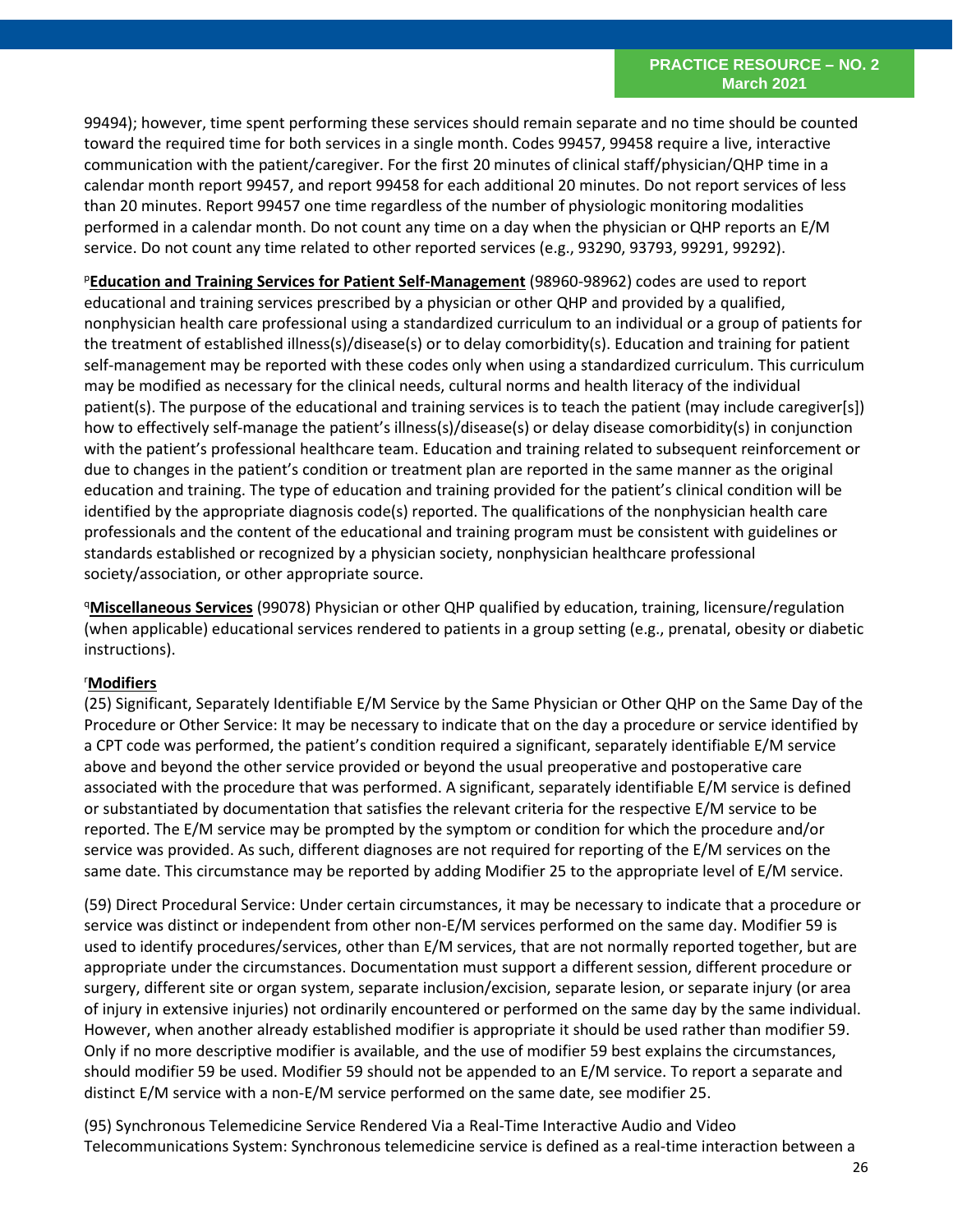99494); however, time spent performing these services should remain separate and no time should be counted toward the required time for both services in a single month. Codes 99457, 99458 require a live, interactive communication with the patient/caregiver. For the first 20 minutes of clinical staff/physician/QHP time in a calendar month report 99457, and report 99458 for each additional 20 minutes. Do not report services of less than 20 minutes. Report 99457 one time regardless of the number of physiologic monitoring modalities performed in a calendar month. Do not count any time on a day when the physician or QHP reports an E/M service. Do not count any time related to other reported services (e.g., 93290, 93793, 99291, 99292).

<sup>p</sup>**Education and Training Services for Patient Self-Management** (98960-98962) codes are used to report educational and training services prescribed by a physician or other QHP and provided by a qualified, nonphysician health care professional using a standardized curriculum to an individual or a group of patients for the treatment of established illness(s)/disease(s) or to delay comorbidity(s). Education and training for patient self-management may be reported with these codes only when using a standardized curriculum. This curriculum may be modified as necessary for the clinical needs, cultural norms and health literacy of the individual patient(s). The purpose of the educational and training services is to teach the patient (may include caregiver[s]) how to effectively self-manage the patient's illness(s)/disease(s) or delay disease comorbidity(s) in conjunction with the patient's professional healthcare team. Education and training related to subsequent reinforcement or due to changes in the patient's condition or treatment plan are reported in the same manner as the original education and training. The type of education and training provided for the patient's clinical condition will be identified by the appropriate diagnosis code(s) reported. The qualifications of the nonphysician health care professionals and the content of the educational and training program must be consistent with guidelines or standards established or recognized by a physician society, nonphysician healthcare professional society/association, or other appropriate source.

<sup>q</sup>**Miscellaneous Services** (99078) Physician or other QHP qualified by education, training, licensure/regulation (when applicable) educational services rendered to patients in a group setting (e.g., prenatal, obesity or diabetic instructions).

#### <sup>r</sup>**Modifiers**

(25) Significant, Separately Identifiable E/M Service by the Same Physician or Other QHP on the Same Day of the Procedure or Other Service: It may be necessary to indicate that on the day a procedure or service identified by a CPT code was performed, the patient's condition required a significant, separately identifiable E/M service above and beyond the other service provided or beyond the usual preoperative and postoperative care associated with the procedure that was performed. A significant, separately identifiable E/M service is defined or substantiated by documentation that satisfies the relevant criteria for the respective E/M service to be reported. The E/M service may be prompted by the symptom or condition for which the procedure and/or service was provided. As such, different diagnoses are not required for reporting of the E/M services on the same date. This circumstance may be reported by adding Modifier 25 to the appropriate level of E/M service.

(59) Direct Procedural Service: Under certain circumstances, it may be necessary to indicate that a procedure or service was distinct or independent from other non-E/M services performed on the same day. Modifier 59 is used to identify procedures/services, other than E/M services, that are not normally reported together, but are appropriate under the circumstances. Documentation must support a different session, different procedure or surgery, different site or organ system, separate inclusion/excision, separate lesion, or separate injury (or area of injury in extensive injuries) not ordinarily encountered or performed on the same day by the same individual. However, when another already established modifier is appropriate it should be used rather than modifier 59. Only if no more descriptive modifier is available, and the use of modifier 59 best explains the circumstances, should modifier 59 be used. Modifier 59 should not be appended to an E/M service. To report a separate and distinct E/M service with a non-E/M service performed on the same date, see modifier 25.

(95) Synchronous Telemedicine Service Rendered Via a Real-Time Interactive Audio and Video Telecommunications System: Synchronous telemedicine service is defined as a real-time interaction between a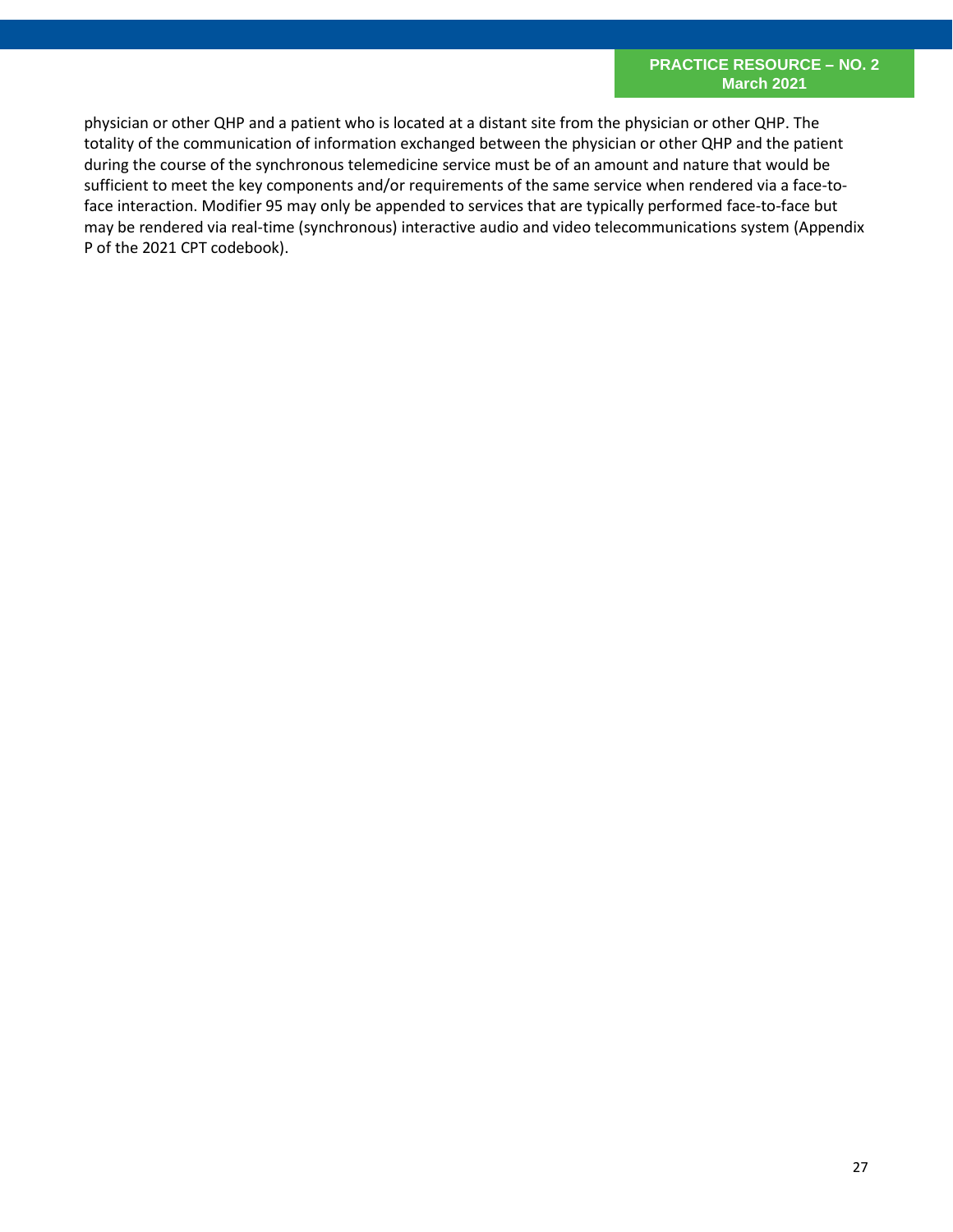physician or other QHP and a patient who is located at a distant site from the physician or other QHP. The totality of the communication of information exchanged between the physician or other QHP and the patient during the course of the synchronous telemedicine service must be of an amount and nature that would be sufficient to meet the key components and/or requirements of the same service when rendered via a face-toface interaction. Modifier 95 may only be appended to services that are typically performed face-to-face but may be rendered via real-time (synchronous) interactive audio and video telecommunications system (Appendix P of the 2021 CPT codebook).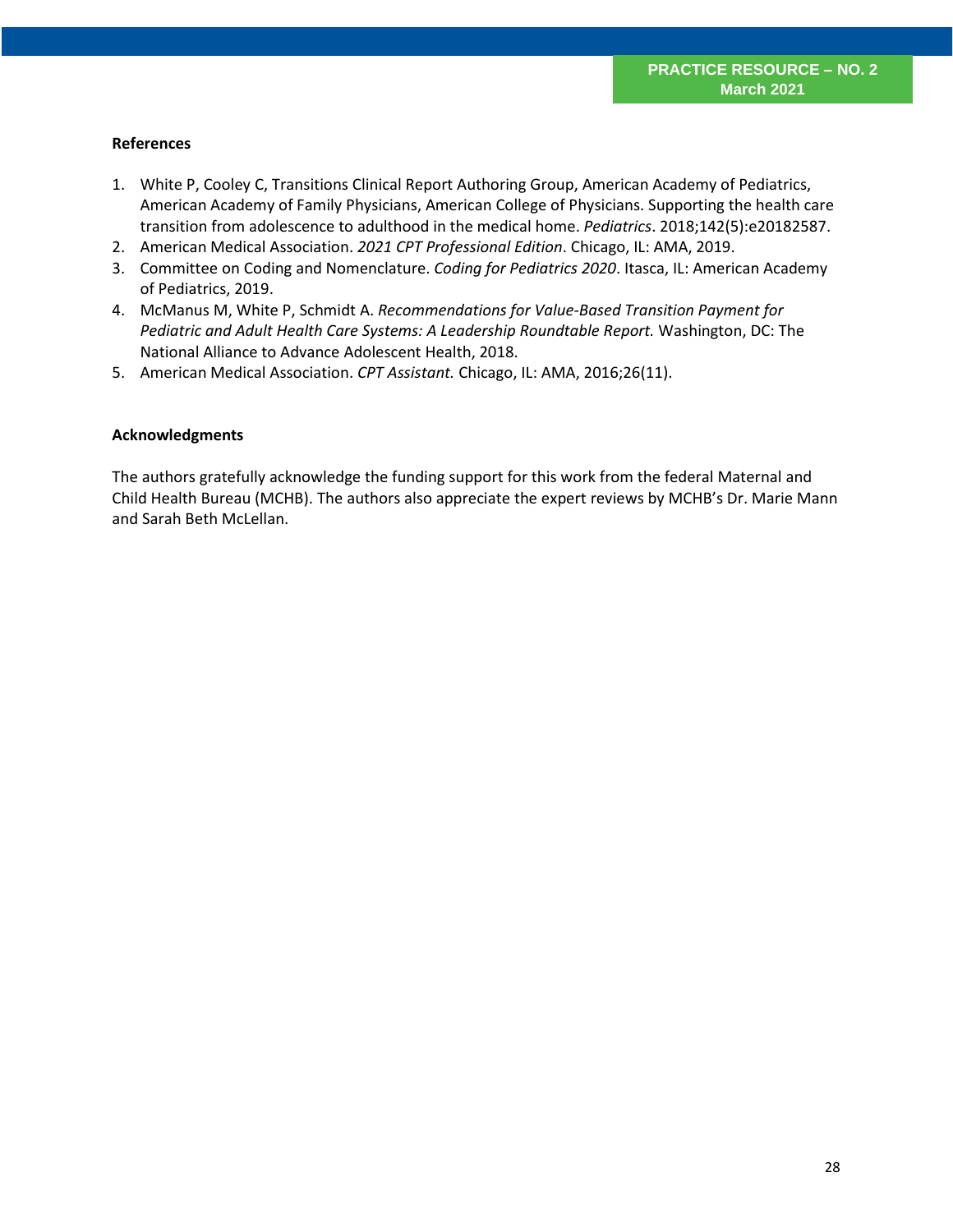#### **References**

- 1. White P, Cooley C, Transitions Clinical Report Authoring Group, American Academy of Pediatrics, American Academy of Family Physicians, American College of Physicians. Supporting the health care transition from adolescence to adulthood in the medical home. *Pediatrics*. 2018;142(5):e20182587.
- 2. American Medical Association. *2021 CPT Professional Edition*. Chicago, IL: AMA, 2019.
- 3. Committee on Coding and Nomenclature. *Coding for Pediatrics 2020*. Itasca, IL: American Academy of Pediatrics, 2019.
- 4. McManus M, White P, Schmidt A. *Recommendations for Value-Based Transition Payment for Pediatric and Adult Health Care Systems: A Leadership Roundtable Report.* Washington, DC: The National Alliance to Advance Adolescent Health, 2018.
- 5. American Medical Association. *CPT Assistant.* Chicago, IL: AMA, 2016;26(11).

#### **Acknowledgments**

The authors gratefully acknowledge the funding support for this work from the federal Maternal and Child Health Bureau (MCHB). The authors also appreciate the expert reviews by MCHB's Dr. Marie Mann and Sarah Beth McLellan.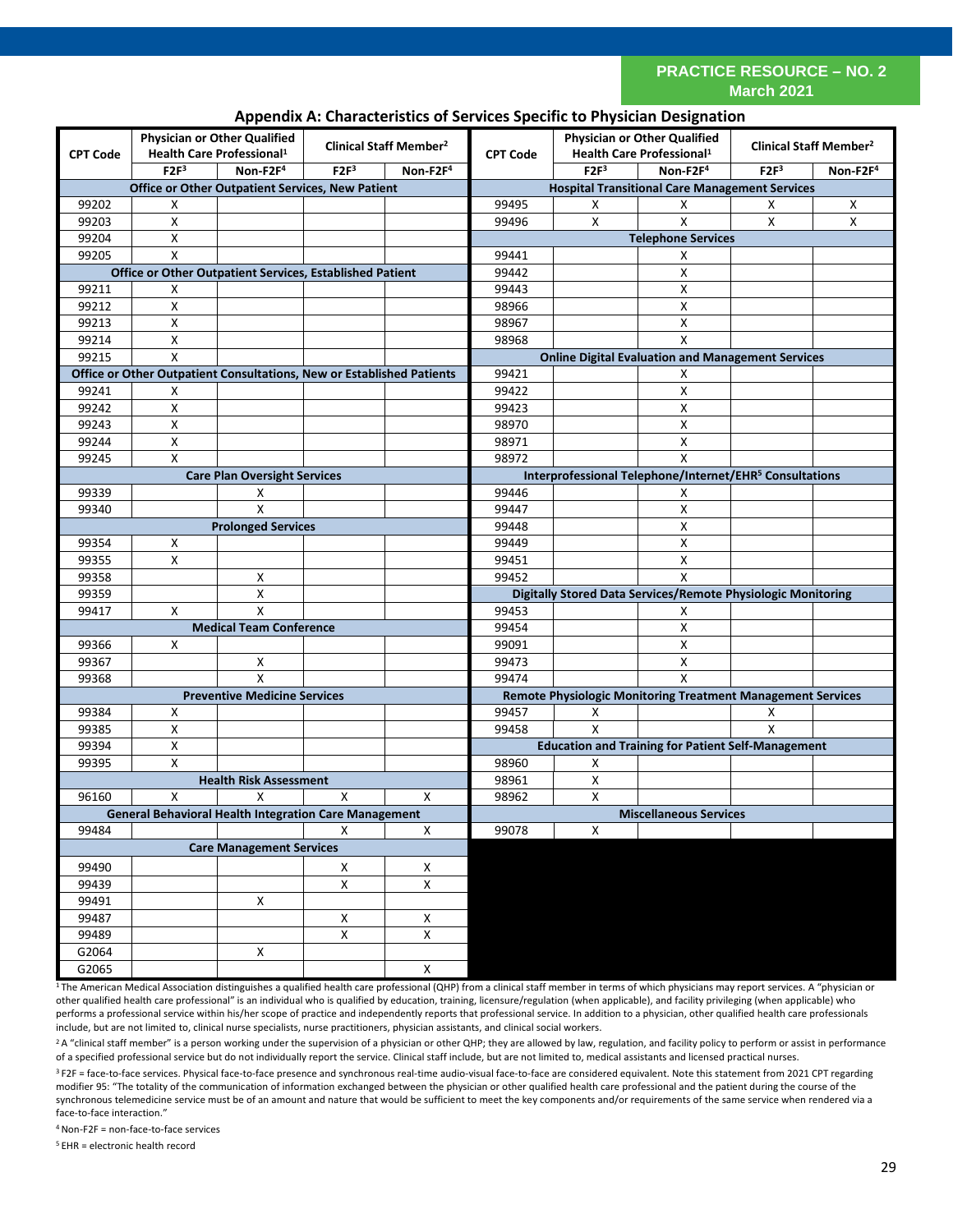**PRACTICE RESOURCE** – **NO. 2 PRACTICE RESOURCE** – **NO. 2 March 2020 March 2021**

|                                                              |                                                                                                                   |                                                                       |                  |                                                                       |       |                                    | Appendix A. Characteristics of Services Specific to Physician Designation |                  |                      |
|--------------------------------------------------------------|-------------------------------------------------------------------------------------------------------------------|-----------------------------------------------------------------------|------------------|-----------------------------------------------------------------------|-------|------------------------------------|---------------------------------------------------------------------------|------------------|----------------------|
| <b>CPT Code</b>                                              | Physician or Other Qualified<br><b>Clinical Staff Member<sup>2</sup></b><br>Health Care Professional <sup>1</sup> |                                                                       | <b>CPT Code</b>  | Physician or Other Qualified<br>Health Care Professional <sup>1</sup> |       | Clinical Staff Member <sup>2</sup> |                                                                           |                  |                      |
|                                                              | F2F <sup>3</sup>                                                                                                  | Non-F2F <sup>4</sup>                                                  | F2F <sup>3</sup> | Non-F2F <sup>4</sup>                                                  |       | F2F <sup>3</sup>                   | Non-F2F <sup>4</sup>                                                      | F2F <sup>3</sup> | Non-F2F <sup>4</sup> |
|                                                              |                                                                                                                   | Office or Other Outpatient Services, New Patient                      |                  |                                                                       |       |                                    | <b>Hospital Transitional Care Management Services</b>                     |                  |                      |
| 99202                                                        | X                                                                                                                 |                                                                       |                  |                                                                       | 99495 | x                                  | x                                                                         | х                | х                    |
| 99203                                                        | $\pmb{\mathsf{X}}$                                                                                                |                                                                       |                  |                                                                       | 99496 | X                                  | X                                                                         | X                | X                    |
| 99204                                                        | X                                                                                                                 |                                                                       |                  |                                                                       |       |                                    | <b>Telephone Services</b>                                                 |                  |                      |
| 99205                                                        | X                                                                                                                 |                                                                       |                  |                                                                       | 99441 |                                    | х                                                                         |                  |                      |
|                                                              |                                                                                                                   | <b>Office or Other Outpatient Services, Established Patient</b>       |                  |                                                                       | 99442 |                                    | X                                                                         |                  |                      |
| 99211                                                        | х                                                                                                                 |                                                                       |                  |                                                                       | 99443 |                                    | Χ                                                                         |                  |                      |
| 99212                                                        | X                                                                                                                 |                                                                       |                  |                                                                       | 98966 |                                    | Χ                                                                         |                  |                      |
| 99213                                                        | Χ                                                                                                                 |                                                                       |                  |                                                                       | 98967 |                                    | Χ                                                                         |                  |                      |
| 99214                                                        | Χ                                                                                                                 |                                                                       |                  |                                                                       | 98968 |                                    | X                                                                         |                  |                      |
| 99215                                                        | X                                                                                                                 |                                                                       |                  |                                                                       |       |                                    | <b>Online Digital Evaluation and Management Services</b>                  |                  |                      |
|                                                              |                                                                                                                   | Office or Other Outpatient Consultations, New or Established Patients |                  |                                                                       | 99421 |                                    | х                                                                         |                  |                      |
| 99241                                                        | х                                                                                                                 |                                                                       |                  |                                                                       | 99422 |                                    | x                                                                         |                  |                      |
| 99242                                                        |                                                                                                                   |                                                                       |                  |                                                                       | 99423 |                                    | x                                                                         |                  |                      |
| 99243                                                        | X<br>X                                                                                                            |                                                                       |                  |                                                                       | 98970 |                                    | $\pmb{\mathsf{X}}$                                                        |                  |                      |
|                                                              |                                                                                                                   |                                                                       |                  |                                                                       |       |                                    |                                                                           |                  |                      |
| 99244                                                        | X                                                                                                                 |                                                                       |                  |                                                                       | 98971 |                                    | Χ                                                                         |                  |                      |
| 99245                                                        | X                                                                                                                 |                                                                       |                  |                                                                       | 98972 |                                    | X                                                                         |                  |                      |
|                                                              |                                                                                                                   | <b>Care Plan Oversight Services</b>                                   |                  |                                                                       |       |                                    | Interprofessional Telephone/Internet/EHR <sup>5</sup> Consultations       |                  |                      |
| 99339                                                        |                                                                                                                   | х<br>X                                                                |                  |                                                                       | 99446 |                                    | х                                                                         |                  |                      |
| 99340                                                        |                                                                                                                   |                                                                       |                  |                                                                       | 99447 |                                    | Χ                                                                         |                  |                      |
|                                                              |                                                                                                                   | <b>Prolonged Services</b>                                             |                  |                                                                       | 99448 |                                    | Χ                                                                         |                  |                      |
| 99354                                                        | х                                                                                                                 |                                                                       |                  |                                                                       | 99449 |                                    | Χ                                                                         |                  |                      |
| 99355                                                        | X                                                                                                                 |                                                                       |                  |                                                                       | 99451 |                                    | X                                                                         |                  |                      |
| 99358                                                        |                                                                                                                   | х                                                                     |                  |                                                                       | 99452 |                                    | Χ                                                                         |                  |                      |
| 99359                                                        |                                                                                                                   | X                                                                     |                  |                                                                       |       |                                    | Digitally Stored Data Services/Remote Physiologic Monitoring              |                  |                      |
| 99417                                                        | X                                                                                                                 | X                                                                     |                  |                                                                       | 99453 |                                    | х                                                                         |                  |                      |
|                                                              |                                                                                                                   | <b>Medical Team Conference</b>                                        |                  |                                                                       | 99454 |                                    | Χ                                                                         |                  |                      |
| 99366                                                        | х                                                                                                                 |                                                                       |                  |                                                                       | 99091 |                                    | Χ                                                                         |                  |                      |
| 99367                                                        |                                                                                                                   | х                                                                     |                  |                                                                       | 99473 |                                    | x                                                                         |                  |                      |
| 99368                                                        |                                                                                                                   | X                                                                     |                  |                                                                       | 99474 |                                    | $\mathsf{x}$                                                              |                  |                      |
|                                                              |                                                                                                                   | <b>Preventive Medicine Services</b>                                   |                  |                                                                       |       |                                    | <b>Remote Physiologic Monitoring Treatment Management Services</b>        |                  |                      |
| 99384                                                        | X                                                                                                                 |                                                                       |                  |                                                                       | 99457 | х                                  |                                                                           | х                |                      |
| 99385                                                        | X                                                                                                                 |                                                                       |                  |                                                                       | 99458 | X                                  |                                                                           | X                |                      |
| 99394                                                        | Χ                                                                                                                 |                                                                       |                  |                                                                       |       |                                    | <b>Education and Training for Patient Self-Management</b>                 |                  |                      |
| 99395                                                        | Χ                                                                                                                 |                                                                       |                  |                                                                       | 98960 | х                                  |                                                                           |                  |                      |
|                                                              |                                                                                                                   | <b>Health Risk Assessment</b>                                         |                  |                                                                       | 98961 | X                                  |                                                                           |                  |                      |
| 96160                                                        | X                                                                                                                 | X                                                                     | X                | X                                                                     | 98962 | X                                  |                                                                           |                  |                      |
| <b>General Behavioral Health Integration Care Management</b> |                                                                                                                   |                                                                       |                  |                                                                       |       | <b>Miscellaneous Services</b>      |                                                                           |                  |                      |
| 99484                                                        |                                                                                                                   |                                                                       | X                | X                                                                     | 99078 | X                                  |                                                                           |                  |                      |
|                                                              |                                                                                                                   | <b>Care Management Services</b>                                       |                  |                                                                       |       |                                    |                                                                           |                  |                      |
| 99490                                                        |                                                                                                                   |                                                                       | X                | X                                                                     |       |                                    |                                                                           |                  |                      |
| 99439                                                        |                                                                                                                   |                                                                       | X                | $\overline{\mathsf{x}}$                                               |       |                                    |                                                                           |                  |                      |
| 99491                                                        |                                                                                                                   | X                                                                     |                  |                                                                       |       |                                    |                                                                           |                  |                      |
| 99487                                                        |                                                                                                                   |                                                                       | $\mathsf X$      | $\pmb{\mathsf{X}}$                                                    |       |                                    |                                                                           |                  |                      |
| 99489                                                        |                                                                                                                   |                                                                       | X                | $\mathsf X$                                                           |       |                                    |                                                                           |                  |                      |
| G2064                                                        |                                                                                                                   | $\mathsf X$                                                           |                  |                                                                       |       |                                    |                                                                           |                  |                      |
| G2065                                                        |                                                                                                                   |                                                                       |                  | $\pmb{\mathsf{X}}$                                                    |       |                                    |                                                                           |                  |                      |

**Appendix A: Characteristics of Services Specific to Physician Designation**

<sup>1</sup>The American Medical Association distinguishes a qualified health care professional (QHP) from a clinical staff member in terms of which physicians may report services. A "physician or other qualified health care professional" is an individual who is qualified by education, training, licensure/regulation (when applicable), and facility privileging (when applicable) who performs a professional service within his/her scope of practice and independently reports that professional service. In addition to a physician, other qualified health care professionals include, but are not limited to, clinical nurse specialists, nurse practitioners, physician assistants, and clinical social workers.

<sup>2</sup>A "clinical staff member" is a person working under the supervision of a physician or other QHP; they are allowed by law, regulation, and facility policy to perform or assist in performance of a specified professional service but do not individually report the service. Clinical staff include, but are not limited to, medical assistants and licensed practical nurses.

<sup>3</sup> F2F = face-to-face services. Physical face-to-face presence and synchronous real-time audio-visual face-to-face are considered equivalent. Note this statement from 2021 CPT regarding modifier 95: "The totality of the communication of information exchanged between the physician or other qualified health care professional and the patient during the course of the synchronous telemedicine service must be of an amount and nature that would be sufficient to meet the key components and/or requirements of the same service when rendered via a face-to-face interaction."

<sup>4</sup>Non-F2F = non-face-to-face services

<sup>5</sup> EHR = electronic health record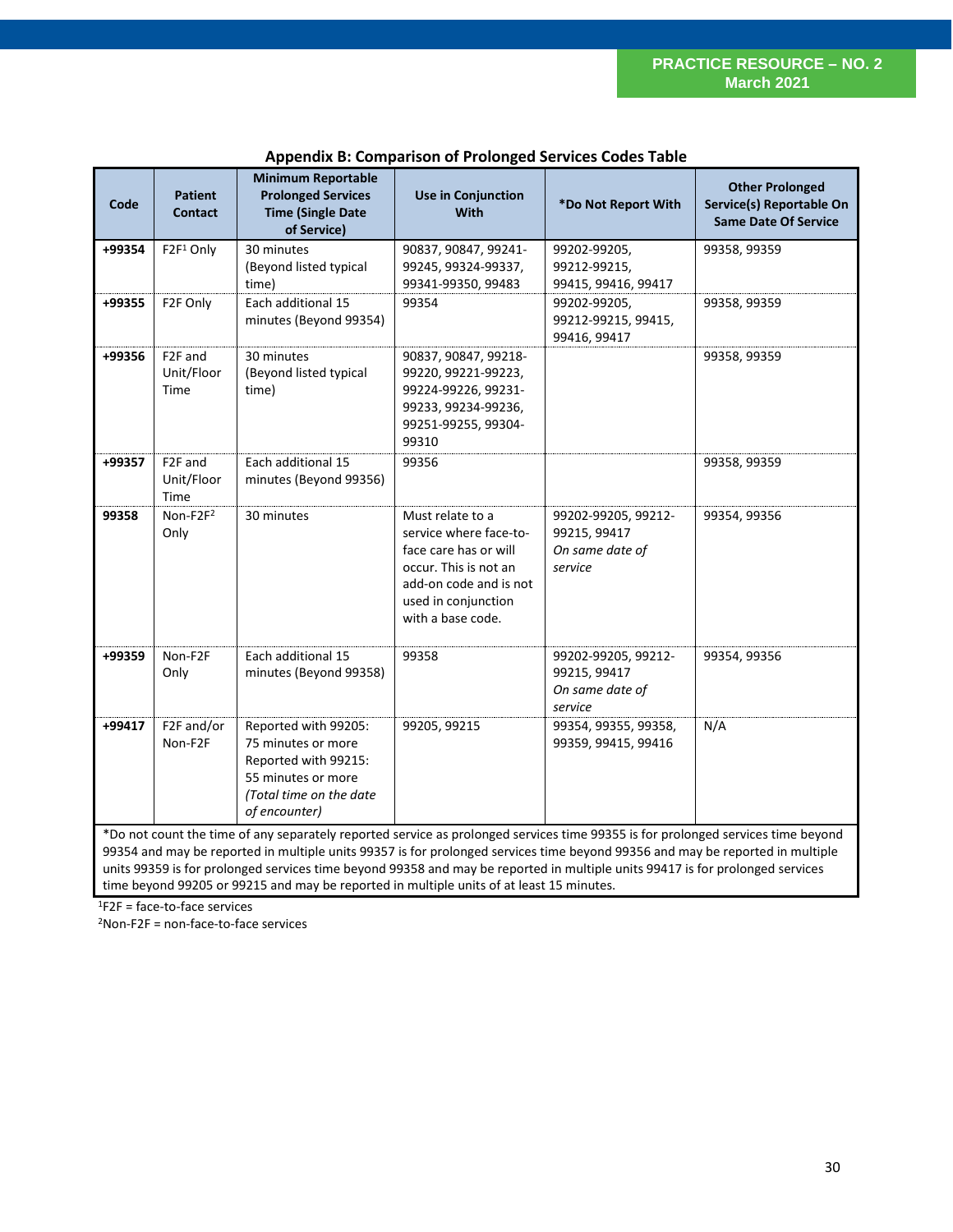| Code   | <b>Patient</b><br><b>Contact</b>          | <b>Minimum Reportable</b><br><b>Prolonged Services</b><br><b>Time (Single Date</b><br>of Service)                                                                                                                                                                        | <b>Use in Conjunction</b><br><b>With</b>                                                                                                                           | *Do Not Report With                                               | <b>Other Prolonged</b><br>Service(s) Reportable On<br><b>Same Date Of Service</b> |
|--------|-------------------------------------------|--------------------------------------------------------------------------------------------------------------------------------------------------------------------------------------------------------------------------------------------------------------------------|--------------------------------------------------------------------------------------------------------------------------------------------------------------------|-------------------------------------------------------------------|-----------------------------------------------------------------------------------|
| +99354 | F <sub>2F<sup>1</sup> Only</sub>          | 30 minutes                                                                                                                                                                                                                                                               | 90837, 90847, 99241-                                                                                                                                               | 99202-99205,                                                      | 99358, 99359                                                                      |
|        |                                           | (Beyond listed typical                                                                                                                                                                                                                                                   | 99245, 99324-99337,                                                                                                                                                | 99212-99215,                                                      |                                                                                   |
|        |                                           | time)                                                                                                                                                                                                                                                                    | 99341-99350, 99483                                                                                                                                                 | 99415, 99416, 99417                                               |                                                                                   |
| +99355 | F <sub>2</sub> F Only                     | Each additional 15<br>minutes (Beyond 99354)                                                                                                                                                                                                                             | 99354                                                                                                                                                              | 99202-99205,<br>99212-99215, 99415,<br>99416, 99417               | 99358, 99359                                                                      |
| +99356 | F <sub>2F</sub> and<br>Unit/Floor<br>Time | 30 minutes<br>(Beyond listed typical<br>time)                                                                                                                                                                                                                            | 90837, 90847, 99218-<br>99220, 99221-99223,<br>99224-99226, 99231-<br>99233, 99234-99236,<br>99251-99255, 99304-<br>99310                                          |                                                                   | 99358, 99359                                                                      |
| +99357 | F <sub>2F</sub> and<br>Unit/Floor<br>Time | Each additional 15<br>minutes (Beyond 99356)                                                                                                                                                                                                                             | 99356                                                                                                                                                              |                                                                   | 99358, 99359                                                                      |
| 99358  | Non-F2F <sup>2</sup><br>Only              | 30 minutes                                                                                                                                                                                                                                                               | Must relate to a<br>service where face-to-<br>face care has or will<br>occur. This is not an<br>add-on code and is not<br>used in conjunction<br>with a base code. | 99202-99205, 99212-<br>99215, 99417<br>On same date of<br>service | 99354, 99356                                                                      |
| +99359 | Non-F2F<br>Only                           | Each additional 15<br>minutes (Beyond 99358)                                                                                                                                                                                                                             | 99358                                                                                                                                                              | 99202-99205, 99212-<br>99215, 99417<br>On same date of<br>service | 99354, 99356                                                                      |
| +99417 | F2F and/or<br>Non-F2F                     | Reported with 99205:<br>75 minutes or more<br>Reported with 99215:<br>55 minutes or more<br>(Total time on the date<br>of encounter)<br>*De not count the time of any conarately reported cenyice as prolonged cenyices time 00255 is for prolonged services time hoyand | 99205, 99215                                                                                                                                                       | 99354, 99355, 99358,<br>99359, 99415, 99416                       | N/A                                                                               |

#### **Appendix B: Comparison of Prolonged Services Codes Table**

Do not count the time of any separately reported service as prolonged services time 99355 is for prolonged services time beyond 99354 and may be reported in multiple units 99357 is for prolonged services time beyond 99356 and may be reported in multiple units 99359 is for prolonged services time beyond 99358 and may be reported in multiple units 99417 is for prolonged services time beyond 99205 or 99215 and may be reported in multiple units of at least 15 minutes.

<sup>1</sup>F2F = face-to-face services

<sup>2</sup>Non-F2F = non-face-to-face services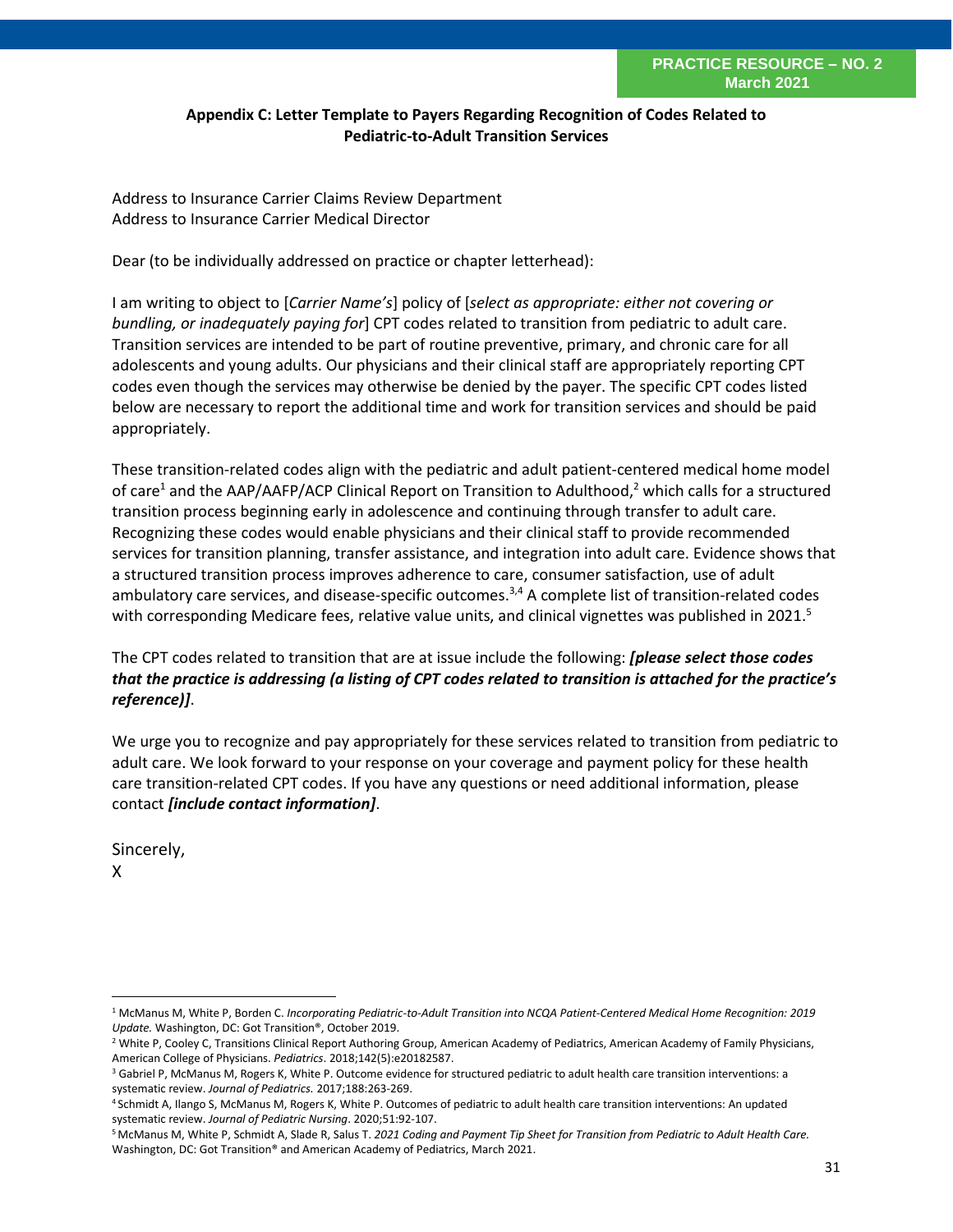#### **Appendix C: Letter Template to Payers Regarding Recognition of Codes Related to Pediatric-to-Adult Transition Services**

Address to Insurance Carrier Claims Review Department Address to Insurance Carrier Medical Director

Dear (to be individually addressed on practice or chapter letterhead):

I am writing to object to [*Carrier Name's*] policy of [*select as appropriate: either not covering or bundling, or inadequately paying for*] CPT codes related to transition from pediatric to adult care. Transition services are intended to be part of routine preventive, primary, and chronic care for all adolescents and young adults. Our physicians and their clinical staff are appropriately reporting CPT codes even though the services may otherwise be denied by the payer. The specific CPT codes listed below are necessary to report the additional time and work for transition services and should be paid appropriately.

These transition-related codes align with the pediatric and adult patient-centered medical home model of care<sup>1</sup> and the AAP/AAFP/ACP Clinical Report on Transition to Adulthood,<sup>2</sup> which calls for a structured transition process beginning early in adolescence and continuing through transfer to adult care. Recognizing these codes would enable physicians and their clinical staff to provide recommended services for transition planning, transfer assistance, and integration into adult care. Evidence shows that a structured transition process improves adherence to care, consumer satisfaction, use of adult ambulatory care services, and disease-specific outcomes.<sup>3,4</sup> A complete list of transition-related codes with corresponding Medicare fees, relative value units, and clinical vignettes was published in 2021.<sup>5</sup>

The CPT codes related to transition that are at issue include the following: *[please select those codes* that the practice is addressing (a listing of CPT codes related to transition is attached for the practice's *reference)]*.

We urge you to recognize and pay appropriately for these services related to transition from pediatric to adult care. We look forward to your response on your coverage and payment policy for these health care transition-related CPT codes. If you have any questions or need additional information, please contact *[include contact information]*.

Sincerely, X

<sup>1</sup> McManus M, White P, Borden C. *Incorporating Pediatric-to-Adult Transition into NCQA Patient-Centered Medical Home Recognition: 2019 Update.* Washington, DC: Got Transition®, October 2019.

<sup>&</sup>lt;sup>2</sup> White P, Cooley C, Transitions Clinical Report Authoring Group, American Academy of Pediatrics, American Academy of Family Physicians, American College of Physicians. *Pediatrics*. 2018;142(5):e20182587.

<sup>&</sup>lt;sup>3</sup> Gabriel P, McManus M, Rogers K, White P. Outcome evidence for structured pediatric to adult health care transition interventions: a systematic review. *Journal of Pediatrics.* 2017;188:263-269.

<sup>4</sup> Schmidt A, Ilango S, McManus M, Rogers K, White P. Outcomes of pediatric to adult health care transition interventions: An updated systematic review. *Journal of Pediatric Nursing*. 2020;51:92-107.

<sup>5</sup> McManus M, White P, Schmidt A, Slade R, Salus T. *2021 Coding and Payment Tip Sheet for Transition from Pediatric to Adult Health Care.* Washington, DC: Got Transition® and American Academy of Pediatrics, March 2021.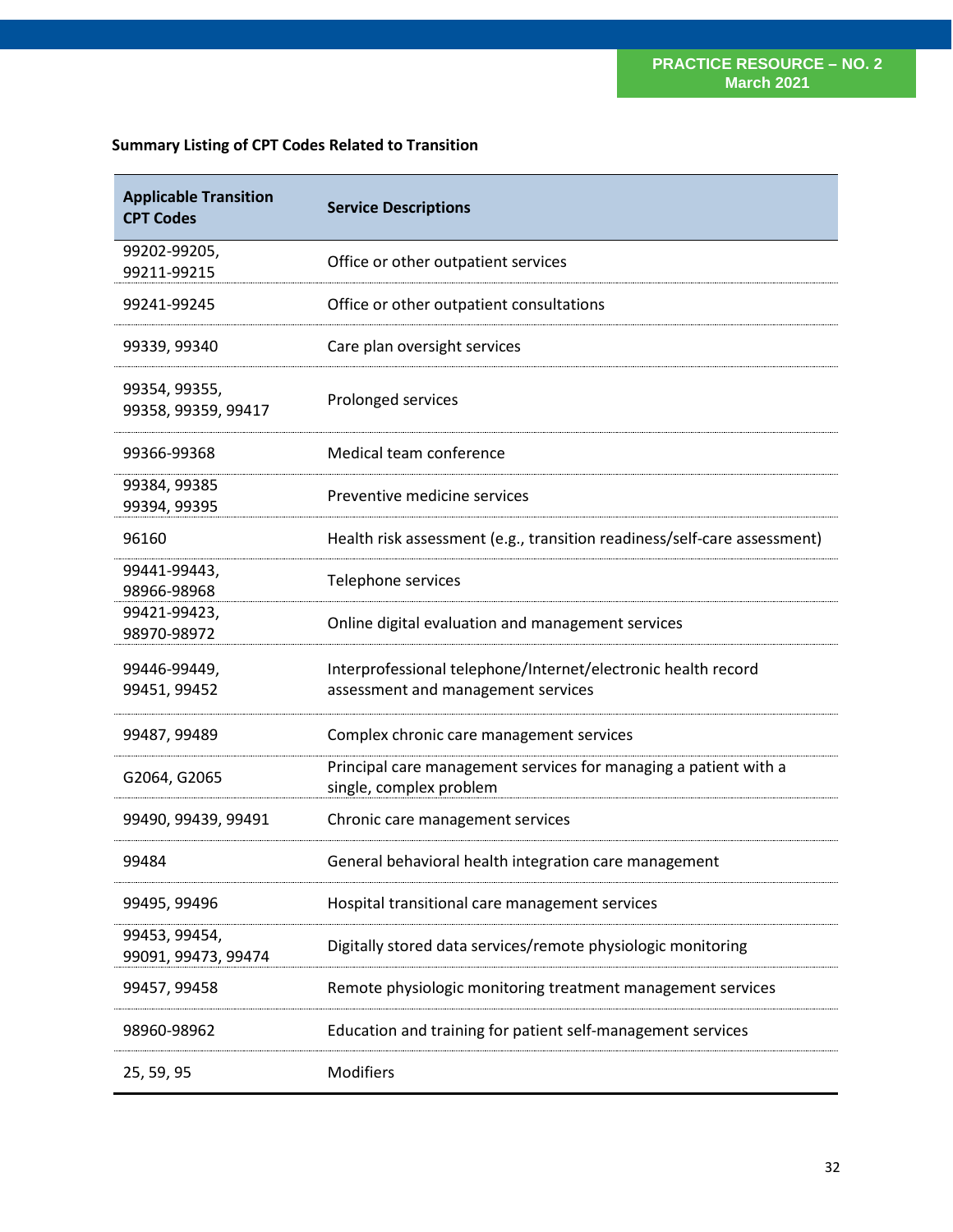## **Summary Listing of CPT Codes Related to Transition**

| <b>Applicable Transition</b><br><b>CPT Codes</b> | <b>Service Descriptions</b>                                                                         |
|--------------------------------------------------|-----------------------------------------------------------------------------------------------------|
| 99202-99205,<br>99211-99215                      | Office or other outpatient services                                                                 |
| 99241-99245                                      | Office or other outpatient consultations                                                            |
| 99339, 99340                                     | Care plan oversight services                                                                        |
| 99354, 99355,<br>99358, 99359, 99417             | Prolonged services                                                                                  |
| 99366-99368                                      | Medical team conference                                                                             |
| 99384, 99385<br>99394, 99395                     | Preventive medicine services                                                                        |
| 96160                                            | Health risk assessment (e.g., transition readiness/self-care assessment)                            |
| 99441-99443,<br>98966-98968                      | Telephone services                                                                                  |
| 99421-99423,<br>98970-98972                      | Online digital evaluation and management services                                                   |
| 99446-99449,<br>99451, 99452                     | Interprofessional telephone/Internet/electronic health record<br>assessment and management services |
| 99487, 99489                                     | Complex chronic care management services                                                            |
| G2064, G2065                                     | Principal care management services for managing a patient with a<br>single, complex problem         |
| 99490, 99439, 99491                              | Chronic care management services                                                                    |
| 99484                                            | General behavioral health integration care management                                               |
| 99495, 99496                                     | Hospital transitional care management services                                                      |
| 99453, 99454,<br>99091, 99473, 99474             | Digitally stored data services/remote physiologic monitoring                                        |
| 99457, 99458                                     | Remote physiologic monitoring treatment management services                                         |
| 98960-98962                                      | Education and training for patient self-management services                                         |
| 25, 59, 95                                       | Modifiers                                                                                           |